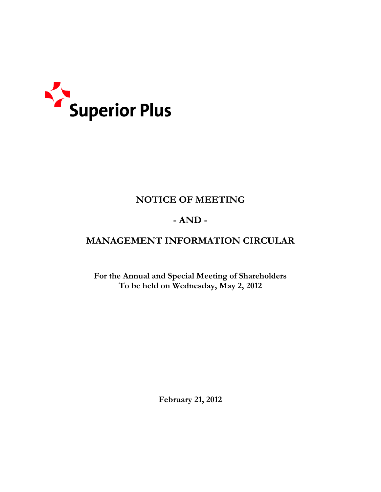

# NOTICE OF MEETING

# $- AND -$

# MANAGEMENT INFORMATION CIRCULAR

For the Annual and Special Meeting of Shareholders To be held on Wednesday, May 2, 2012

February 21, 2012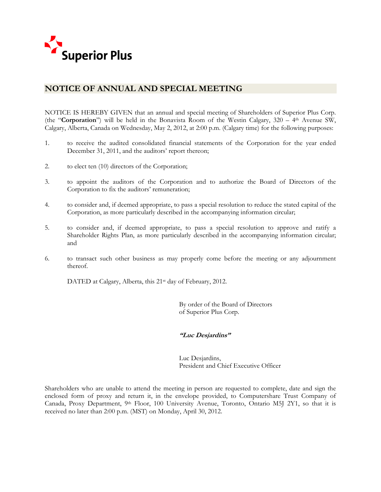

# NOTICE OF ANNUAL AND SPECIAL MEETING

NOTICE IS HEREBY GIVEN that an annual and special meeting of Shareholders of Superior Plus Corp. (the "**Corporation**") will be held in the Bonavista Room of the Westin Calgary,  $320 - 4$ <sup>th</sup> Avenue SW, Calgary, Alberta, Canada on Wednesday, May 2, 2012, at 2:00 p.m. (Calgary time) for the following purposes:

- 1. to receive the audited consolidated financial statements of the Corporation for the year ended December 31, 2011, and the auditors' report thereon;
- 2. to elect ten (10) directors of the Corporation;
- 3. to appoint the auditors of the Corporation and to authorize the Board of Directors of the Corporation to fix the auditors' remuneration;
- 4. to consider and, if deemed appropriate, to pass a special resolution to reduce the stated capital of the Corporation, as more particularly described in the accompanying information circular;
- 5. to consider and, if deemed appropriate, to pass a special resolution to approve and ratify a Shareholder Rights Plan, as more particularly described in the accompanying information circular; and
- 6. to transact such other business as may properly come before the meeting or any adjournment thereof.

DATED at Calgary, Alberta, this 21<sup>st</sup> day of February, 2012.

By order of the Board of Directors of Superior Plus Corp.

# "Luc Desjardins"

Luc Desjardins, President and Chief Executive Officer

Shareholders who are unable to attend the meeting in person are requested to complete, date and sign the enclosed form of proxy and return it, in the envelope provided, to Computershare Trust Company of Canada, Proxy Department, 9th Floor, 100 University Avenue, Toronto, Ontario M5J 2Y1, so that it is received no later than 2:00 p.m. (MST) on Monday, April 30, 2012.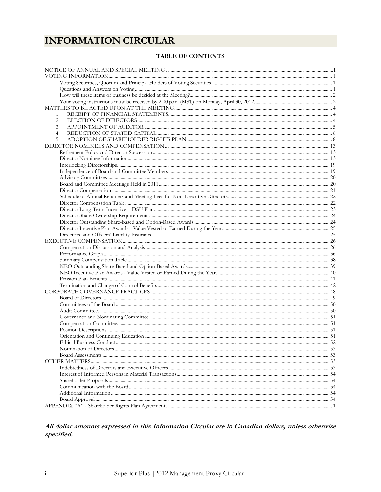# **INFORMATION CIRCULAR**

# **TABLE OF CONTENTS**

| 1.               |  |
|------------------|--|
| 2.               |  |
| 3.               |  |
| $\overline{4}$ . |  |
| 5.               |  |
|                  |  |
|                  |  |
|                  |  |
|                  |  |
|                  |  |
|                  |  |
|                  |  |
|                  |  |
|                  |  |
|                  |  |
|                  |  |
|                  |  |
|                  |  |
|                  |  |
|                  |  |
|                  |  |
|                  |  |
|                  |  |
|                  |  |
|                  |  |
|                  |  |
|                  |  |
|                  |  |
|                  |  |
|                  |  |
|                  |  |
|                  |  |
|                  |  |
|                  |  |
|                  |  |
|                  |  |
|                  |  |
|                  |  |
|                  |  |
|                  |  |
|                  |  |
|                  |  |
|                  |  |
|                  |  |
|                  |  |
|                  |  |
|                  |  |

# All dollar amounts expressed in this Information Circular are in Canadian dollars, unless otherwise specified.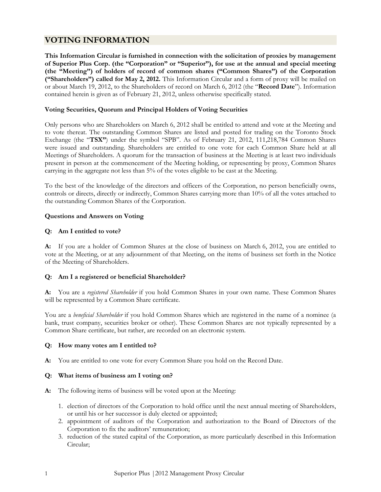# VOTING INFORMATION

This Information Circular is furnished in connection with the solicitation of proxies by management of Superior Plus Corp. (the "Corporation" or "Superior"), for use at the annual and special meeting (the "Meeting") of holders of record of common shares ("Common Shares") of the Corporation ("Shareholders") called for May 2, 2012. This Information Circular and a form of proxy will be mailed on or about March 19, 2012, to the Shareholders of record on March 6, 2012 (the "Record Date"). Information contained herein is given as of February 21, 2012, unless otherwise specifically stated.

## Voting Securities, Quorum and Principal Holders of Voting Securities

Only persons who are Shareholders on March 6, 2012 shall be entitled to attend and vote at the Meeting and to vote thereat. The outstanding Common Shares are listed and posted for trading on the Toronto Stock Exchange (the "TSX") under the symbol "SPB". As of February 21, 2012, 111,218,784 Common Shares were issued and outstanding. Shareholders are entitled to one vote for each Common Share held at all Meetings of Shareholders. A quorum for the transaction of business at the Meeting is at least two individuals present in person at the commencement of the Meeting holding, or representing by proxy, Common Shares carrying in the aggregate not less than 5% of the votes eligible to be cast at the Meeting.

To the best of the knowledge of the directors and officers of the Corporation, no person beneficially owns, controls or directs, directly or indirectly, Common Shares carrying more than 10% of all the votes attached to the outstanding Common Shares of the Corporation.

#### Questions and Answers on Voting

#### Q: Am I entitled to vote?

A: If you are a holder of Common Shares at the close of business on March 6, 2012, you are entitled to vote at the Meeting, or at any adjournment of that Meeting, on the items of business set forth in the Notice of the Meeting of Shareholders.

# Q: Am I a registered or beneficial Shareholder?

A: You are a registered Shareholder if you hold Common Shares in your own name. These Common Shares will be represented by a Common Share certificate.

You are a *beneficial Shareholder* if you hold Common Shares which are registered in the name of a nominee (a bank, trust company, securities broker or other). These Common Shares are not typically represented by a Common Share certificate, but rather, are recorded on an electronic system.

# Q: How many votes am I entitled to?

A: You are entitled to one vote for every Common Share you hold on the Record Date.

#### Q: What items of business am I voting on?

- A: The following items of business will be voted upon at the Meeting:
	- 1. election of directors of the Corporation to hold office until the next annual meeting of Shareholders, or until his or her successor is duly elected or appointed;
	- 2. appointment of auditors of the Corporation and authorization to the Board of Directors of the Corporation to fix the auditors' remuneration;
	- 3. reduction of the stated capital of the Corporation, as more particularly described in this Information Circular;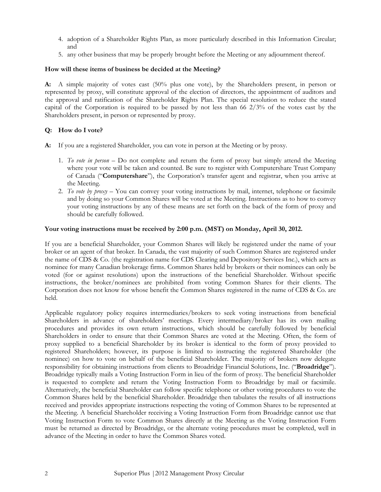- 4. adoption of a Shareholder Rights Plan, as more particularly described in this Information Circular; and
- 5. any other business that may be properly brought before the Meeting or any adjournment thereof.

#### How will these items of business be decided at the Meeting?

A: A simple majority of votes cast (50% plus one vote), by the Shareholders present, in person or represented by proxy, will constitute approval of the election of directors, the appointment of auditors and the approval and ratification of the Shareholder Rights Plan. The special resolution to reduce the stated capital of the Corporation is required to be passed by not less than 66 2/3% of the votes cast by the Shareholders present, in person or represented by proxy.

# Q: How do I vote?

- A: If you are a registered Shareholder, you can vote in person at the Meeting or by proxy.
	- 1. To vote in person Do not complete and return the form of proxy but simply attend the Meeting where your vote will be taken and counted. Be sure to register with Computershare Trust Company of Canada ("Computershare"), the Corporation's transfer agent and registrar, when you arrive at the Meeting.
	- 2. To vote by proxy You can convey your voting instructions by mail, internet, telephone or facsimile and by doing so your Common Shares will be voted at the Meeting. Instructions as to how to convey your voting instructions by any of these means are set forth on the back of the form of proxy and should be carefully followed.

#### Your voting instructions must be received by 2:00 p.m. (MST) on Monday, April 30, 2012.

If you are a beneficial Shareholder, your Common Shares will likely be registered under the name of your broker or an agent of that broker. In Canada, the vast majority of such Common Shares are registered under the name of CDS & Co. (the registration name for CDS Clearing and Depository Services Inc.), which acts as nominee for many Canadian brokerage firms. Common Shares held by brokers or their nominees can only be voted (for or against resolutions) upon the instructions of the beneficial Shareholder. Without specific instructions, the broker/nominees are prohibited from voting Common Shares for their clients. The Corporation does not know for whose benefit the Common Shares registered in the name of CDS & Co. are held.

Applicable regulatory policy requires intermediaries/brokers to seek voting instructions from beneficial Shareholders in advance of shareholders' meetings. Every intermediary/broker has its own mailing procedures and provides its own return instructions, which should be carefully followed by beneficial Shareholders in order to ensure that their Common Shares are voted at the Meeting. Often, the form of proxy supplied to a beneficial Shareholder by its broker is identical to the form of proxy provided to registered Shareholders; however, its purpose is limited to instructing the registered Shareholder (the nominee) on how to vote on behalf of the beneficial Shareholder. The majority of brokers now delegate responsibility for obtaining instructions from clients to Broadridge Financial Solutions, Inc. ("Broadridge"). Broadridge typically mails a Voting Instruction Form in lieu of the form of proxy. The beneficial Shareholder is requested to complete and return the Voting Instruction Form to Broadridge by mail or facsimile. Alternatively, the beneficial Shareholder can follow specific telephone or other voting procedures to vote the Common Shares held by the beneficial Shareholder. Broadridge then tabulates the results of all instructions received and provides appropriate instructions respecting the voting of Common Shares to be represented at the Meeting. A beneficial Shareholder receiving a Voting Instruction Form from Broadridge cannot use that Voting Instruction Form to vote Common Shares directly at the Meeting as the Voting Instruction Form must be returned as directed by Broadridge, or the alternate voting procedures must be completed, well in advance of the Meeting in order to have the Common Shares voted.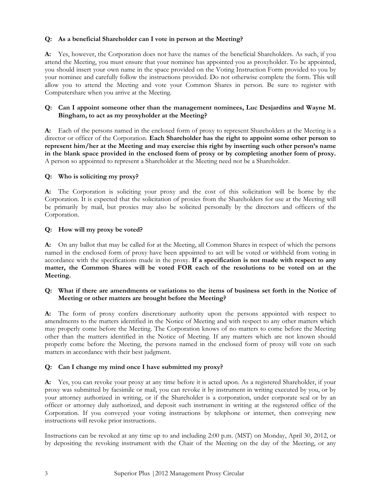# Q: As a beneficial Shareholder can I vote in person at the Meeting?

A: Yes, however, the Corporation does not have the names of the beneficial Shareholders. As such, if you attend the Meeting, you must ensure that your nominee has appointed you as proxyholder. To be appointed, you should insert your own name in the space provided on the Voting Instruction Form provided to you by your nominee and carefully follow the instructions provided. Do not otherwise complete the form. This will allow you to attend the Meeting and vote your Common Shares in person. Be sure to register with Computershare when you arrive at the Meeting.

# Q: Can I appoint someone other than the management nominees, Luc Desjardins and Wayne M. Bingham, to act as my proxyholder at the Meeting?

A: Each of the persons named in the enclosed form of proxy to represent Shareholders at the Meeting is a director or officer of the Corporation. Each Shareholder has the right to appoint some other person to represent him/her at the Meeting and may exercise this right by inserting such other person's name in the blank space provided in the enclosed form of proxy or by completing another form of proxy. A person so appointed to represent a Shareholder at the Meeting need not be a Shareholder.

# Q: Who is soliciting my proxy?

A: The Corporation is soliciting your proxy and the cost of this solicitation will be borne by the Corporation. It is expected that the solicitation of proxies from the Shareholders for use at the Meeting will be primarily by mail, but proxies may also be solicited personally by the directors and officers of the Corporation.

#### Q: How will my proxy be voted?

A: On any ballot that may be called for at the Meeting, all Common Shares in respect of which the persons named in the enclosed form of proxy have been appointed to act will be voted or withheld from voting in accordance with the specifications made in the proxy. If a specification is not made with respect to any matter, the Common Shares will be voted FOR each of the resolutions to be voted on at the Meeting.

# Q: What if there are amendments or variations to the items of business set forth in the Notice of Meeting or other matters are brought before the Meeting?

A: The form of proxy confers discretionary authority upon the persons appointed with respect to amendments to the matters identified in the Notice of Meeting and with respect to any other matters which may properly come before the Meeting. The Corporation knows of no matters to come before the Meeting other than the matters identified in the Notice of Meeting. If any matters which are not known should properly come before the Meeting, the persons named in the enclosed form of proxy will vote on such matters in accordance with their best judgment.

# Q: Can I change my mind once I have submitted my proxy?

A: Yes, you can revoke your proxy at any time before it is acted upon. As a registered Shareholder, if your proxy was submitted by facsimile or mail, you can revoke it by instrument in writing executed by you, or by your attorney authorized in writing, or if the Shareholder is a corporation, under corporate seal or by an officer or attorney duly authorized, and deposit such instrument in writing at the registered office of the Corporation. If you conveyed your voting instructions by telephone or internet, then conveying new instructions will revoke prior instructions.

Instructions can be revoked at any time up to and including 2:00 p.m. (MST) on Monday, April 30, 2012, or by depositing the revoking instrument with the Chair of the Meeting on the day of the Meeting, or any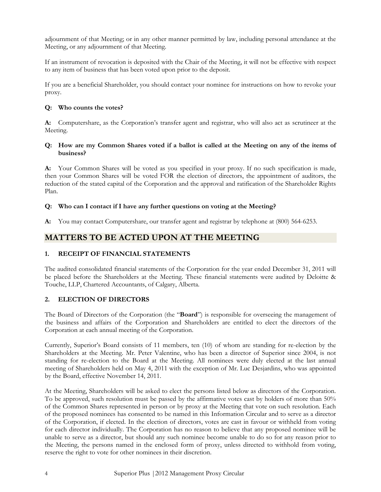adjournment of that Meeting; or in any other manner permitted by law, including personal attendance at the Meeting, or any adjournment of that Meeting.

If an instrument of revocation is deposited with the Chair of the Meeting, it will not be effective with respect to any item of business that has been voted upon prior to the deposit.

If you are a beneficial Shareholder, you should contact your nominee for instructions on how to revoke your proxy.

# Q: Who counts the votes?

A: Computershare, as the Corporation's transfer agent and registrar, who will also act as scrutineer at the Meeting.

## Q: How are my Common Shares voted if a ballot is called at the Meeting on any of the items of business?

A: Your Common Shares will be voted as you specified in your proxy. If no such specification is made, then your Common Shares will be voted FOR the election of directors, the appointment of auditors, the reduction of the stated capital of the Corporation and the approval and ratification of the Shareholder Rights Plan.

#### Q: Who can I contact if I have any further questions on voting at the Meeting?

A: You may contact Computershare, our transfer agent and registrar by telephone at (800) 564-6253.

# MATTERS TO BE ACTED UPON AT THE MEETING

# 1. RECEIPT OF FINANCIAL STATEMENTS

The audited consolidated financial statements of the Corporation for the year ended December 31, 2011 will be placed before the Shareholders at the Meeting. These financial statements were audited by Deloitte & Touche, LLP, Chartered Accountants, of Calgary, Alberta.

# 2. ELECTION OF DIRECTORS

The Board of Directors of the Corporation (the "**Board**") is responsible for overseeing the management of the business and affairs of the Corporation and Shareholders are entitled to elect the directors of the Corporation at each annual meeting of the Corporation.

Currently, Superior's Board consists of 11 members, ten (10) of whom are standing for re-election by the Shareholders at the Meeting. Mr. Peter Valentine, who has been a director of Superior since 2004, is not standing for re-election to the Board at the Meeting. All nominees were duly elected at the last annual meeting of Shareholders held on May 4, 2011 with the exception of Mr. Luc Desjardins, who was appointed by the Board, effective November 14, 2011.

At the Meeting, Shareholders will be asked to elect the persons listed below as directors of the Corporation. To be approved, such resolution must be passed by the affirmative votes cast by holders of more than 50% of the Common Shares represented in person or by proxy at the Meeting that vote on such resolution. Each of the proposed nominees has consented to be named in this Information Circular and to serve as a director of the Corporation, if elected. In the election of directors, votes are cast in favour or withheld from voting for each director individually. The Corporation has no reason to believe that any proposed nominee will be unable to serve as a director, but should any such nominee become unable to do so for any reason prior to the Meeting, the persons named in the enclosed form of proxy, unless directed to withhold from voting, reserve the right to vote for other nominees in their discretion.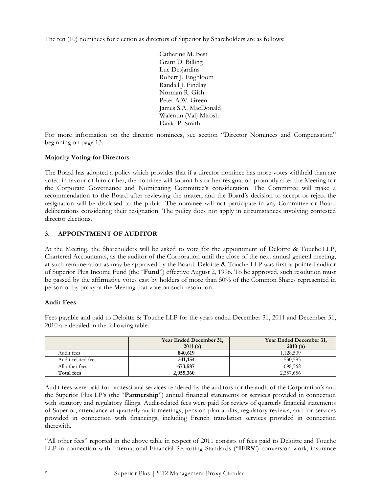The ten (10) nominees for election as directors of Superior by Shareholders are as follows:

Catherine M. Best Grant D. Billing Luc Desjardins Robert J. Engbloom Randall J. Findlay Norman R. Gish Peter A.W. Green James S.A. MacDonald Walentin (Val) Mirosh David P. Smith

For more information on the director nominees, see section "Director Nominees and Compensation" beginning on page 13.

# Majority Voting for Directors

The Board has adopted a policy which provides that if a director nominee has more votes withheld than are voted in favour of him or her, the nominee will submit his or her resignation promptly after the Meeting for the Corporate Governance and Nominating Committee's consideration. The Committee will make a recommendation to the Board after reviewing the matter, and the Board's decision to accept or reject the resignation will be disclosed to the public. The nominee will not participate in any Committee or Board deliberations considering their resignation. The policy does not apply in circumstances involving contested director elections.

# 3. APPOINTMENT OF AUDITOR

At the Meeting, the Shareholders will be asked to vote for the appointment of Deloitte & Touche LLP, Chartered Accountants, as the auditor of the Corporation until the close of the next annual general meeting, at such remuneration as may be approved by the Board. Deloitte & Touche LLP was first appointed auditor of Superior Plus Income Fund (the "Fund") effective August 2, 1996. To be approved, such resolution must be passed by the affirmative votes cast by holders of more than 50% of the Common Shares represented in person or by proxy at the Meeting that vote on such resolution.

# Audit Fees

Fees payable and paid to Deloitte & Touche LLP for the years ended December 31, 2011 and December 31, 2010 are detailed in the following table:

|                    | Year Ended December 31, | Year Ended December 31, |
|--------------------|-------------------------|-------------------------|
|                    | $2011($ \$)             | $2010($ \$)             |
| Audit fees         | 840,619                 | 1.128.509               |
| Audit-related fees | 541,154                 | 530,585                 |
| All other fees     | 673,587                 | 698.562                 |
| Total fees         | 2,055,360               | 2,357,656               |

Audit fees were paid for professional services rendered by the auditors for the audit of the Corporation's and the Superior Plus LP's (the "Partnership") annual financial statements or services provided in connection with statutory and regulatory filings. Audit-related fees were paid for review of quarterly financial statements of Superior, attendance at quarterly audit meetings, pension plan audits, regulatory reviews, and for services provided in connection with financings, including French translation services provided in connection therewith.

"All other fees" reported in the above table in respect of 2011 consists of fees paid to Deloitte and Touche LLP in connection with International Financial Reporting Standards ("IFRS") conversion work, insurance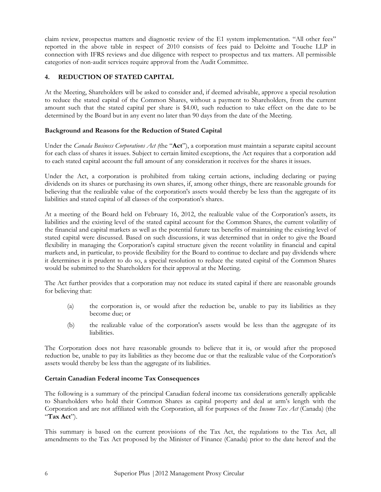claim review, prospectus matters and diagnostic review of the E1 system implementation. "All other fees" reported in the above table in respect of 2010 consists of fees paid to Deloitte and Touche LLP in connection with IFRS reviews and due diligence with respect to prospectus and tax matters. All permissible categories of non-audit services require approval from the Audit Committee.

# REDUCTION OF STATED CAPITAL

At the Meeting, Shareholders will be asked to consider and, if deemed advisable, approve a special resolution to reduce the stated capital of the Common Shares, without a payment to Shareholders, from the current amount such that the stated capital per share is \$4.00, such reduction to take effect on the date to be determined by the Board but in any event no later than 90 days from the date of the Meeting.

#### Background and Reasons for the Reduction of Stated Capital

Under the *Canada Business Corporations Act* (the "**Act**"), a corporation must maintain a separate capital account for each class of shares it issues. Subject to certain limited exceptions, the Act requires that a corporation add to each stated capital account the full amount of any consideration it receives for the shares it issues.

Under the Act, a corporation is prohibited from taking certain actions, including declaring or paying dividends on its shares or purchasing its own shares, if, among other things, there are reasonable grounds for believing that the realizable value of the corporation's assets would thereby be less than the aggregate of its liabilities and stated capital of all classes of the corporation's shares.

At a meeting of the Board held on February 16, 2012, the realizable value of the Corporation's assets, its liabilities and the existing level of the stated capital account for the Common Shares, the current volatility of the financial and capital markets as well as the potential future tax benefits of maintaining the existing level of stated capital were discussed. Based on such discussions, it was determined that in order to give the Board flexibility in managing the Corporation's capital structure given the recent volatility in financial and capital markets and, in particular, to provide flexibility for the Board to continue to declare and pay dividends where it determines it is prudent to do so, a special resolution to reduce the stated capital of the Common Shares would be submitted to the Shareholders for their approval at the Meeting.

The Act further provides that a corporation may not reduce its stated capital if there are reasonable grounds for believing that:

- (a) the corporation is, or would after the reduction be, unable to pay its liabilities as they become due; or
- (b) the realizable value of the corporation's assets would be less than the aggregate of its liabilities.

The Corporation does not have reasonable grounds to believe that it is, or would after the proposed reduction be, unable to pay its liabilities as they become due or that the realizable value of the Corporation's assets would thereby be less than the aggregate of its liabilities.

#### Certain Canadian Federal income Tax Consequences

The following is a summary of the principal Canadian federal income tax considerations generally applicable to Shareholders who hold their Common Shares as capital property and deal at arm's length with the Corporation and are not affiliated with the Corporation, all for purposes of the Income Tax Act (Canada) (the "Tax Act").

This summary is based on the current provisions of the Tax Act, the regulations to the Tax Act, all amendments to the Tax Act proposed by the Minister of Finance (Canada) prior to the date hereof and the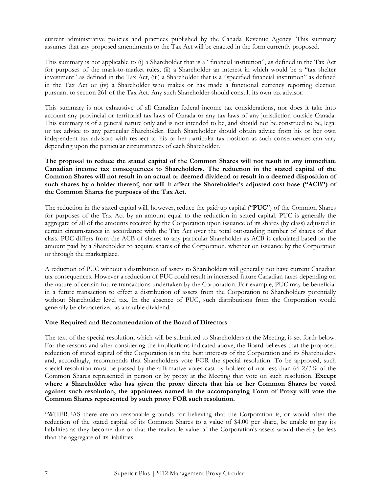current administrative policies and practices published by the Canada Revenue Agency. This summary assumes that any proposed amendments to the Tax Act will be enacted in the form currently proposed.

This summary is not applicable to (i) a Shareholder that is a "financial institution", as defined in the Tax Act for purposes of the mark-to-market rules, (ii) a Shareholder an interest in which would be a "tax shelter investment" as defined in the Tax Act, (iii) a Shareholder that is a "specified financial institution" as defined in the Tax Act or (iv) a Shareholder who makes or has made a functional currency reporting election pursuant to section 261 of the Tax Act. Any such Shareholder should consult its own tax advisor.

This summary is not exhaustive of all Canadian federal income tax considerations, nor does it take into account any provincial or territorial tax laws of Canada or any tax laws of any jurisdiction outside Canada. This summary is of a general nature only and is not intended to be, and should not be construed to be, legal or tax advice to any particular Shareholder. Each Shareholder should obtain advice from his or her own independent tax advisors with respect to his or her particular tax position as such consequences can vary depending upon the particular circumstances of each Shareholder.

The proposal to reduce the stated capital of the Common Shares will not result in any immediate Canadian income tax consequences to Shareholders. The reduction in the stated capital of the Common Shares will not result in an actual or deemed dividend or result in a deemed disposition of such shares by a holder thereof, nor will it affect the Shareholder's adjusted cost base ("ACB") of the Common Shares for purposes of the Tax Act.

The reduction in the stated capital will, however, reduce the paid-up capital ("PUC") of the Common Shares for purposes of the Tax Act by an amount equal to the reduction in stated capital. PUC is generally the aggregate of all of the amounts received by the Corporation upon issuance of its shares (by class) adjusted in certain circumstances in accordance with the Tax Act over the total outstanding number of shares of that class. PUC differs from the ACB of shares to any particular Shareholder as ACB is calculated based on the amount paid by a Shareholder to acquire shares of the Corporation, whether on issuance by the Corporation or through the marketplace.

A reduction of PUC without a distribution of assets to Shareholders will generally not have current Canadian tax consequences. However a reduction of PUC could result in increased future Canadian taxes depending on the nature of certain future transactions undertaken by the Corporation. For example, PUC may be beneficial in a future transaction to effect a distribution of assets from the Corporation to Shareholders potentially without Shareholder level tax. In the absence of PUC, such distributions from the Corporation would generally be characterized as a taxable dividend.

#### Vote Required and Recommendation of the Board of Directors

The text of the special resolution, which will be submitted to Shareholders at the Meeting, is set forth below. For the reasons and after considering the implications indicated above, the Board believes that the proposed reduction of stated capital of the Corporation is in the best interests of the Corporation and its Shareholders and, accordingly, recommends that Shareholders vote FOR the special resolution. To be approved, such special resolution must be passed by the affirmative votes cast by holders of not less than 66 2/3% of the Common Shares represented in person or by proxy at the Meeting that vote on such resolution. Except where a Shareholder who has given the proxy directs that his or her Common Shares be voted against such resolution, the appointees named in the accompanying Form of Proxy will vote the Common Shares represented by such proxy FOR such resolution.

"WHEREAS there are no reasonable grounds for believing that the Corporation is, or would after the reduction of the stated capital of its Common Shares to a value of \$4.00 per share, be unable to pay its liabilities as they become due or that the realizable value of the Corporation's assets would thereby be less than the aggregate of its liabilities.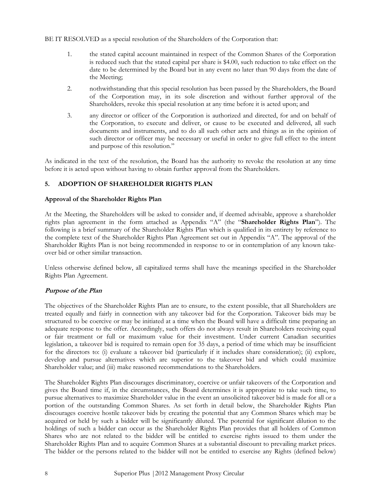BE IT RESOLVED as a special resolution of the Shareholders of the Corporation that:

- 1. the stated capital account maintained in respect of the Common Shares of the Corporation is reduced such that the stated capital per share is \$4.00, such reduction to take effect on the date to be determined by the Board but in any event no later than 90 days from the date of the Meeting;
- 2. nothwithstanding that this special resolution has been passed by the Shareholders, the Board of the Corporation may, in its sole discretion and without further approval of the Shareholders, revoke this special resolution at any time before it is acted upon; and
- 3. any director or officer of the Corporation is authorized and directed, for and on behalf of the Corporation, to execute and deliver, or cause to be executed and delivered, all such documents and instruments, and to do all such other acts and things as in the opinion of such director or officer may be necessary or useful in order to give full effect to the intent and purpose of this resolution."

As indicated in the text of the resolution, the Board has the authority to revoke the resolution at any time before it is acted upon without having to obtain further approval from the Shareholders.

# 5. ADOPTION OF SHAREHOLDER RIGHTS PLAN

#### Approval of the Shareholder Rights Plan

At the Meeting, the Shareholders will be asked to consider and, if deemed advisable, approve a shareholder rights plan agreement in the form attached as Appendix "A" (the "Shareholder Rights Plan"). The following is a brief summary of the Shareholder Rights Plan which is qualified in its entirety by reference to the complete text of the Shareholder Rights Plan Agreement set out in Appendix "A". The approval of the Shareholder Rights Plan is not being recommended in response to or in contemplation of any known takeover bid or other similar transaction.

Unless otherwise defined below, all capitalized terms shall have the meanings specified in the Shareholder Rights Plan Agreement.

# Purpose of the Plan

The objectives of the Shareholder Rights Plan are to ensure, to the extent possible, that all Shareholders are treated equally and fairly in connection with any takeover bid for the Corporation. Takeover bids may be structured to be coercive or may be initiated at a time when the Board will have a difficult time preparing an adequate response to the offer. Accordingly, such offers do not always result in Shareholders receiving equal or fair treatment or full or maximum value for their investment. Under current Canadian securities legislation, a takeover bid is required to remain open for 35 days, a period of time which may be insufficient for the directors to: (i) evaluate a takeover bid (particularly if it includes share consideration); (ii) explore, develop and pursue alternatives which are superior to the takeover bid and which could maximize Shareholder value; and (iii) make reasoned recommendations to the Shareholders.

The Shareholder Rights Plan discourages discriminatory, coercive or unfair takeovers of the Corporation and gives the Board time if, in the circumstances, the Board determines it is appropriate to take such time, to pursue alternatives to maximize Shareholder value in the event an unsolicited takeover bid is made for all or a portion of the outstanding Common Shares. As set forth in detail below, the Shareholder Rights Plan discourages coercive hostile takeover bids by creating the potential that any Common Shares which may be acquired or held by such a bidder will be significantly diluted. The potential for significant dilution to the holdings of such a bidder can occur as the Shareholder Rights Plan provides that all holders of Common Shares who are not related to the bidder will be entitled to exercise rights issued to them under the Shareholder Rights Plan and to acquire Common Shares at a substantial discount to prevailing market prices. The bidder or the persons related to the bidder will not be entitled to exercise any Rights (defined below)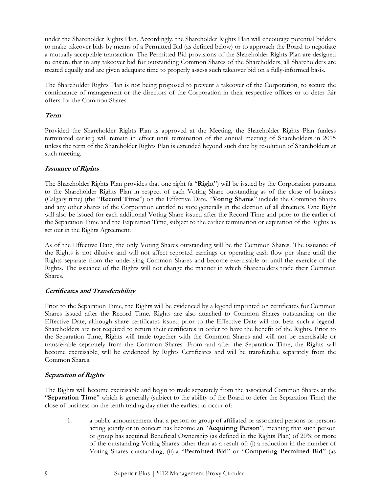under the Shareholder Rights Plan. Accordingly, the Shareholder Rights Plan will encourage potential bidders to make takeover bids by means of a Permitted Bid (as defined below) or to approach the Board to negotiate a mutually acceptable transaction. The Permitted Bid provisions of the Shareholder Rights Plan are designed to ensure that in any takeover bid for outstanding Common Shares of the Shareholders, all Shareholders are treated equally and are given adequate time to properly assess such takeover bid on a fully-informed basis.

The Shareholder Rights Plan is not being proposed to prevent a takeover of the Corporation, to secure the continuance of management or the directors of the Corporation in their respective offices or to deter fair offers for the Common Shares.

## Term

Provided the Shareholder Rights Plan is approved at the Meeting, the Shareholder Rights Plan (unless terminated earlier) will remain in effect until termination of the annual meeting of Shareholders in 2015 unless the term of the Shareholder Rights Plan is extended beyond such date by resolution of Shareholders at such meeting.

#### Issuance of Rights

The Shareholder Rights Plan provides that one right (a "Right") will be issued by the Corporation pursuant to the Shareholder Rights Plan in respect of each Voting Share outstanding as of the close of business (Calgary time) (the "Record Time") on the Effective Date. "Voting Shares" include the Common Shares and any other shares of the Corporation entitled to vote generally in the election of all directors. One Right will also be issued for each additional Voting Share issued after the Record Time and prior to the earlier of the Separation Time and the Expiration Time, subject to the earlier termination or expiration of the Rights as set out in the Rights Agreement.

As of the Effective Date, the only Voting Shares outstanding will be the Common Shares. The issuance of the Rights is not dilutive and will not affect reported earnings or operating cash flow per share until the Rights separate from the underlying Common Shares and become exercisable or until the exercise of the Rights. The issuance of the Rights will not change the manner in which Shareholders trade their Common Shares.

# Certificates and Transferability

Prior to the Separation Time, the Rights will be evidenced by a legend imprinted on certificates for Common Shares issued after the Record Time. Rights are also attached to Common Shares outstanding on the Effective Date, although share certificates issued prior to the Effective Date will not bear such a legend. Shareholders are not required to return their certificates in order to have the benefit of the Rights. Prior to the Separation Time, Rights will trade together with the Common Shares and will not be exercisable or transferable separately from the Common Shares. From and after the Separation Time, the Rights will become exercisable, will be evidenced by Rights Certificates and will be transferable separately from the Common Shares.

# Separation of Rights

The Rights will become exercisable and begin to trade separately from the associated Common Shares at the "Separation Time" which is generally (subject to the ability of the Board to defer the Separation Time) the close of business on the tenth trading day after the earliest to occur of:

 1. a public announcement that a person or group of affiliated or associated persons or persons acting jointly or in concert has become an "Acquiring Person", meaning that such person or group has acquired Beneficial Ownership (as defined in the Rights Plan) of 20% or more of the outstanding Voting Shares other than as a result of: (i) a reduction in the number of Voting Shares outstanding; (ii) a "Permitted Bid" or "Competing Permitted Bid" (as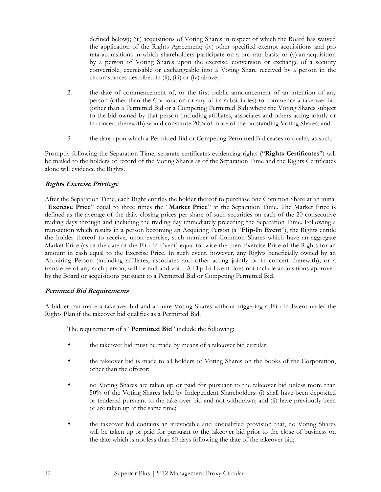defined below); (iii) acquisitions of Voting Shares in respect of which the Board has waived the application of the Rights Agreement; (iv) other specified exempt acquisitions and pro rata acquisitions in which shareholders participate on a pro rata basis; or (v) an acquisition by a person of Voting Shares upon the exercise, conversion or exchange of a security convertible, exercisable or exchangeable into a Voting Share received by a person in the circumstances described in (ii), (iii) or (iv) above;

- 2. the date of commencement of, or the first public announcement of an intention of any person (other than the Corporation or any of its subsidiaries) to commence a takeover bid (other than a Permitted Bid or a Competing Permitted Bid) where the Voting Shares subject to the bid owned by that person (including affiliates, associates and others acting jointly or in concert therewith) would constitute 20% of more of the outstanding Voting Shares; and
- 3. the date upon which a Permitted Bid or Competing Permitted Bid ceases to qualify as such.

Promptly following the Separation Time, separate certificates evidencing rights ("Rights Certificates") will be mailed to the holders of record of the Voting Shares as of the Separation Time and the Rights Certificates alone will evidence the Rights.

# Rights Exercise Privilege

After the Separation Time, each Right entitles the holder thereof to purchase one Common Share at an initial "Exercise Price" equal to three times the "Market Price" at the Separation Time. The Market Price is defined as the average of the daily closing prices per share of such securities on each of the 20 consecutive trading days through and including the trading day immediately preceding the Separation Time. Following a transaction which results in a person becoming an Acquiring Person (a "Flip-In Event"), the Rights entitle the holder thereof to receive, upon exercise, such number of Common Shares which have an aggregate Market Price (as of the date of the Flip-In Event) equal to twice the then Exercise Price of the Rights for an amount in cash equal to the Exercise Price. In such event, however, any Rights beneficially owned by an Acquiring Person (including affiliates, associates and other acting jointly or in concert therewith), or a transferee of any such person, will be null and void. A Flip-In Event does not include acquisitions approved by the Board or acquisitions pursuant to a Permitted Bid or Competing Permitted Bid.

# Permitted Bid Requirements

A bidder can make a takeover bid and acquire Voting Shares without triggering a Flip-In Event under the Rights Plan if the takeover bid qualifies as a Permitted Bid.

The requirements of a "Permitted Bid" include the following:

- the takeover bid must be made by means of a takeover bid circular;
- the takeover bid is made to all holders of Voting Shares on the books of the Corporation, other than the offeror;
- no Voting Shares are taken up or paid for pursuant to the takeover bid unless more than 50% of the Voting Shares held by Independent Shareholders: (i) shall have been deposited or tendered pursuant to the take-over bid and not withdrawn; and (ii) have previously been or are taken up at the same time;
- the takeover bid contains an irrevocable and unqualified provision that, no Voting Shares will be taken up or paid for pursuant to the takeover bid prior to the close of business on the date which is not less than 60 days following the date of the takeover bid;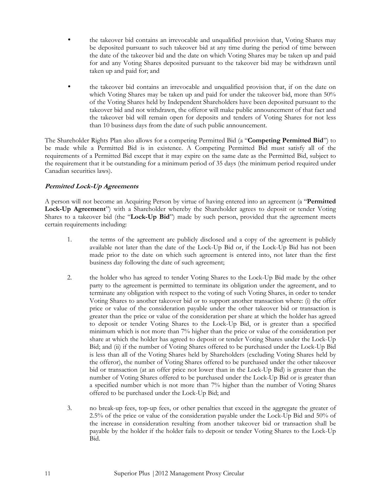- the takeover bid contains an irrevocable and unqualified provision that, Voting Shares may be deposited pursuant to such takeover bid at any time during the period of time between the date of the takeover bid and the date on which Voting Shares may be taken up and paid for and any Voting Shares deposited pursuant to the takeover bid may be withdrawn until taken up and paid for; and
- the takeover bid contains an irrevocable and unqualified provision that, if on the date on which Voting Shares may be taken up and paid for under the takeover bid, more than 50% of the Voting Shares held by Independent Shareholders have been deposited pursuant to the takeover bid and not withdrawn, the offeror will make public announcement of that fact and the takeover bid will remain open for deposits and tenders of Voting Shares for not less than 10 business days from the date of such public announcement.

The Shareholder Rights Plan also allows for a competing Permitted Bid (a "Competing Permitted Bid") to be made while a Permitted Bid is in existence. A Competing Permitted Bid must satisfy all of the requirements of a Permitted Bid except that it may expire on the same date as the Permitted Bid, subject to the requirement that it be outstanding for a minimum period of 35 days (the minimum period required under Canadian securities laws).

# Permitted Lock-Up Agreements

A person will not become an Acquiring Person by virtue of having entered into an agreement (a "Permitted Lock-Up Agreement") with a Shareholder whereby the Shareholder agrees to deposit or tender Voting Shares to a takeover bid (the "Lock-Up Bid") made by such person, provided that the agreement meets certain requirements including:

- 1. the terms of the agreement are publicly disclosed and a copy of the agreement is publicly available not later than the date of the Lock-Up Bid or, if the Lock-Up Bid has not been made prior to the date on which such agreement is entered into, not later than the first business day following the date of such agreement;
- 2. the holder who has agreed to tender Voting Shares to the Lock-Up Bid made by the other party to the agreement is permitted to terminate its obligation under the agreement, and to terminate any obligation with respect to the voting of such Voting Shares, in order to tender Voting Shares to another takeover bid or to support another transaction where: (i) the offer price or value of the consideration payable under the other takeover bid or transaction is greater than the price or value of the consideration per share at which the holder has agreed to deposit or tender Voting Shares to the Lock-Up Bid, or is greater than a specified minimum which is not more than 7% higher than the price or value of the consideration per share at which the holder has agreed to deposit or tender Voting Shares under the Lock-Up Bid; and (ii) if the number of Voting Shares offered to be purchased under the Lock-Up Bid is less than all of the Voting Shares held by Shareholders (excluding Voting Shares held by the offeror), the number of Voting Shares offered to be purchased under the other takeover bid or transaction (at an offer price not lower than in the Lock-Up Bid) is greater than the number of Voting Shares offered to be purchased under the Lock-Up Bid or is greater than a specified number which is not more than 7% higher than the number of Voting Shares offered to be purchased under the Lock-Up Bid; and
- 3. no break-up fees, top-up fees, or other penalties that exceed in the aggregate the greater of 2.5% of the price or value of the consideration payable under the Lock-Up Bid and 50% of the increase in consideration resulting from another takeover bid or transaction shall be payable by the holder if the holder fails to deposit or tender Voting Shares to the Lock-Up Bid.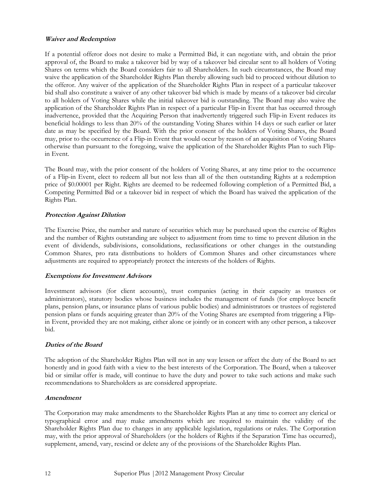#### Waiver and Redemption

If a potential offeror does not desire to make a Permitted Bid, it can negotiate with, and obtain the prior approval of, the Board to make a takeover bid by way of a takeover bid circular sent to all holders of Voting Shares on terms which the Board considers fair to all Shareholders. In such circumstances, the Board may waive the application of the Shareholder Rights Plan thereby allowing such bid to proceed without dilution to the offeror. Any waiver of the application of the Shareholder Rights Plan in respect of a particular takeover bid shall also constitute a waiver of any other takeover bid which is made by means of a takeover bid circular to all holders of Voting Shares while the initial takeover bid is outstanding. The Board may also waive the application of the Shareholder Rights Plan in respect of a particular Flip-in Event that has occurred through inadvertence, provided that the Acquiring Person that inadvertently triggered such Flip-in Event reduces its beneficial holdings to less than 20% of the outstanding Voting Shares within 14 days or such earlier or later date as may be specified by the Board. With the prior consent of the holders of Voting Shares, the Board may, prior to the occurrence of a Flip-in Event that would occur by reason of an acquisition of Voting Shares otherwise than pursuant to the foregoing, waive the application of the Shareholder Rights Plan to such Flipin Event.

The Board may, with the prior consent of the holders of Voting Shares, at any time prior to the occurrence of a Flip-in Event, elect to redeem all but not less than all of the then outstanding Rights at a redemption price of \$0.00001 per Right. Rights are deemed to be redeemed following completion of a Permitted Bid, a Competing Permitted Bid or a takeover bid in respect of which the Board has waived the application of the Rights Plan.

# Protection Against Dilution

The Exercise Price, the number and nature of securities which may be purchased upon the exercise of Rights and the number of Rights outstanding are subject to adjustment from time to time to prevent dilution in the event of dividends, subdivisions, consolidations, reclassifications or other changes in the outstanding Common Shares, pro rata distributions to holders of Common Shares and other circumstances where adjustments are required to appropriately protect the interests of the holders of Rights.

# Exemptions for Investment Advisors

Investment advisors (for client accounts), trust companies (acting in their capacity as trustees or administrators), statutory bodies whose business includes the management of funds (for employee benefit plans, pension plans, or insurance plans of various public bodies) and administrators or trustees of registered pension plans or funds acquiring greater than 20% of the Voting Shares are exempted from triggering a Flipin Event, provided they are not making, either alone or jointly or in concert with any other person, a takeover bid.

# Duties of the Board

The adoption of the Shareholder Rights Plan will not in any way lessen or affect the duty of the Board to act honestly and in good faith with a view to the best interests of the Corporation. The Board, when a takeover bid or similar offer is made, will continue to have the duty and power to take such actions and make such recommendations to Shareholders as are considered appropriate.

# Amendment

The Corporation may make amendments to the Shareholder Rights Plan at any time to correct any clerical or typographical error and may make amendments which are required to maintain the validity of the Shareholder Rights Plan due to changes in any applicable legislation, regulations or rules. The Corporation may, with the prior approval of Shareholders (or the holders of Rights if the Separation Time has occurred), supplement, amend, vary, rescind or delete any of the provisions of the Shareholder Rights Plan.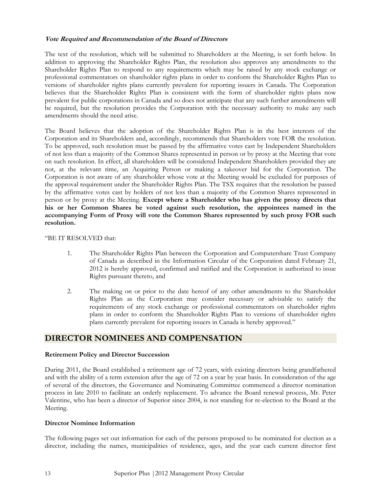#### Vote Required and Recommendation of the Board of Directors

The text of the resolution, which will be submitted to Shareholders at the Meeting, is set forth below. In addition to approving the Shareholder Rights Plan, the resolution also approves any amendments to the Shareholder Rights Plan to respond to any requirements which may be raised by any stock exchange or professional commentators on shareholder rights plans in order to conform the Shareholder Rights Plan to versions of shareholder rights plans currently prevalent for reporting issuers in Canada. The Corporation believes that the Shareholder Rights Plan is consistent with the form of shareholder rights plans now prevalent for public corporations in Canada and so does not anticipate that any such further amendments will be required, but the resolution provides the Corporation with the necessary authority to make any such amendments should the need arise.

The Board believes that the adoption of the Shareholder Rights Plan is in the best interests of the Corporation and its Shareholders and, accordingly, recommends that Shareholders vote FOR the resolution. To be approved, such resolution must be passed by the affirmative votes cast by Independent Shareholders of not less than a majority of the Common Shares represented in person or by proxy at the Meeting that vote on such resolution. In effect, all shareholders will be considered Independent Shareholders provided they are not, at the relevant time, an Acquiring Person or making a takeover bid for the Corporation. The Corporation is not aware of any shareholder whose vote at the Meeting would be excluded for purposes of the approval requirement under the Shareholder Rights Plan. The TSX requires that the resolution be passed by the affirmative votes cast by holders of not less than a majority of the Common Shares represented in person or by proxy at the Meeting. Except where a Shareholder who has given the proxy directs that his or her Common Shares be voted against such resolution, the appointees named in the accompanying Form of Proxy will vote the Common Shares represented by such proxy FOR such resolution.

#### "BE IT RESOLVED that:

- 1. The Shareholder Rights Plan between the Corporation and Computershare Trust Company of Canada as described in the Information Circular of the Corporation dated February 21, 2012 is hereby approved, confirmed and ratified and the Corporation is authorized to issue Rights pursuant thereto, and
- 2. The making on or prior to the date hereof of any other amendments to the Shareholder Rights Plan as the Corporation may consider necessary or advisable to satisfy the requirements of any stock exchange or professional commentators on shareholder rights plans in order to conform the Shareholder Rights Plan to versions of shareholder rights plans currently prevalent for reporting issuers in Canada is hereby approved."

# DIRECTOR NOMINEES AND COMPENSATION

#### Retirement Policy and Director Succession

During 2011, the Board established a retirement age of 72 years, with existing directors being grandfathered and with the ability of a term extension after the age of 72 on a year by year basis. In consideration of the age of several of the directors, the Governance and Nominating Committee commenced a director nomination process in late 2010 to facilitate an orderly replacement. To advance the Board renewal process, Mr. Peter Valentine, who has been a director of Superior since 2004, is not standing for re-election to the Board at the Meeting.

#### Director Nominee Information

The following pages set out information for each of the persons proposed to be nominated for election as a director, including the names, municipalities of residence, ages, and the year each current director first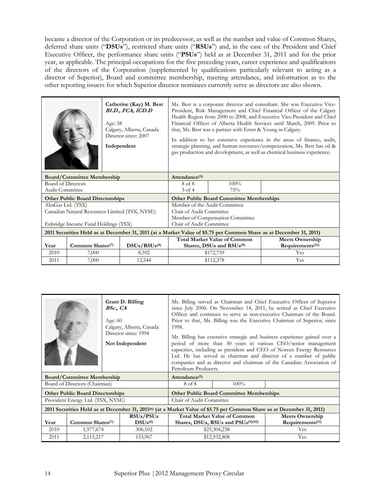became a director of the Corporation or its predecessor, as well as the number and value of Common Shares, deferred share units ("DSUs"), restricted share units ("RSUs") and, in the case of the President and Chief Executive Officer, the performance share units ("PSUs") held as at December 31, 2011 and for the prior year, as applicable. The principal occupations for the five preceding years, career experience and qualifications of the directors of the Corporation (supplemented by qualifications particularly relevant to acting as a director of Superior), Board and committee membership, meeting attendance, and information as to the other reporting issuers for which Superior director nominees currently serve as directors are also shown.

|                                                                                                                     |                                         | Catherine (Kay) M. Best<br>BI.D., FCA, ICD.D<br>Age: 58<br>Calgary, Alberta, Canada<br>Director since: 2007<br>Independent | Ms. Best is a corporate director and consultant. She was Executive Vice-<br>President, Risk Management and Chief Financial Officer of the Calgary<br>Health Region from 2000 to 2008, and Executive Vice-President and Chief<br>Financial Officer of Alberta Health Services until March, 2009. Prior to<br>that, Ms. Best was a partner with Ernst & Young in Calgary.<br>In addition to her extensive experience in the areas of finance, audit,<br>strategic planning, and human resources/compensation, Ms. Best has oil &<br>gas production and development, as well as chemical business experience. |           |            |  |
|---------------------------------------------------------------------------------------------------------------------|-----------------------------------------|----------------------------------------------------------------------------------------------------------------------------|------------------------------------------------------------------------------------------------------------------------------------------------------------------------------------------------------------------------------------------------------------------------------------------------------------------------------------------------------------------------------------------------------------------------------------------------------------------------------------------------------------------------------------------------------------------------------------------------------------|-----------|------------|--|
|                                                                                                                     | <b>Board/Committee Membership</b>       |                                                                                                                            | Attendance <sup>(3)</sup>                                                                                                                                                                                                                                                                                                                                                                                                                                                                                                                                                                                  |           |            |  |
| Board of Directors                                                                                                  |                                         |                                                                                                                            | 8 of 8                                                                                                                                                                                                                                                                                                                                                                                                                                                                                                                                                                                                     | 100%      |            |  |
| <b>Audit Committee</b>                                                                                              |                                         |                                                                                                                            | $3$ of $4$                                                                                                                                                                                                                                                                                                                                                                                                                                                                                                                                                                                                 | 75%       |            |  |
|                                                                                                                     | <b>Other Public Board Directorships</b> |                                                                                                                            | <b>Other Public Board Committee Memberships</b>                                                                                                                                                                                                                                                                                                                                                                                                                                                                                                                                                            |           |            |  |
| AltaGas Ltd. (TSX)                                                                                                  |                                         |                                                                                                                            | Member of the Audit Committee                                                                                                                                                                                                                                                                                                                                                                                                                                                                                                                                                                              |           |            |  |
|                                                                                                                     |                                         | Canadian Natural Resources Limited (TSX, NYSE)                                                                             | Chair of Audit Committee                                                                                                                                                                                                                                                                                                                                                                                                                                                                                                                                                                                   |           |            |  |
|                                                                                                                     |                                         |                                                                                                                            | Member of Compensation Committee                                                                                                                                                                                                                                                                                                                                                                                                                                                                                                                                                                           |           |            |  |
|                                                                                                                     | Enbridge Income Fund Holdings (TSX)     |                                                                                                                            | Chair of Audit Committee                                                                                                                                                                                                                                                                                                                                                                                                                                                                                                                                                                                   |           |            |  |
| 2011 Securities Held as at December 31, 2011 (at a Market Value of \$5.75 per Common Share as at December 31, 2011) |                                         |                                                                                                                            |                                                                                                                                                                                                                                                                                                                                                                                                                                                                                                                                                                                                            |           |            |  |
|                                                                                                                     |                                         |                                                                                                                            | <b>Total Market Value of Common</b><br><b>Meets Ownership</b>                                                                                                                                                                                                                                                                                                                                                                                                                                                                                                                                              |           |            |  |
| Year                                                                                                                | Common Shares <sup>(7)</sup>            | DSUs/RSUs <sup>(8)</sup>                                                                                                   | Requirements <sup>(11)</sup><br>Shares, DSUs and RSUs <sup>(9)</sup>                                                                                                                                                                                                                                                                                                                                                                                                                                                                                                                                       |           |            |  |
| 2010                                                                                                                | 7,000                                   | 8,592                                                                                                                      |                                                                                                                                                                                                                                                                                                                                                                                                                                                                                                                                                                                                            | \$172,759 | <b>Yes</b> |  |
| 2011                                                                                                                | 7,000                                   | 12,544                                                                                                                     |                                                                                                                                                                                                                                                                                                                                                                                                                                                                                                                                                                                                            | \$112,378 | Yes        |  |

|      |                                         | <b>Grant D. Billing</b><br>BSc., CA<br>Age: $60$<br>Calgary, Alberta, Canada<br>Director since: 1994<br>Not Independent | 1998.<br>Petroleum Producers.       |                                                 | Mr. Billing served as Chairman and Chief Executive Officer of Superior<br>since July 2006. On November 14, 2011, he retired as Chief Executive<br>Officer and continues to serve as non-executive Chairman of the Board.<br>Prior to that, Mr. Billing was the Executive Chairman of Superior, since<br>Mr. Billing has extensive strategic and business experience gained over a<br>period of more than 30 years in various CEO/senior management<br>capacities, including as president and CEO of Norcen Energy Resources<br>Ltd. He has served as chairman and director of a number of public<br>companies and as director and chairman of the Canadian Association of |
|------|-----------------------------------------|-------------------------------------------------------------------------------------------------------------------------|-------------------------------------|-------------------------------------------------|---------------------------------------------------------------------------------------------------------------------------------------------------------------------------------------------------------------------------------------------------------------------------------------------------------------------------------------------------------------------------------------------------------------------------------------------------------------------------------------------------------------------------------------------------------------------------------------------------------------------------------------------------------------------------|
|      | <b>Board/Committee Membership</b>       |                                                                                                                         | Attendance $(3)$                    |                                                 |                                                                                                                                                                                                                                                                                                                                                                                                                                                                                                                                                                                                                                                                           |
|      | Board of Directors (Chairman)           |                                                                                                                         | 8 of 8                              | $100\%$                                         |                                                                                                                                                                                                                                                                                                                                                                                                                                                                                                                                                                                                                                                                           |
|      | <b>Other Public Board Directorships</b> |                                                                                                                         |                                     | <b>Other Public Board Committee Memberships</b> |                                                                                                                                                                                                                                                                                                                                                                                                                                                                                                                                                                                                                                                                           |
|      | Provident Energy Ltd. (TSX, NYSE)       |                                                                                                                         | Chair of Audit Committee            |                                                 |                                                                                                                                                                                                                                                                                                                                                                                                                                                                                                                                                                                                                                                                           |
|      |                                         |                                                                                                                         |                                     |                                                 | 2011 Securities Held as at December 31, 2011(6) (at a Market Value of \$5.75 per Common Share as at December 31, 2011)                                                                                                                                                                                                                                                                                                                                                                                                                                                                                                                                                    |
|      |                                         | RSUs/PSUs                                                                                                               | <b>Total Market Value of Common</b> |                                                 | <b>Meets Ownership</b>                                                                                                                                                                                                                                                                                                                                                                                                                                                                                                                                                                                                                                                    |
| Year | Common Shares <sup>(7)</sup>            | $DSUs^{(8)}$                                                                                                            | Shares, DSUs, RSUs and PSUs(9)(10)  |                                                 | Requirements <sup>(11)</sup>                                                                                                                                                                                                                                                                                                                                                                                                                                                                                                                                                                                                                                              |
| 2010 | 1,977,674                               | 306,102                                                                                                                 |                                     | \$25,304,238                                    | Yes                                                                                                                                                                                                                                                                                                                                                                                                                                                                                                                                                                                                                                                                       |
| 2011 | 2,115,217                               | 133,967                                                                                                                 |                                     | \$12,932,808                                    | <b>Yes</b>                                                                                                                                                                                                                                                                                                                                                                                                                                                                                                                                                                                                                                                                |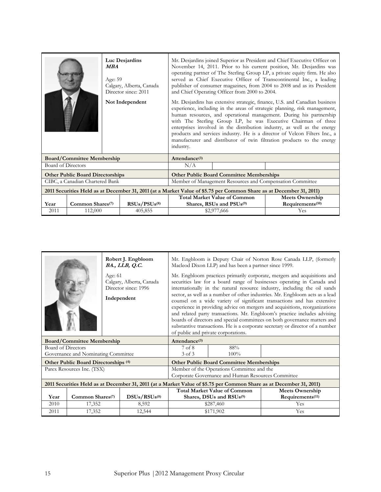|                                                                                                                     |                                         | MBA<br>Age: 59 | Luc Desjardins<br>Calgary, Alberta, Canada<br>Director since: 2011<br>Not Independent | Mr. Desjardins joined Superior as President and Chief Executive Officer on<br>November 14, 2011. Prior to his current position, Mr. Desjardins was<br>operating partner of The Sterling Group LP, a private equity firm. He also<br>served as Chief Executive Officer of Transcontinental Inc., a leading<br>publisher of consumer magazines, from 2004 to 2008 and as its President<br>and Chief Operating Officer from 2000 to 2004.<br>Mr. Desjardins has extensive strategic, finance, U.S. and Canadian business<br>experience, including in the areas of strategic planning, risk management,<br>human resources, and operational management. During his partnership<br>with The Sterling Group LP, he was Executive Chairman of three<br>enterprises involved in the distribution industry, as well as the energy<br>products and services industry. He is a director of Velcon Filters Inc., a<br>manufacturer and distributor of twin filtration products to the energy<br>industry. |                                                 |                              |  |
|---------------------------------------------------------------------------------------------------------------------|-----------------------------------------|----------------|---------------------------------------------------------------------------------------|-----------------------------------------------------------------------------------------------------------------------------------------------------------------------------------------------------------------------------------------------------------------------------------------------------------------------------------------------------------------------------------------------------------------------------------------------------------------------------------------------------------------------------------------------------------------------------------------------------------------------------------------------------------------------------------------------------------------------------------------------------------------------------------------------------------------------------------------------------------------------------------------------------------------------------------------------------------------------------------------------|-------------------------------------------------|------------------------------|--|
|                                                                                                                     | <b>Board/Committee Membership</b>       |                |                                                                                       | Attendance $(3)$                                                                                                                                                                                                                                                                                                                                                                                                                                                                                                                                                                                                                                                                                                                                                                                                                                                                                                                                                                              |                                                 |                              |  |
| Board of Directors                                                                                                  |                                         |                |                                                                                       | N/A                                                                                                                                                                                                                                                                                                                                                                                                                                                                                                                                                                                                                                                                                                                                                                                                                                                                                                                                                                                           |                                                 |                              |  |
|                                                                                                                     | <b>Other Public Board Directorships</b> |                |                                                                                       |                                                                                                                                                                                                                                                                                                                                                                                                                                                                                                                                                                                                                                                                                                                                                                                                                                                                                                                                                                                               | <b>Other Public Board Committee Memberships</b> |                              |  |
|                                                                                                                     | CIBC, a Canadian Chartered Bank         |                |                                                                                       | Member of Management Resources and Compensation Committee                                                                                                                                                                                                                                                                                                                                                                                                                                                                                                                                                                                                                                                                                                                                                                                                                                                                                                                                     |                                                 |                              |  |
| 2011 Securities Held as at December 31, 2011 (at a Market Value of \$5.75 per Common Share as at December 31, 2011) |                                         |                |                                                                                       |                                                                                                                                                                                                                                                                                                                                                                                                                                                                                                                                                                                                                                                                                                                                                                                                                                                                                                                                                                                               |                                                 |                              |  |
|                                                                                                                     |                                         |                |                                                                                       | <b>Total Market Value of Common</b><br><b>Meets Ownership</b>                                                                                                                                                                                                                                                                                                                                                                                                                                                                                                                                                                                                                                                                                                                                                                                                                                                                                                                                 |                                                 |                              |  |
| Year                                                                                                                | Common Shares <sup>(7)</sup>            |                | $RSUs/PSUs^{(8)}$                                                                     |                                                                                                                                                                                                                                                                                                                                                                                                                                                                                                                                                                                                                                                                                                                                                                                                                                                                                                                                                                                               | Shares, RSUs and PSUs <sup>(9)</sup>            | Requirements <sup>(10)</sup> |  |
| 2011                                                                                                                | 112,000                                 |                | 405,855                                                                               |                                                                                                                                                                                                                                                                                                                                                                                                                                                                                                                                                                                                                                                                                                                                                                                                                                                                                                                                                                                               | \$2,977,666                                     | Yes                          |  |

|                                                                                                                     |                                      | Robert J. Engbloom<br>BA., LLB, Q.C. |                                                                                                                                                                                                                                                                                                                                                                                                                                                                                                                                                                                                                                                                                                                                                             | Macleod Dixon LLP) and has been a partner since 1999. | Mr. Engbloom is Deputy Chair of Norton Rose Canada LLP, (formerly |  |
|---------------------------------------------------------------------------------------------------------------------|--------------------------------------|--------------------------------------|-------------------------------------------------------------------------------------------------------------------------------------------------------------------------------------------------------------------------------------------------------------------------------------------------------------------------------------------------------------------------------------------------------------------------------------------------------------------------------------------------------------------------------------------------------------------------------------------------------------------------------------------------------------------------------------------------------------------------------------------------------------|-------------------------------------------------------|-------------------------------------------------------------------|--|
| Age: 61<br>Calgary, Alberta, Canada<br>Director since: 1996<br>Independent                                          |                                      |                                      | Mr. Engbloom practices primarily corporate, mergers and acquisitions and<br>securities law for a board range of businesses operating in Canada and<br>internationally in the natural resource industry, including the oil sands<br>sector, as well as a number of other industries. Mr. Engbloom acts as a lead<br>counsel on a wide variety of significant transactions and has extensive<br>experience in providing advice on mergers and acquisitions, reorganizations<br>and related party transactions. Mr. Engbloom's practice includes advising<br>boards of directors and special committees on both governance matters and<br>substantive transactions. He is a corporate secretary or director of a number<br>of public and private corporations. |                                                       |                                                                   |  |
| <b>Board/Committee Membership</b>                                                                                   |                                      |                                      | Attendance <sup>(3)</sup>                                                                                                                                                                                                                                                                                                                                                                                                                                                                                                                                                                                                                                                                                                                                   |                                                       |                                                                   |  |
| Board of Directors                                                                                                  |                                      |                                      | 7 of 8                                                                                                                                                                                                                                                                                                                                                                                                                                                                                                                                                                                                                                                                                                                                                      | 88%                                                   |                                                                   |  |
|                                                                                                                     | Governance and Nominating Committee  |                                      | 3 of 3                                                                                                                                                                                                                                                                                                                                                                                                                                                                                                                                                                                                                                                                                                                                                      | $100\%$                                               |                                                                   |  |
|                                                                                                                     | Other Public Board Directorships (4) |                                      |                                                                                                                                                                                                                                                                                                                                                                                                                                                                                                                                                                                                                                                                                                                                                             | <b>Other Public Board Committee Memberships</b>       |                                                                   |  |
|                                                                                                                     | Parex Resources Inc. (TSX)           |                                      |                                                                                                                                                                                                                                                                                                                                                                                                                                                                                                                                                                                                                                                                                                                                                             | Member of the Operations Committee and the            |                                                                   |  |
|                                                                                                                     |                                      |                                      | Corporate Governance and Human Resources Committee                                                                                                                                                                                                                                                                                                                                                                                                                                                                                                                                                                                                                                                                                                          |                                                       |                                                                   |  |
| 2011 Securities Held as at December 31, 2011 (at a Market Value of \$5.75 per Common Share as at December 31, 2011) |                                      |                                      |                                                                                                                                                                                                                                                                                                                                                                                                                                                                                                                                                                                                                                                                                                                                                             |                                                       |                                                                   |  |
| Year                                                                                                                | Common Shares <sup>(7)</sup>         |                                      | <b>Total Market Value of Common</b>                                                                                                                                                                                                                                                                                                                                                                                                                                                                                                                                                                                                                                                                                                                         |                                                       | <b>Meets Ownership</b>                                            |  |
| 2010                                                                                                                | 17,352                               | DSUs/RSUs <sup>(8)</sup><br>8,592    | Shares, DSUs and RSUs <sup>(9)</sup><br>\$287,460                                                                                                                                                                                                                                                                                                                                                                                                                                                                                                                                                                                                                                                                                                           |                                                       | Requirements <sup>(11)</sup><br>Yes                               |  |
| 2011                                                                                                                | 17,352                               | 12,544                               |                                                                                                                                                                                                                                                                                                                                                                                                                                                                                                                                                                                                                                                                                                                                                             | \$171,902                                             | Yes                                                               |  |
|                                                                                                                     |                                      |                                      |                                                                                                                                                                                                                                                                                                                                                                                                                                                                                                                                                                                                                                                                                                                                                             |                                                       |                                                                   |  |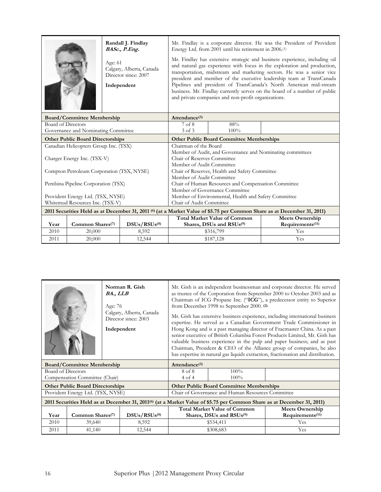|                           |                                           | Age: 61 | Randall J. Findlay<br>BASc., P.Eng.<br>Calgary, Alberta, Canada<br>Director since: 2007<br>Independent | Mr. Findlay is a corporate director. He was the President of Provident<br>Energy Ltd. from 2001 until his retirement in 2006. <sup>(1)</sup><br>Mr. Findlay has extensive strategic and business experience, including oil<br>and natural gas experience with focus in the exploration and production,<br>transportation, midstream and marketing sectors. He was a senior vice<br>president and member of the executive leadership team at TransCanada<br>Pipelines and president of TransCanada's North American mid-stream<br>business. Mr. Findlay currently serves on the board of a number of public<br>and private companies and non-profit organizations. |                                                      |                                                                                                                         |  |
|---------------------------|-------------------------------------------|---------|--------------------------------------------------------------------------------------------------------|-------------------------------------------------------------------------------------------------------------------------------------------------------------------------------------------------------------------------------------------------------------------------------------------------------------------------------------------------------------------------------------------------------------------------------------------------------------------------------------------------------------------------------------------------------------------------------------------------------------------------------------------------------------------|------------------------------------------------------|-------------------------------------------------------------------------------------------------------------------------|--|
|                           | <b>Board/Committee Membership</b>         |         |                                                                                                        | Attendance <sup>(3)</sup>                                                                                                                                                                                                                                                                                                                                                                                                                                                                                                                                                                                                                                         |                                                      |                                                                                                                         |  |
| <b>Board of Directors</b> |                                           |         |                                                                                                        | 7 of 8                                                                                                                                                                                                                                                                                                                                                                                                                                                                                                                                                                                                                                                            | 88%                                                  |                                                                                                                         |  |
|                           | Governance and Nominating Committee       |         |                                                                                                        | 3 of 3                                                                                                                                                                                                                                                                                                                                                                                                                                                                                                                                                                                                                                                            | 100%                                                 |                                                                                                                         |  |
|                           | <b>Other Public Board Directorships</b>   |         |                                                                                                        |                                                                                                                                                                                                                                                                                                                                                                                                                                                                                                                                                                                                                                                                   | <b>Other Public Board Committee Memberships</b>      |                                                                                                                         |  |
|                           | Canadian Helicopters Group Inc. (TSX)     |         |                                                                                                        | Chairman of the Board                                                                                                                                                                                                                                                                                                                                                                                                                                                                                                                                                                                                                                             |                                                      |                                                                                                                         |  |
|                           |                                           |         |                                                                                                        | Member of Audit, and Governance and Nominating committees                                                                                                                                                                                                                                                                                                                                                                                                                                                                                                                                                                                                         |                                                      |                                                                                                                         |  |
|                           | Charger Energy Inc. (TSX-V)               |         |                                                                                                        | Chair of Reserves Committee                                                                                                                                                                                                                                                                                                                                                                                                                                                                                                                                                                                                                                       |                                                      |                                                                                                                         |  |
|                           |                                           |         |                                                                                                        | Member of Audit Committee                                                                                                                                                                                                                                                                                                                                                                                                                                                                                                                                                                                                                                         |                                                      |                                                                                                                         |  |
|                           | Compton Petroleum Corporation (TSX, NYSE) |         |                                                                                                        | Chair of Reserves, Health and Safety Committee                                                                                                                                                                                                                                                                                                                                                                                                                                                                                                                                                                                                                    |                                                      |                                                                                                                         |  |
|                           |                                           |         |                                                                                                        | Member of Audit Committee                                                                                                                                                                                                                                                                                                                                                                                                                                                                                                                                                                                                                                         |                                                      |                                                                                                                         |  |
|                           | Pembina Pipeline Corporation (TSX)        |         |                                                                                                        | Chair of Human Resources and Compensation Committee                                                                                                                                                                                                                                                                                                                                                                                                                                                                                                                                                                                                               |                                                      |                                                                                                                         |  |
|                           |                                           |         |                                                                                                        |                                                                                                                                                                                                                                                                                                                                                                                                                                                                                                                                                                                                                                                                   | Member of Governance Committee                       |                                                                                                                         |  |
|                           | Provident Energy Ltd. (TSX, NYSE)         |         |                                                                                                        |                                                                                                                                                                                                                                                                                                                                                                                                                                                                                                                                                                                                                                                                   | Member of Environmental, Health and Safety Committee |                                                                                                                         |  |
|                           | Whitemud Resources Inc. (TSX-V)           |         |                                                                                                        | Chair of Audit Committee                                                                                                                                                                                                                                                                                                                                                                                                                                                                                                                                                                                                                                          |                                                      |                                                                                                                         |  |
|                           |                                           |         |                                                                                                        |                                                                                                                                                                                                                                                                                                                                                                                                                                                                                                                                                                                                                                                                   |                                                      | 2011 Securities Held as at December 31, 2011 (6) (at a Market Value of \$5.75 per Common Share as at December 31, 2011) |  |
|                           |                                           |         |                                                                                                        | <b>Total Market Value of Common</b><br><b>Meets Ownership</b>                                                                                                                                                                                                                                                                                                                                                                                                                                                                                                                                                                                                     |                                                      |                                                                                                                         |  |
| Year                      | Common Shares <sup>(7)</sup>              |         | DSUs/RSUs <sup>(8)</sup>                                                                               |                                                                                                                                                                                                                                                                                                                                                                                                                                                                                                                                                                                                                                                                   | Shares, DSUs and RSUs <sup>(9)</sup>                 | Requirements <sup>(11)</sup>                                                                                            |  |
| 2010                      | 20,000                                    |         | 8,592                                                                                                  |                                                                                                                                                                                                                                                                                                                                                                                                                                                                                                                                                                                                                                                                   | \$316,799                                            | Yes                                                                                                                     |  |
| 2011                      | 20,000                                    |         | 12,544                                                                                                 |                                                                                                                                                                                                                                                                                                                                                                                                                                                                                                                                                                                                                                                                   | \$187,128                                            | Yes                                                                                                                     |  |

|                    |                                         | Norman R. Gish<br>BA., LLB<br>Age: 76<br>Calgary, Alberta, Canada<br>Director since: 2003<br>Independent                           | Mr. Gish is an independent businessman and corporate director. He served<br>as trustee of the Corporation from September 2000 to October 2003 and as<br>Chairman of ICG Propane Inc. ("ICG"), a predecessor entity to Superior<br>from December 1998 to September 2000. (2)<br>Mr. Gish has extensive business experience, including international business<br>expertise. He served as a Canadian Government Trade Commissioner in<br>Hong Kong and is a past managing director of Fracmaster China. As a past<br>senior executive of British Columbia Forest Products Limited, Mr. Gish has<br>valuable business experience in the pulp and paper business; and as past<br>Chairman, President & CEO of the Alliance group of companies, he also<br>has expertise in natural gas liquids extraction, fractionation and distribution. |                                                 |     |  |
|--------------------|-----------------------------------------|------------------------------------------------------------------------------------------------------------------------------------|---------------------------------------------------------------------------------------------------------------------------------------------------------------------------------------------------------------------------------------------------------------------------------------------------------------------------------------------------------------------------------------------------------------------------------------------------------------------------------------------------------------------------------------------------------------------------------------------------------------------------------------------------------------------------------------------------------------------------------------------------------------------------------------------------------------------------------------|-------------------------------------------------|-----|--|
|                    | <b>Board/Committee Membership</b>       |                                                                                                                                    | Attendance $(3)$                                                                                                                                                                                                                                                                                                                                                                                                                                                                                                                                                                                                                                                                                                                                                                                                                      |                                                 |     |  |
| Board of Directors |                                         |                                                                                                                                    | 8 of 8                                                                                                                                                                                                                                                                                                                                                                                                                                                                                                                                                                                                                                                                                                                                                                                                                                | 100%                                            |     |  |
|                    | Compensation Committee (Chair)          |                                                                                                                                    | 4 of 4                                                                                                                                                                                                                                                                                                                                                                                                                                                                                                                                                                                                                                                                                                                                                                                                                                | $100\%$                                         |     |  |
|                    | <b>Other Public Board Directorships</b> |                                                                                                                                    |                                                                                                                                                                                                                                                                                                                                                                                                                                                                                                                                                                                                                                                                                                                                                                                                                                       | <b>Other Public Board Committee Memberships</b> |     |  |
|                    | Provident Energy Ltd. (TSX, NYSE)       |                                                                                                                                    | Chair of Governance and Human Resources Committee                                                                                                                                                                                                                                                                                                                                                                                                                                                                                                                                                                                                                                                                                                                                                                                     |                                                 |     |  |
|                    |                                         | 2011 Securities Held as at December 31, 2011 <sup>(6)</sup> (at a Market Value of \$5.75 per Common Share as at December 31, 2011) |                                                                                                                                                                                                                                                                                                                                                                                                                                                                                                                                                                                                                                                                                                                                                                                                                                       |                                                 |     |  |
|                    |                                         |                                                                                                                                    | <b>Total Market Value of Common</b><br><b>Meets Ownership</b>                                                                                                                                                                                                                                                                                                                                                                                                                                                                                                                                                                                                                                                                                                                                                                         |                                                 |     |  |
| Year               | Common Shares <sup>(7)</sup>            | DSUs/RSUs <sup>(8)</sup>                                                                                                           | Requirements <sup>(11)</sup><br>Shares, DSUs and RSUs <sup>(9)</sup>                                                                                                                                                                                                                                                                                                                                                                                                                                                                                                                                                                                                                                                                                                                                                                  |                                                 |     |  |
| 2010               | 39,640                                  | 8,592                                                                                                                              |                                                                                                                                                                                                                                                                                                                                                                                                                                                                                                                                                                                                                                                                                                                                                                                                                                       | \$534,411                                       | Yes |  |
| 2011               | 41,140                                  | 12,544                                                                                                                             |                                                                                                                                                                                                                                                                                                                                                                                                                                                                                                                                                                                                                                                                                                                                                                                                                                       | \$308,683                                       | Yes |  |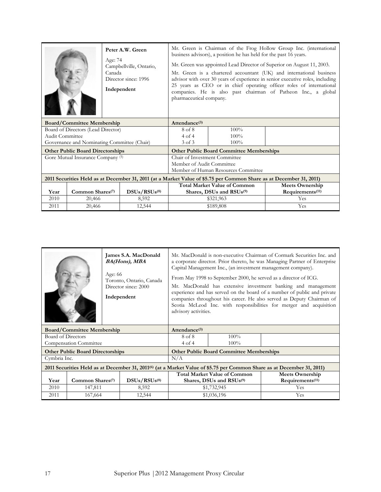|                                   |                                              | Peter A.W. Green<br>Age: 74<br>Campbellville, Ontario,<br>Canada<br>Director since: 1996<br>Independent             | Mr. Green is Chairman of the Frog Hollow Group Inc. (international<br>business advisors), a position he has held for the past 16 years.<br>Mr. Green was appointed Lead Director of Superior on August 11, 2003.<br>Mr. Green is a chartered accountant (UK) and international business<br>advisor with over 30 years of experience in senior executive roles, including<br>25 years as CEO or in chief operating officer roles of international<br>companies. He is also past chairman of Patheon Inc., a global<br>pharmaceutical company. |                                                 |     |  |
|-----------------------------------|----------------------------------------------|---------------------------------------------------------------------------------------------------------------------|----------------------------------------------------------------------------------------------------------------------------------------------------------------------------------------------------------------------------------------------------------------------------------------------------------------------------------------------------------------------------------------------------------------------------------------------------------------------------------------------------------------------------------------------|-------------------------------------------------|-----|--|
| <b>Board/Committee Membership</b> |                                              |                                                                                                                     | Attendance $(3)$                                                                                                                                                                                                                                                                                                                                                                                                                                                                                                                             |                                                 |     |  |
|                                   | Board of Directors (Lead Director)           |                                                                                                                     | 8 of 8                                                                                                                                                                                                                                                                                                                                                                                                                                                                                                                                       | $100\%$                                         |     |  |
| Audit Committee                   |                                              |                                                                                                                     | 4 of 4                                                                                                                                                                                                                                                                                                                                                                                                                                                                                                                                       | 100%                                            |     |  |
|                                   |                                              | Governance and Nominating Committee (Chair)                                                                         | $3$ of $3$                                                                                                                                                                                                                                                                                                                                                                                                                                                                                                                                   | $100\%$                                         |     |  |
|                                   | <b>Other Public Board Directorships</b>      |                                                                                                                     |                                                                                                                                                                                                                                                                                                                                                                                                                                                                                                                                              | <b>Other Public Board Committee Memberships</b> |     |  |
|                                   | Gore Mutual Insurance Company <sup>(5)</sup> |                                                                                                                     |                                                                                                                                                                                                                                                                                                                                                                                                                                                                                                                                              | Chair of Investment Committee                   |     |  |
|                                   |                                              |                                                                                                                     | Member of Audit Committee                                                                                                                                                                                                                                                                                                                                                                                                                                                                                                                    |                                                 |     |  |
|                                   |                                              |                                                                                                                     | Member of Human Resources Committee                                                                                                                                                                                                                                                                                                                                                                                                                                                                                                          |                                                 |     |  |
|                                   |                                              | 2011 Securities Held as at December 31, 2011 (at a Market Value of \$5.75 per Common Share as at December 31, 2011) |                                                                                                                                                                                                                                                                                                                                                                                                                                                                                                                                              |                                                 |     |  |
|                                   |                                              |                                                                                                                     | <b>Total Market Value of Common</b>                                                                                                                                                                                                                                                                                                                                                                                                                                                                                                          | <b>Meets Ownership</b>                          |     |  |
| Year                              | Common Shares <sup>(7)</sup>                 | DSUs/RSUs <sup>(8)</sup>                                                                                            | Requirements <sup>(11)</sup><br>Shares, DSUs and RSUs <sup>(9)</sup>                                                                                                                                                                                                                                                                                                                                                                                                                                                                         |                                                 |     |  |
| 2010                              | 20,466                                       | 8,592                                                                                                               |                                                                                                                                                                                                                                                                                                                                                                                                                                                                                                                                              | \$321,963                                       | Yes |  |
| 2011                              | 20,466                                       | 12,544                                                                                                              |                                                                                                                                                                                                                                                                                                                                                                                                                                                                                                                                              | \$189,808                                       | Yes |  |

|                    | Age: 66                                 | James S.A. MacDonald<br><b>BA(Hons), MBA</b><br>Toronto, Ontario, Canada<br>Director since: 2000<br>Independent | advisory activities.                 | Mr. MacDonald is non-executive Chairman of Cormark Securities Inc. and<br>a corporate director. Prior thereto, he was Managing Partner of Enterprise<br>Capital Management Inc., (an investment management company).<br>From May 1998 to September 2000, he served as a director of ICG.<br>Mr. MacDonald has extensive investment banking and management<br>experience and has served on the board of a number of public and private<br>companies throughout his career. He also served as Deputy Chairman of<br>Scotia McLeod Inc. with responsibilities for merger and acquisition |                                                                                                                                    |
|--------------------|-----------------------------------------|-----------------------------------------------------------------------------------------------------------------|--------------------------------------|---------------------------------------------------------------------------------------------------------------------------------------------------------------------------------------------------------------------------------------------------------------------------------------------------------------------------------------------------------------------------------------------------------------------------------------------------------------------------------------------------------------------------------------------------------------------------------------|------------------------------------------------------------------------------------------------------------------------------------|
|                    | <b>Board/Committee Membership</b>       |                                                                                                                 | Attendance <sup>(3)</sup>            |                                                                                                                                                                                                                                                                                                                                                                                                                                                                                                                                                                                       |                                                                                                                                    |
| Board of Directors |                                         |                                                                                                                 | 8 of 8                               | $100\%$                                                                                                                                                                                                                                                                                                                                                                                                                                                                                                                                                                               |                                                                                                                                    |
|                    | <b>Compensation Committee</b>           |                                                                                                                 | $4$ of $4$                           | $100\%$                                                                                                                                                                                                                                                                                                                                                                                                                                                                                                                                                                               |                                                                                                                                    |
|                    | <b>Other Public Board Directorships</b> |                                                                                                                 |                                      | <b>Other Public Board Committee Memberships</b>                                                                                                                                                                                                                                                                                                                                                                                                                                                                                                                                       |                                                                                                                                    |
| Cymbria Inc.       |                                         |                                                                                                                 | N/A                                  |                                                                                                                                                                                                                                                                                                                                                                                                                                                                                                                                                                                       |                                                                                                                                    |
|                    |                                         |                                                                                                                 |                                      |                                                                                                                                                                                                                                                                                                                                                                                                                                                                                                                                                                                       | 2011 Securities Held as at December 31, 2011 <sup>(6)</sup> (at a Market Value of \$5.75 per Common Share as at December 31, 2011) |
|                    |                                         |                                                                                                                 |                                      | <b>Total Market Value of Common</b>                                                                                                                                                                                                                                                                                                                                                                                                                                                                                                                                                   | <b>Meets Ownership</b>                                                                                                             |
| Year               | Common Shares <sup>(7)</sup>            | DSUs/RSUs <sup>(8)</sup>                                                                                        | Shares, DSUs and RSUs <sup>(9)</sup> |                                                                                                                                                                                                                                                                                                                                                                                                                                                                                                                                                                                       | Requirements <sup>(11)</sup>                                                                                                       |
| 2010               | 147,811                                 | 8,592                                                                                                           |                                      | \$1,732,945                                                                                                                                                                                                                                                                                                                                                                                                                                                                                                                                                                           | Yes                                                                                                                                |
| 2011               | 167,664                                 | 12,544                                                                                                          |                                      | \$1,036,196                                                                                                                                                                                                                                                                                                                                                                                                                                                                                                                                                                           | Yes                                                                                                                                |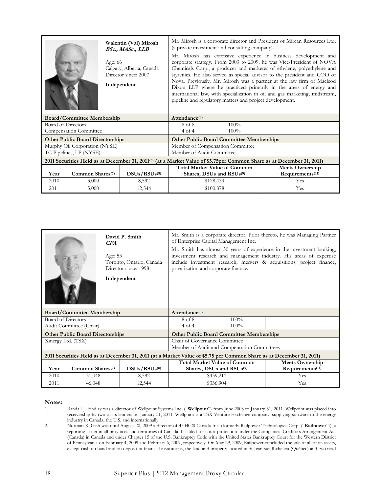|                                                                            |                                         |  | Walentin (Val) Mirosh<br>BSc., MASc., LLB |                                                                                                                                                                                                                                                                                                                                                                                                                                                                                                                                                                                        | (a private investment and consulting company). | Mr. Mirosh is a corporate director and President of Mircan Resources Ltd.                                                         |
|----------------------------------------------------------------------------|-----------------------------------------|--|-------------------------------------------|----------------------------------------------------------------------------------------------------------------------------------------------------------------------------------------------------------------------------------------------------------------------------------------------------------------------------------------------------------------------------------------------------------------------------------------------------------------------------------------------------------------------------------------------------------------------------------------|------------------------------------------------|-----------------------------------------------------------------------------------------------------------------------------------|
| Age: 66<br>Calgary, Alberta, Canada<br>Director since: 2007<br>Independent |                                         |  |                                           | Mr. Mirosh has extensive experience in business development and<br>corporate strategy. From 2003 to 2009, he was Vice-President of NOVA<br>Chemicals Corp., a producer and marketer of ethylene, polyethylene and<br>styrenics. He also served as special advisor to the president and COO of<br>Nova. Previously, Mr. Mirosh was a partner at the law firm of Macleod<br>Dixon LLP where he practiced primarily in the areas of energy and<br>international law, with specialization in oil and gas marketing, midstream,<br>pipeline and regulatory matters and project development. |                                                |                                                                                                                                   |
|                                                                            | <b>Board/Committee Membership</b>       |  |                                           | Attendance $(3)$                                                                                                                                                                                                                                                                                                                                                                                                                                                                                                                                                                       |                                                |                                                                                                                                   |
| Board of Directors                                                         |                                         |  |                                           | 8 of 8                                                                                                                                                                                                                                                                                                                                                                                                                                                                                                                                                                                 | 100%                                           |                                                                                                                                   |
|                                                                            | <b>Compensation Committee</b>           |  |                                           | 4 of 4                                                                                                                                                                                                                                                                                                                                                                                                                                                                                                                                                                                 | $100\%$                                        |                                                                                                                                   |
|                                                                            | <b>Other Public Board Directorships</b> |  |                                           | <b>Other Public Board Committee Memberships</b>                                                                                                                                                                                                                                                                                                                                                                                                                                                                                                                                        |                                                |                                                                                                                                   |
|                                                                            | Murphy Oil Corporation (NYSE)           |  |                                           | Member of Compensation Committee                                                                                                                                                                                                                                                                                                                                                                                                                                                                                                                                                       |                                                |                                                                                                                                   |
|                                                                            | TC Pipelines, LP (NYSE)                 |  |                                           | Member of Audit Committee                                                                                                                                                                                                                                                                                                                                                                                                                                                                                                                                                              |                                                |                                                                                                                                   |
|                                                                            |                                         |  |                                           |                                                                                                                                                                                                                                                                                                                                                                                                                                                                                                                                                                                        |                                                | 2011 Securities Held as at December 31, 2011 <sup>(6)</sup> (at a Market Value of \$5.75per Common Share as at December 31, 2011) |
|                                                                            |                                         |  |                                           | <b>Total Market Value of Common</b>                                                                                                                                                                                                                                                                                                                                                                                                                                                                                                                                                    | <b>Meets Ownership</b>                         |                                                                                                                                   |
| Year                                                                       | Common Shares <sup>(7)</sup>            |  | DSUs/RSUs <sup>(8)</sup>                  | Shares, DSUs and RSUs(9)                                                                                                                                                                                                                                                                                                                                                                                                                                                                                                                                                               |                                                | Requirements <sup>(11)</sup>                                                                                                      |
| 2010                                                                       | 3,000                                   |  | 8,592                                     |                                                                                                                                                                                                                                                                                                                                                                                                                                                                                                                                                                                        | \$128,439                                      | Yes                                                                                                                               |
| 2011                                                                       | 5,000                                   |  | 12,544                                    | \$100,878                                                                                                                                                                                                                                                                                                                                                                                                                                                                                                                                                                              |                                                | Yes                                                                                                                               |

| David P. Smith<br>CFA<br>Age: 53<br>Toronto, Ontario, Canada<br>Director since: 1998<br>Independent |                                         |                                                                                                                     | Mr. Smith is a corporate director. Prior thereto, he was Managing Partner<br>of Enterprise Capital Management Inc.<br>Mr. Smith has almost 30 years of experience in the investment banking,<br>investment research and management industry. His areas of expertise<br>include investment research, mergers & acquisitions, project finance,<br>privatization and corporate finance. |                                                 |                              |
|-----------------------------------------------------------------------------------------------------|-----------------------------------------|---------------------------------------------------------------------------------------------------------------------|--------------------------------------------------------------------------------------------------------------------------------------------------------------------------------------------------------------------------------------------------------------------------------------------------------------------------------------------------------------------------------------|-------------------------------------------------|------------------------------|
|                                                                                                     | <b>Board/Committee Membership</b>       |                                                                                                                     | Attendance <sup>(3)</sup>                                                                                                                                                                                                                                                                                                                                                            |                                                 |                              |
| Board of Directors                                                                                  |                                         |                                                                                                                     | 8 of 8                                                                                                                                                                                                                                                                                                                                                                               | $100\%$                                         |                              |
|                                                                                                     | Audit Committee (Chair)                 |                                                                                                                     | 4 of 4                                                                                                                                                                                                                                                                                                                                                                               | $100\%$                                         |                              |
|                                                                                                     | <b>Other Public Board Directorships</b> |                                                                                                                     |                                                                                                                                                                                                                                                                                                                                                                                      | <b>Other Public Board Committee Memberships</b> |                              |
| Xinergy Ltd. (TSX)                                                                                  |                                         |                                                                                                                     | Chair of Governance Committee                                                                                                                                                                                                                                                                                                                                                        |                                                 |                              |
|                                                                                                     |                                         |                                                                                                                     | Member of Audit and Compensation Committees                                                                                                                                                                                                                                                                                                                                          |                                                 |                              |
|                                                                                                     |                                         | 2011 Securities Held as at December 31, 2011 (at a Market Value of \$5.75 per Common Share as at December 31, 2011) |                                                                                                                                                                                                                                                                                                                                                                                      |                                                 |                              |
|                                                                                                     |                                         |                                                                                                                     | <b>Total Market Value of Common</b>                                                                                                                                                                                                                                                                                                                                                  |                                                 | <b>Meets Ownership</b>       |
| Year                                                                                                | Common Shares <sup>(7)</sup>            | DSUs/RSUs <sup>(8)</sup>                                                                                            | Shares, DSUs and RSUs <sup>(9)</sup>                                                                                                                                                                                                                                                                                                                                                 |                                                 | Requirements <sup>(11)</sup> |
| 2010                                                                                                | 31,048                                  | 8,592                                                                                                               |                                                                                                                                                                                                                                                                                                                                                                                      | \$439,211                                       | Yes                          |
| 2011                                                                                                | 46,048                                  | 12,544                                                                                                              |                                                                                                                                                                                                                                                                                                                                                                                      | \$336,904                                       | Yes                          |

# Notes:<br>1.

Randall J. Findlay was a director of Wellpoint Systems Inc. ("Wellpoint") from June 2008 to January 31, 2011. Wellpoint was placed into receivership by two of its lenders on January 31, 2011. Wellpoint is a TSX Venture Exchange company, supplying software to the energy industry in Canada, the U.S. and internationally.

2. Norman R. Gish was until August 20, 2009 a director of 4504020 Canada Inc. (formerly Railpower Technologies Corp. ("Railpower")), a reporting issuer in all provinces and territories of Canada that filed for court protection under the Companies' Creditors Arrangement Act (Canada) in Canada and under Chapter 15 of the U.S. Bankruptcy Code with the United States Bankruptcy Court for the Western District of Pennsylvania on February 4, 2009 and February 6, 2009, respectively. On May 29, 2009, Railpower concluded the sale of all of its assets, except cash on hand and on deposit in financial institutions, the land and property located in St-Jean-sur-Richelieu (Québec) and two road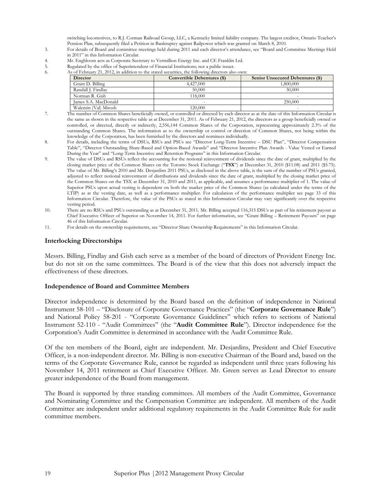switching locomotives, to R.J. Corman Railroad Group, LLC, a Kentucky limited liability company. The largest creditor, Ontario Teacher's Pension Plan, subsequently filed a Petition in Bankruptcy against Railpower which was granted on March 8, 2010.

- 3. For details of Board and committee meetings held during 2011 and each director's attendance, see "Board and Committee Meetings Held in 2011" in this Information Circular.
- 4. Mr. Engbloom acts as Corporate Secretary to Vermillion Energy Inc. and CE Franklin Ltd.
- 5. Regulated by the office of Superintendent of Financial Institutions; not a public issuer.
- 6. As of February 21, 2012, in addition to the stated securities, the following directors also own:

| <b>Director</b>       | Convertible Debentures (\$) | <b>Senior Unsecured Debentures (\$)</b> |
|-----------------------|-----------------------------|-----------------------------------------|
| Grant D. Billing      | 4,427,000                   | 1.800.000                               |
| Randall J. Findlay    | 50,000                      | 30,000                                  |
| Norman R. Gish        | 18,000                      | $\overline{\phantom{a}}$                |
| James S.A. MacDonald  | $\overline{\phantom{a}}$    | 250.000                                 |
| Walentin (Val) Mirosh | 120,000                     | $\overline{\phantom{a}}$                |

- 7. The number of Common Shares beneficially owned, or controlled or directed by each director as at the date of this Information Circular is the same as shown in the respective table as at December 31, 2011. As of February 21, 2012, the directors as a group beneficially owned or controlled, or directed, directly or indirectly, 2,556,144 Common Shares of the Corporation, representing approximately 2.3% of the outstanding Common Shares. The information as to the ownership or control or direction of Common Shares, not being within the knowledge of the Corporation, has been furnished by the directors and nominees individually.
- 8. For details, including the terms of DSUs, RSUs and PSUs see "Director Long-Term Incentive DSU Plan", "Director Compensation Table", "Director Outstanding Share-Based and Option-Based Awards" and "Director Incentive Plan Awards - Value Vested or Earned During the Year" and "Long-Term Incentive and Retention Programs" in this Information Circular.
- 9. The value of DSUs and RSUs reflect the accounting for the notional reinvestment of dividends since the date of grant, multiplied by the closing market price of the Common Shares on the Toronto Stock Exchange ("TSX") at December 31, 2010 (\$11.08) and 2011 (\$5.75). The value of Mr. Billing's 2010 and Mr. Desjardins 2011 PSUs, as disclosed in the above table, is the sum of the number of PSUs granted, adjusted to reflect notional reinvestment of distributions and dividends since the date of grant, multiplied by the closing market price of the Common Shares on the TSX at December 31, 2010 and 2011, as applicable, and assumes a performance multiplier of 1. The value of Superior PSUs upon actual vesting is dependent on both the market price of the Common Shares (as calculated under the terms of the LTIP) as at the vesting date, as well as a performance multiplier. For calculation of the performance multiplier see page 33 of this Information Circular. Therefore, the value of the PSUs as stated in this Information Circular may vary significantly over the respective vesting period.
- 10. There are no RSUs and PSUs outstanding as at December 31, 2011. Mr. Billing accepted 116,315 DSUs as part of his retirement payout as Chief Executive Officer of Superior on November 14, 2011. For further information, see "Grant Billing – Retirement Payouts" on page 46 of this Information Circular.
- 11. For details on the ownership requirements, see "Director Share Ownership Requirements" in this Information Circular.

#### Interlocking Directorships

Messrs. Billing, Findlay and Gish each serve as a member of the board of directors of Provident Energy Inc. but do not sit on the same committees. The Board is of the view that this does not adversely impact the effectiveness of these directors.

#### Independence of Board and Committee Members

Director independence is determined by the Board based on the definition of independence in National Instrument 58-101 – "Disclosure of Corporate Governance Practices" (the "Corporate Governance Rule") and National Policy 58-201 - "Corporate Governance Guidelines" which refers to sections of National Instrument 52-110 - "Audit Committees" (the "Audit Committee Rule"). Director independence for the Corporation's Audit Committee is determined in accordance with the Audit Committee Rule.

Of the ten members of the Board, eight are independent. Mr. Desjardins, President and Chief Executive Officer, is a non-independent director. Mr. Billing is non-executive Chairman of the Board and, based on the terms of the Corporate Governance Rule, cannot be regarded as independent until three years following his November 14, 2011 retirement as Chief Executive Officer. Mr. Green serves as Lead Director to ensure greater independence of the Board from management.

The Board is supported by three standing committees. All members of the Audit Committee, Governance and Nominating Committee and the Compensation Committee are independent. All members of the Audit Committee are independent under additional regulatory requirements in the Audit Committee Rule for audit committee members.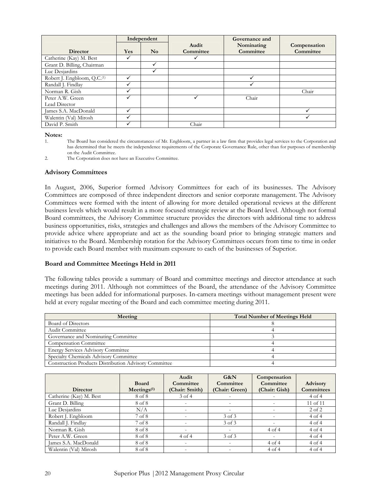|                                         |            | Independent            |           | Governance and |              |
|-----------------------------------------|------------|------------------------|-----------|----------------|--------------|
|                                         |            |                        | Audit     | Nominating     | Compensation |
| <b>Director</b>                         | <b>Yes</b> | $\mathbf{N}\mathbf{o}$ | Committee | Committee      | Committee    |
| Catherine (Kay) M. Best                 |            |                        |           |                |              |
| Grant D. Billing, Chairman              |            | ✓                      |           |                |              |
| Luc Desjardins                          |            | ✓                      |           |                |              |
| Robert J. Engbloom, Q.C. <sup>(1)</sup> |            |                        |           |                |              |
| Randall J. Findlay                      |            |                        |           |                |              |
| Norman R. Gish                          |            |                        |           |                | Chair        |
| Peter A.W. Green                        |            |                        |           | Chair          |              |
| Lead Director                           |            |                        |           |                |              |
| James S.A. MacDonald                    |            |                        |           |                |              |
| Walentin (Val) Mirosh                   |            |                        |           |                |              |
| David P. Smith                          |            |                        | Chair     |                |              |

Notes:<br>1.

#### Advisory Committees

In August, 2006, Superior formed Advisory Committees for each of its businesses. The Advisory Committees are composed of three independent directors and senior corporate management. The Advisory Committees were formed with the intent of allowing for more detailed operational reviews at the different business levels which would result in a more focused strategic review at the Board level. Although not formal Board committees, the Advisory Committee structure provides the directors with additional time to address business opportunities, risks, strategies and challenges and allows the members of the Advisory Committee to provide advice where appropriate and act as the sounding board prior to bringing strategic matters and initiatives to the Board. Membership rotation for the Advisory Committees occurs from time to time in order to provide each Board member with maximum exposure to each of the businesses of Superior.

#### Board and Committee Meetings Held in 2011

The following tables provide a summary of Board and committee meetings and director attendance at such meetings during 2011. Although not committees of the Board, the attendance of the Advisory Committee meetings has been added for informational purposes. In-camera meetings without management present were held at every regular meeting of the Board and each committee meeting during 2011.

| Meeting                                               | <b>Total Number of Meetings Held</b> |
|-------------------------------------------------------|--------------------------------------|
| Board of Directors                                    |                                      |
| Audit Committee                                       |                                      |
| Governance and Nominating Committee                   |                                      |
| <b>Compensation Committee</b>                         |                                      |
| <b>Energy Services Advisory Committee</b>             |                                      |
| Specialty Chemicals Advisory Committee                |                                      |
| Construction Products Distribution Advisory Committee |                                      |

|                         |                         | Audit                    | G&N                      | Compensation  |                   |
|-------------------------|-------------------------|--------------------------|--------------------------|---------------|-------------------|
|                         | <b>Board</b>            | Committee                | Committee                | Committee     | <b>Advisory</b>   |
| Director                | Mectings <sup>(1)</sup> | (Chair: Smith)           | (Chair: Green)           | (Chair: Gish) | <b>Committees</b> |
| Catherine (Kay) M. Best | 8 of 8                  | $3$ of $4$               | $\overline{\phantom{a}}$ |               | $4$ of $4$        |
| Grant D. Billing        | 8 of 8                  | $\qquad \qquad =$        | $\overline{\phantom{0}}$ |               | 11 of 11          |
| Luc Desjardins          | N/A                     | $\overline{\phantom{0}}$ | $\overline{\phantom{0}}$ |               | 2 of 2            |
| Robert J. Engbloom      | 7 of 8                  |                          | $3$ of $3$               |               | $4$ of $4$        |
| Randall J. Findlay      | 7 of 8                  | $\overline{\phantom{0}}$ | 3 of 3                   |               | $4$ of $4$        |
| Norman R. Gish          | 8 of 8                  | $\overline{\phantom{0}}$ |                          | $4$ of $4$    | $4$ of $4$        |
| Peter A.W. Green        | 8 of 8                  | 4 of 4                   | 3 of 3                   |               | $4$ of $4$        |
| James S.A. MacDonald    | 8 of 8                  | $\overline{a}$           | $\overline{\phantom{0}}$ | 4 of 4        | $4$ of $4$        |
| Walentin (Val) Mirosh   | 8 of 8                  | $\overline{\phantom{0}}$ | $\overline{\phantom{a}}$ | $4$ of $4$    | 4 of 4            |

The Board has considered the circumstances of Mr. Engbloom, a partner in a law firm that provides legal services to the Corporation and has determined that he meets the independence requirements of the Corporate Governance Rule, other than for purposes of membership on the Audit Committee.

<sup>2.</sup> The Corporation does not have an Executive Committee.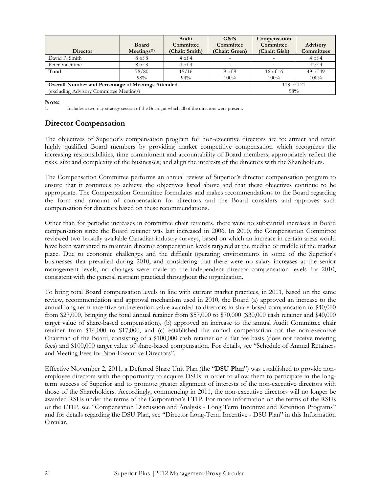| <b>Director</b>                                           | <b>Board</b><br>Mectings <sup>(1)</sup> | Audit<br>Committee<br>(Chair: Smith) | G&N<br>Committee<br>(Chair: Green) | Compensation<br>Committee<br>(Chair: Gish) | <b>Advisory</b><br><b>Committees</b> |
|-----------------------------------------------------------|-----------------------------------------|--------------------------------------|------------------------------------|--------------------------------------------|--------------------------------------|
|                                                           |                                         |                                      |                                    |                                            |                                      |
| David P. Smith                                            | 8 of 8                                  | 4 of 4                               |                                    |                                            | 4 of 4                               |
| Peter Valentine                                           | 8 of 8                                  | 4 of 4                               |                                    |                                            | $4$ of $4$                           |
| Total                                                     | 78/80                                   | 15/16                                | 9 <sub>of</sub> 9                  | 16 of 16                                   | 49 of 49                             |
|                                                           | 98%                                     | $94\%$                               | $100\%$                            | $100\%$                                    | $100\%$                              |
| <b>Overall Number and Percentage of Meetings Attended</b> | 118 of 121                              |                                      |                                    |                                            |                                      |
| (excluding Advisory Committee Meetings)                   | 98%                                     |                                      |                                    |                                            |                                      |

Note:

1. Includes a two-day strategy session of the Board, at which all of the directors were present.

# Director Compensation

The objectives of Superior's compensation program for non-executive directors are to: attract and retain highly qualified Board members by providing market competitive compensation which recognizes the increasing responsibilities, time commitment and accountability of Board members; appropriately reflect the risks, size and complexity of the businesses; and align the interests of the directors with the Shareholders.

The Compensation Committee performs an annual review of Superior's director compensation program to ensure that it continues to achieve the objectives listed above and that these objectives continue to be appropriate. The Compensation Committee formulates and makes recommendations to the Board regarding the form and amount of compensation for directors and the Board considers and approves such compensation for directors based on these recommendations.

Other than for periodic increases in committee chair retainers, there were no substantial increases in Board compensation since the Board retainer was last increased in 2006. In 2010, the Compensation Committee reviewed two broadly available Canadian industry surveys, based on which an increase in certain areas would have been warranted to maintain director compensation levels targeted at the median or middle of the market place. Due to economic challenges and the difficult operating environments in some of the Superior's businesses that prevailed during 2010, and considering that there were no salary increases at the senior management levels, no changes were made to the independent director compensation levels for 2010, consistent with the general restraint practiced throughout the organization.

To bring total Board compensation levels in line with current market practices, in 2011, based on the same review, recommendation and approval mechanism used in 2010, the Board (a) approved an increase to the annual long-term incentive and retention value awarded to directors in share-based compensation to \$40,000 from \$27,000, bringing the total annual retainer from \$57,000 to \$70,000 (\$30,000 cash retainer and \$40,000 target value of share-based compensation), (b) approved an increase to the annual Audit Committee chair retainer from \$14,000 to \$17,000, and (c) established the annual compensation for the non-executive Chairman of the Board, consisting of a \$100,000 cash retainer on a flat fee basis (does not receive meeting fees) and \$100,000 target value of share-based compensation. For details, see "Schedule of Annual Retainers and Meeting Fees for Non-Executive Directors".

Effective November 2, 2011, a Deferred Share Unit Plan (the "DSU Plan") was established to provide nonemployee directors with the opportunity to acquire DSUs in order to allow them to participate in the longterm success of Superior and to promote greater alignment of interests of the non-executive directors with those of the Shareholders. Accordingly, commencing in 2011, the non-executive directors will no longer be awarded RSUs under the terms of the Corporation's LTIP. For more information on the terms of the RSUs or the LTIP, see "Compensation Discussion and Analysis - Long Term Incentive and Retention Programs" and for details regarding the DSU Plan, see "Director Long-Term Incentive - DSU Plan" in this Information Circular.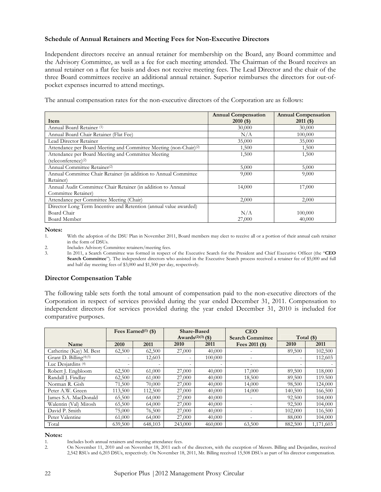#### Schedule of Annual Retainers and Meeting Fees for Non-Executive Directors

Independent directors receive an annual retainer for membership on the Board, any Board committee and the Advisory Committee, as well as a fee for each meeting attended. The Chairman of the Board receives an annual retainer on a flat fee basis and does not receive meeting fees. The Lead Director and the chair of the three Board committees receive an additional annual retainer. Superior reimburses the directors for out-ofpocket expenses incurred to attend meetings.

The annual compensation rates for the non-executive directors of the Corporation are as follows:

|                                                                               | <b>Annual Compensation</b> | <b>Annual Compensation</b> |
|-------------------------------------------------------------------------------|----------------------------|----------------------------|
| Item                                                                          | $2010($ \$)                | $2011($ \$)                |
| Annual Board Retainer <sup>(1)</sup>                                          | 30,000                     | 30,000                     |
| Annual Board Chair Retainer (Flat Fee)                                        | N/A                        | 100,000                    |
| Lead Director Retainer                                                        | 35,000                     | 35,000                     |
| Attendance per Board Meeting and Committee Meeting (non-Chair) <sup>(2)</sup> | 1,500                      | 1,500                      |
| Attendance per Board Meeting and Committee Meeting                            | 1,500                      | 1,500                      |
| (teleconference) <sup>(2)</sup>                                               |                            |                            |
| Annual Committee Retainer(2)                                                  | 5,000                      | 5,000                      |
| Annual Committee Chair Retainer (in addition to Annual Committee              | 9,000                      | 9,000                      |
| Retainer)                                                                     |                            |                            |
| Annual Audit Committee Chair Retainer (in addition to Annual                  | 14,000                     | 17,000                     |
| Committee Retainer)                                                           |                            |                            |
| Attendance per Committee Meeting (Chair)                                      | 2,000                      | 2,000                      |
| Director Long Term Incentive and Retention (annual value awarded)             |                            |                            |
| Board Chair                                                                   | N/A                        | 100,000                    |
| Board Member                                                                  | 27,000                     | 40,000                     |

Notes:

1. With the adoption of the DSU Plan in November 2011, Board members may elect to receive all or a portion of their annual cash retainer in the form of DSUs.

2. Includes Advisory Committee retainers/meeting fees.<br>3. In 2011, a Search Committee was formed in respect.

In 2011, a Search Committee was formed in respect of the Executive Search for the President and Chief Executive Officer (the "CEO Search Committee"). The independent directors who assisted in the Executive Search process received a retainer fee of \$5,000 and full and half day meeting fees of \$3,000 and \$1,500 per day, respectively.

# Director Compensation Table

The following table sets forth the total amount of compensation paid to the non-executive directors of the Corporation in respect of services provided during the year ended December 31, 2011. Compensation to independent directors for services provided during the year ended December 31, 2010 is included for comparative purposes.

|                                    |         | Fees Earned $(1)$ (\$) |         | <b>Share-Based</b><br>Awards <sup>(2)(3)</sup> (\$) | <b>CEO</b><br><b>Search Committee</b> |         | Total $(\$)$ |
|------------------------------------|---------|------------------------|---------|-----------------------------------------------------|---------------------------------------|---------|--------------|
| Name                               | 2010    | 2011                   | 2010    | 2011                                                | Fees $2011$ (\$)                      | 2010    | 2011         |
| Catherine (Kay) M. Best            | 62,500  | 62,500                 | 27,000  | 40,000                                              |                                       | 89,500  | 102,500      |
| Grant D. Billing <sup>(4)(5)</sup> |         | 12,603                 |         | 100,000                                             |                                       |         | 112,603      |
| Luc Desjardins <sup>(4)</sup>      |         |                        |         |                                                     |                                       |         |              |
| Robert J. Engbloom                 | 62,500  | 61,000                 | 27,000  | 40,000                                              | 17,000                                | 89,500  | 118,000      |
| Randall J. Findlav                 | 62,500  | 61,000                 | 27,000  | 40,000                                              | 18,500                                | 89,500  | 119.500      |
| Norman R. Gish                     | 71,500  | 70,000                 | 27,000  | 40,000                                              | 14,000                                | 98,500  | 124,000      |
| Peter A.W. Green                   | 113,500 | 112,500                | 27,000  | 40,000                                              | 14,000                                | 140,500 | 166,500      |
| James S.A. MacDonald               | 65,500  | 64,000                 | 27,000  | 40,000                                              |                                       | 92,500  | 104,000      |
| Walentin (Val) Mirosh              | 65,500  | 64,000                 | 27,000  | 40,000                                              |                                       | 92,500  | 104,000      |
| David P. Smith                     | 75,000  | 76,500                 | 27,000  | 40,000                                              |                                       | 102,000 | 116,500      |
| Peter Valentine                    | 61,000  | 64,000                 | 27,000  | 40,000                                              |                                       | 88,000  | 104,000      |
| Total                              | 639,500 | 648,103                | 243,000 | 460,000                                             | 63,500                                | 882,500 | 1,171,603    |

#### Notes:

1. Includes both annual retainers and meeting attendance fees.<br>
2 On November 11, 2010 and on November 18, 2011 each c

2. On November 11, 2010 and on November 18, 2011 each of the directors, with the exception of Messrs. Billing and Desjardins, received 2,542 RSUs and 6,203 DSUs, respectively. On November 18, 2011, Mr. Billing received 15,508 DSUs as part of his director compensation.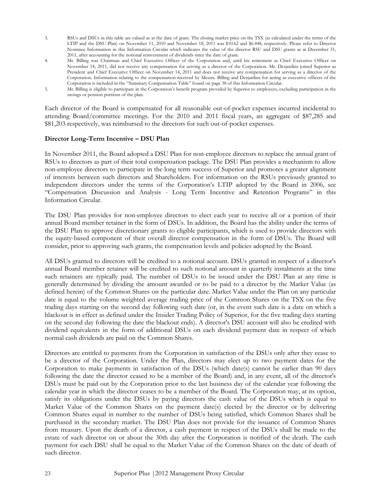- 3. RSUs and DSUs in this table are valued as at the date of grant. The closing market price on the TSX (as calculated under the terms of the LTIP and the DSU Plan) on November 11, 2010 and November 18, 2011 was \$10.62 and \$6.448, respectively. Please refer to Director Nominee Information in this Information Circular which indicates the value of the director RSU and DSU grants as at December 31, 2011, after accounting for the notional reinvestment of dividends since the date of grant.
- 4. Mr. Billing was Chairman and Chief Executive Officer of the Corporation and, until his retirement as Chief Executive Officer on November 14, 2011, did not receive any compensation for serving as a director of the Corporation. Mr. Desjardins joined Superior as President and Chief Executive Officer on November 14, 2011 and does not receive any compensation for serving as a director of the Corporation. Information relating to the compensation received by Messrs. Billing and Desjardins for acting as executive officers of the Corporation is included in the "Summary Compensation Table" found on page 38 of this Information Circular.
- 5. Mr. Billing is eligible to participate in the Corporation's benefit program provided by Superior to employees, excluding participation in the savings or pension portions of the plan.

Each director of the Board is compensated for all reasonable out-of-pocket expenses incurred incidental to attending Board/committee meetings. For the 2010 and 2011 fiscal years, an aggregate of \$87,285 and \$81,203 respectively, was reimbursed to the directors for such out-of-pocket expenses.

#### Director Long-Term Incentive – DSU Plan

In November 2011, the Board adopted a DSU Plan for non-employee directors to replace the annual grant of RSUs to directors as part of their total compensation package. The DSU Plan provides a mechanism to allow non-employee directors to participate in the long term success of Superior and promotes a greater alignment of interests between such directors and Shareholders. For information on the RSUs previously granted to independent directors under the terms of the Corporation's LTIP adopted by the Board in 2006, see "Compensation Discussion and Analysis - Long Term Incentive and Retention Programs" in this Information Circular.

The DSU Plan provides for non-employee directors to elect each year to receive all or a portion of their annual Board member retainer in the form of DSUs. In addition, the Board has the ability under the terms of the DSU Plan to approve discretionary grants to eligible participants, which is used to provide directors with the equity-based component of their overall director compensation in the form of DSUs. The Board will consider, prior to approving such grants, the compensation levels and policies adopted by the Board.

All DSUs granted to directors will be credited to a notional account. DSUs granted in respect of a director's annual Board member retainer will be credited to such notional amount in quarterly instalments at the time such retainers are typically paid. The number of DSUs to be issued under the DSU Plan at any time is generally determined by dividing the amount awarded or to be paid to a director by the Market Value (as defined herein) of the Common Shares on the particular date. Market Value under the Plan on any particular date is equal to the volume weighted average trading price of the Common Shares on the TSX on the five trading days starting on the second day following such date (or, in the event such date is a date on which a blackout is in effect as defined under the Insider Trading Policy of Superior, for the five trading days starting on the second day following the date the blackout ends). A director's DSU account will also be credited with dividend equivalents in the form of additional DSUs on each dividend payment date in respect of which normal cash dividends are paid on the Common Shares.

Directors are entitled to payments from the Corporation in satisfaction of the DSUs only after they cease to be a director of the Corporation. Under the Plan, directors may elect up to two payment dates for the Corporation to make payments in satisfaction of the DSUs (which date(s) cannot be earlier than 90 days following the date the director ceased to be a member of the Board) and, in any event, all of the director's DSUs must be paid out by the Corporation prior to the last business day of the calendar year following the calendar year in which the director ceases to be a member of the Board. The Corporation may, at its option, satisfy its obligations under the DSUs by paying directors the cash value of the DSUs which is equal to Market Value of the Common Shares on the payment date(s) elected by the director or by delivering Common Shares equal in number to the number of DSUs being satisfied, which Common Shares shall be purchased in the secondary market. The DSU Plan does not provide for the issuance of Common Shares from treasury. Upon the death of a director, a cash payment in respect of the DSUs shall be made to the estate of such director on or about the 30th day after the Corporation is notified of the death. The cash payment for each DSU shall be equal to the Market Value of the Common Shares on the date of death of such director.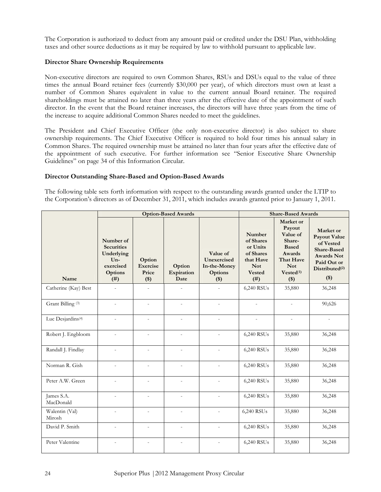The Corporation is authorized to deduct from any amount paid or credited under the DSU Plan, withholding taxes and other source deductions as it may be required by law to withhold pursuant to applicable law.

## Director Share Ownership Requirements

Non-executive directors are required to own Common Shares, RSUs and DSUs equal to the value of three times the annual Board retainer fees (currently \$30,000 per year), of which directors must own at least a number of Common Shares equivalent in value to the current annual Board retainer. The required shareholdings must be attained no later than three years after the effective date of the appointment of such director. In the event that the Board retainer increases, the directors will have three years from the time of the increase to acquire additional Common Shares needed to meet the guidelines.

The President and Chief Executive Officer (the only non-executive director) is also subject to share ownership requirements. The Chief Executive Officer is required to hold four times his annual salary in Common Shares. The required ownership must be attained no later than four years after the effective date of the appointment of such executive. For further information see "Senior Executive Share Ownership Guidelines" on page 34 of this Information Circular.

#### Director Outstanding Share-Based and Option-Based Awards

The following table sets forth information with respect to the outstanding awards granted under the LTIP to the Corporation's directors as of December 31, 2011, which includes awards granted prior to January 1, 2011.

|                               |                                                                                              |                                        | <b>Option-Based Awards</b>   |                                                               | <b>Share-Based Awards</b>                                                                       |                                                                                                                                           |                                                                                                                                                |
|-------------------------------|----------------------------------------------------------------------------------------------|----------------------------------------|------------------------------|---------------------------------------------------------------|-------------------------------------------------------------------------------------------------|-------------------------------------------------------------------------------------------------------------------------------------------|------------------------------------------------------------------------------------------------------------------------------------------------|
| Name                          | Number of<br><b>Securities</b><br>Underlying<br>$Un-$<br>exercised<br><b>Options</b><br>(# ) | Option<br>Exercise<br>Price<br>$($ \$) | Option<br>Expiration<br>Date | Value of<br>Unexercised<br>In-the-Money<br>Options<br>$($ \$) | Number<br>of Shares<br>or Units<br>of Shares<br>that Have<br><b>Not</b><br><b>Vested</b><br>(#) | Market or<br>Payout<br>Value of<br>Share-<br><b>Based</b><br><b>Awards</b><br>That Have<br><b>Not</b><br>Vested <sup>(1)</sup><br>$($ \$) | Market or<br><b>Payout Value</b><br>of Vested<br><b>Share-Based</b><br><b>Awards Not</b><br>Paid Out or<br>Distributed <sup>(2)</sup><br>$($)$ |
| Catherine (Kay) Best          | $\overline{\phantom{a}}$                                                                     | $\overline{a}$                         | $\overline{a}$               |                                                               | 6,240 RSUs                                                                                      | 35,880                                                                                                                                    | 36,248                                                                                                                                         |
| Grant Billing <sup>(3)</sup>  |                                                                                              |                                        |                              |                                                               |                                                                                                 |                                                                                                                                           | 90,626                                                                                                                                         |
| Luc Desjardins <sup>(4)</sup> |                                                                                              |                                        |                              | $\overline{a}$                                                |                                                                                                 | $\overline{\phantom{m}}$                                                                                                                  |                                                                                                                                                |
| Robert J. Engbloom            | $\overline{a}$                                                                               | $\overline{a}$                         | $\overline{a}$               |                                                               | 6,240 RSUs                                                                                      | 35,880                                                                                                                                    | 36,248                                                                                                                                         |
| Randall J. Findlay            | $\overline{a}$                                                                               | $\overline{\phantom{a}}$               | $\overline{a}$               |                                                               | 6,240 RSUs                                                                                      | 35,880                                                                                                                                    | 36,248                                                                                                                                         |
| Norman R. Gish                | $\overline{a}$                                                                               | $\overline{a}$                         | $\overline{a}$               | $\overline{a}$                                                | 6,240 RSUs                                                                                      | 35,880                                                                                                                                    | 36,248                                                                                                                                         |
| Peter A.W. Green              |                                                                                              |                                        |                              |                                                               | 6,240 RSUs                                                                                      | 35,880                                                                                                                                    | 36,248                                                                                                                                         |
| James S.A.<br>MacDonald       |                                                                                              | $\overline{a}$                         |                              |                                                               | 6,240 RSUs                                                                                      | 35,880                                                                                                                                    | 36,248                                                                                                                                         |
| Walentin (Val)<br>Mirosh      | $\overline{a}$                                                                               | $\overline{a}$                         | $\overline{a}$               | $\overline{a}$                                                | 6,240 RSUs                                                                                      | 35,880                                                                                                                                    | 36,248                                                                                                                                         |
| David P. Smith                | $\overline{a}$                                                                               | $\overline{a}$                         | $\overline{\phantom{0}}$     |                                                               | 6,240 RSUs                                                                                      | 35,880                                                                                                                                    | 36,248                                                                                                                                         |
| Peter Valentine               |                                                                                              |                                        |                              |                                                               | 6,240 RSUs                                                                                      | 35,880                                                                                                                                    | 36,248                                                                                                                                         |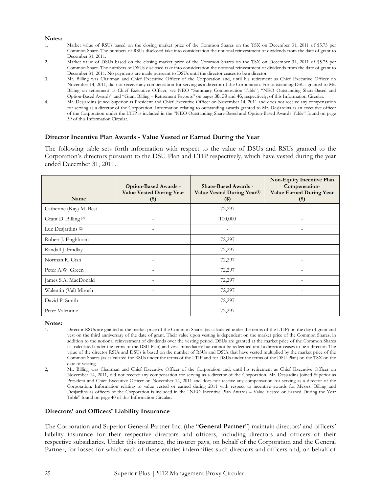#### Notes:

- 1. Market value of RSUs based on the closing market price of the Common Shares on the TSX on December 31, 2011 of \$5.75 per Common Share. The numbers of RSUs disclosed take into consideration the notional reinvestment of dividends from the date of grant to December 31, 2011.
- 2. Market value of DSUs based on the closing market price of the Common Shares on the TSX on December 31, 2011 of \$5.75 per Common Share. The numbers of DSUs disclosed take into consideration the notional reinvestment of dividends from the date of grant to December 31, 2011. No payments are made pursuant to DSUs until the director ceases to be a director.
- 3. Mr. Billing was Chairman and Chief Executive Officer of the Corporation and, until his retirement as Chief Executive Officer on November 14, 2011, did not receive any compensation for serving as a director of the Corporation. For outstanding DSUs granted to Mr. Billing on retirement as Chief Executive Officer, see NEO "Summary Compensation Table", "NEO Outstanding Share-Based and Option-Based Awards" and "Grant Billing – Retirement Payouts" on pages 38, 39 and 46, respectively, of this Information Circular.
- 4. Mr. Desjardins joined Superior as President and Chief Executive Officer on November 14, 2011 and does not receive any compensation for serving as a director of the Corporation. Information relating to outstanding awards granted to Mr. Desjardins as an executive officer of the Corporation under the LTIP is included in the "NEO Outstanding Share-Based and Option-Based Awards Table" found on page 39 of this Information Circular.

#### Director Incentive Plan Awards - Value Vested or Earned During the Year

The following table sets forth information with respect to the value of DSUs and RSUs granted to the Corporation's directors pursuant to the DSU Plan and LTIP respectively, which have vested during the year ended December 31, 2011.

| Name                            | Option-Based Awards -<br><b>Value Vested During Year</b><br>$(\$)$ | <b>Share-Based Awards -</b><br>Value Vested During Year <sup>(1)</sup><br>$($)$ | Non-Equity Incentive Plan<br>Compensation-<br><b>Value Earned During Year</b><br>$($ \$) |
|---------------------------------|--------------------------------------------------------------------|---------------------------------------------------------------------------------|------------------------------------------------------------------------------------------|
| Catherine (Kay) M. Best         |                                                                    | 72,297                                                                          |                                                                                          |
| Grant D. Billing <sup>(2)</sup> |                                                                    | 100,000                                                                         |                                                                                          |
| Luc Desjardins <sup>(2)</sup>   |                                                                    |                                                                                 |                                                                                          |
| Robert J. Engbloom              | $\overline{a}$                                                     | 72,297                                                                          | $\overline{\phantom{a}}$                                                                 |
| Randall J. Findlay              |                                                                    | 72,297                                                                          | $\overline{a}$                                                                           |
| Norman R. Gish                  |                                                                    | 72,297                                                                          |                                                                                          |
| Peter A.W. Green                | $\overline{a}$                                                     | 72,297                                                                          | $\overline{a}$                                                                           |
| James S.A. MacDonald            |                                                                    | 72,297                                                                          |                                                                                          |
| Walentin (Val) Mirosh           |                                                                    | 72,297                                                                          |                                                                                          |
| David P. Smith                  |                                                                    | 72,297                                                                          |                                                                                          |
| Peter Valentine                 |                                                                    | 72,297                                                                          |                                                                                          |

Notes:

1. Director RSUs are granted at the market price of the Common Shares (as calculated under the terms of the LTIP) on the day of grant and vest on the third anniversary of the date of grant. Their value upon vesting is dependent on the market price of the Common Shares, in addition to the notional reinvestment of dividends over the vesting period. DSUs are granted at the market price of the Common Shares (as calculated under the terms of the DSU Plan) and vest immediately but cannot be redeemed until a director ceases to be a director. The value of the director RSUs and DSUs is based on the number of RSUs and DSUs that have vested multiplied by the market price of the Common Shares (as calculated for RSUs under the terms of the LTIP and for DSUs under the terms of the DSU Plan) on the TSX on the date of vesting.

#### Directors' and Officers' Liability Insurance

The Corporation and Superior General Partner Inc. (the "General Partner") maintain directors' and officers' liability insurance for their respective directors and officers, including directors and officers of their respective subsidiaries. Under this insurance, the insurer pays, on behalf of the Corporation and the General Partner, for losses for which each of these entities indemnifies such directors and officers and, on behalf of

<sup>2,</sup> Mr. Billing was Chairman and Chief Executive Officer of the Corporation and, until his retirement as Chief Executive Officer on November 14, 2011, did not receive any compensation for serving as a director of the Corporation. Mr. Desjardins joined Superior as President and Chief Executive Officer on November 14, 2011 and does not receive any compensation for serving as a director of the Corporation. Information relating to value vested or earned during 2011 with respect to incentive awards for Messrs. Billing and Desjardins as officers of the Corporation is included in the "NEO Incentive Plan Awards – Value Vested or Earned During the Year Table" found on page 40 of this Information Circular.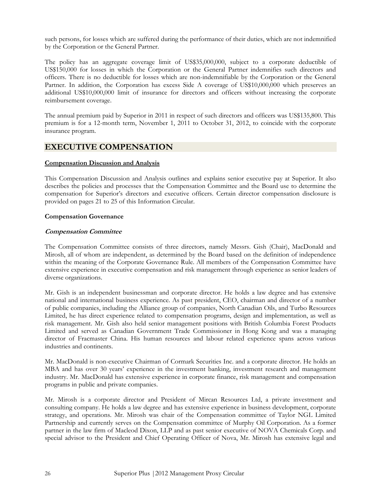such persons, for losses which are suffered during the performance of their duties, which are not indemnified by the Corporation or the General Partner.

The policy has an aggregate coverage limit of US\$35,000,000, subject to a corporate deductible of US\$150,000 for losses in which the Corporation or the General Partner indemnifies such directors and officers. There is no deductible for losses which are non-indemnifiable by the Corporation or the General Partner. In addition, the Corporation has excess Side A coverage of US\$10,000,000 which preserves an additional US\$10,000,000 limit of insurance for directors and officers without increasing the corporate reimbursement coverage.

The annual premium paid by Superior in 2011 in respect of such directors and officers was US\$135,800. This premium is for a 12-month term, November 1, 2011 to October 31, 2012, to coincide with the corporate insurance program.

# EXECUTIVE COMPENSATION

#### Compensation Discussion and Analysis

This Compensation Discussion and Analysis outlines and explains senior executive pay at Superior. It also describes the policies and processes that the Compensation Committee and the Board use to determine the compensation for Superior's directors and executive officers. Certain director compensation disclosure is provided on pages 21 to 25 of this Information Circular.

#### Compensation Governance

#### Compensation Committee

The Compensation Committee consists of three directors, namely Messrs. Gish (Chair), MacDonald and Mirosh, all of whom are independent, as determined by the Board based on the definition of independence within the meaning of the Corporate Governance Rule. All members of the Compensation Committee have extensive experience in executive compensation and risk management through experience as senior leaders of diverse organizations.

Mr. Gish is an independent businessman and corporate director. He holds a law degree and has extensive national and international business experience. As past president, CEO, chairman and director of a number of public companies, including the Alliance group of companies, North Canadian Oils, and Turbo Resources Limited, he has direct experience related to compensation programs, design and implementation, as well as risk management. Mr. Gish also held senior management positions with British Columbia Forest Products Limited and served as Canadian Government Trade Commissioner in Hong Kong and was a managing director of Fracmaster China. His human resources and labour related experience spans across various industries and continents.

Mr. MacDonald is non-executive Chairman of Cormark Securities Inc. and a corporate director. He holds an MBA and has over 30 years' experience in the investment banking, investment research and management industry. Mr. MacDonald has extensive experience in corporate finance, risk management and compensation programs in public and private companies.

Mr. Mirosh is a corporate director and President of Mircan Resources Ltd, a private investment and consulting company. He holds a law degree and has extensive experience in business development, corporate strategy, and operations. Mr. Mirosh was chair of the Compensation committee of Taylor NGL Limited Partnership and currently serves on the Compensation committee of Murphy Oil Corporation. As a former partner in the law firm of Macleod Dixon, LLP and as past senior executive of NOVA Chemicals Corp. and special advisor to the President and Chief Operating Officer of Nova, Mr. Mirosh has extensive legal and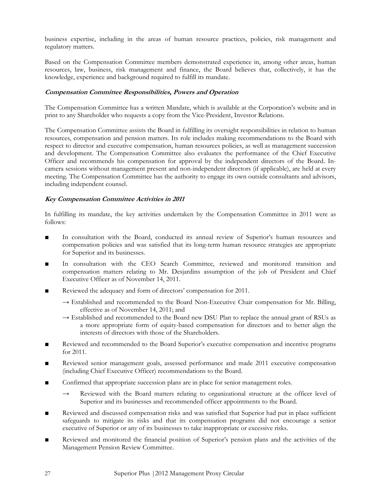business expertise, including in the areas of human resource practices, policies, risk management and regulatory matters.

Based on the Compensation Committee members demonstrated experience in, among other areas, human resources, law, business, risk management and finance, the Board believes that, collectively, it has the knowledge, experience and background required to fulfill its mandate.

# Compensation Committee Responsibilities, Powers and Operation

The Compensation Committee has a written Mandate, which is available at the Corporation's website and in print to any Shareholder who requests a copy from the Vice-President, Investor Relations.

The Compensation Committee assists the Board in fulfilling its oversight responsibilities in relation to human resources, compensation and pension matters. Its role includes making recommendations to the Board with respect to director and executive compensation, human resources policies, as well as management succession and development. The Compensation Committee also evaluates the performance of the Chief Executive Officer and recommends his compensation for approval by the independent directors of the Board. Incamera sessions without management present and non-independent directors (if applicable), are held at every meeting. The Compensation Committee has the authority to engage its own outside consultants and advisors, including independent counsel.

# Key Compensation Committee Activities in 2011

In fulfilling its mandate, the key activities undertaken by the Compensation Committee in 2011 were as follows:

- In consultation with the Board, conducted its annual review of Superior's human resources and compensation policies and was satisfied that its long-term human resource strategies are appropriate for Superior and its businesses.
- In consultation with the CEO Search Committee, reviewed and monitored transition and compensation matters relating to Mr. Desjardins assumption of the job of President and Chief Executive Officer as of November 14, 2011.
- Reviewed the adequacy and form of directors' compensation for 2011.
	- $\rightarrow$  Established and recommended to the Board Non-Executive Chair compensation for Mr. Billing, effective as of November 14, 2011; and
	- $\rightarrow$  Established and recommended to the Board new DSU Plan to replace the annual grant of RSUs as a more appropriate form of equity-based compensation for directors and to better align the interests of directors with those of the Shareholders.
- Reviewed and recommended to the Board Superior's executive compensation and incentive programs for 2011.
- Reviewed senior management goals, assessed performance and made 2011 executive compensation (including Chief Executive Officer) recommendations to the Board.
- Confirmed that appropriate succession plans are in place for senior management roles.
	- → Reviewed with the Board matters relating to organizational structure at the officer level of Superior and its businesses and recommended officer appointments to the Board.
- Reviewed and discussed compensation risks and was satisfied that Superior had put in place sufficient safeguards to mitigate its risks and that its compensation programs did not encourage a senior executive of Superior or any of its businesses to take inappropriate or excessive risks.
- Reviewed and monitored the financial position of Superior's pension plans and the activities of the Management Pension Review Committee.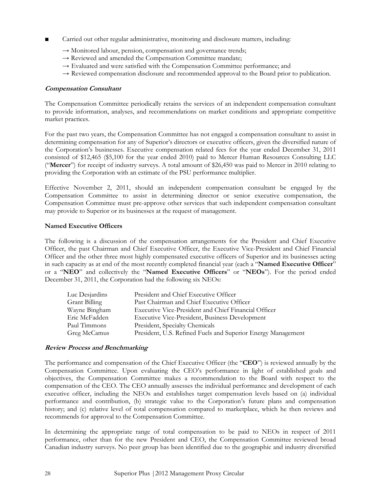- Carried out other regular administrative, monitoring and disclosure matters, including:
	- $\rightarrow$  Monitored labour, pension, compensation and governance trends;
	- $\rightarrow$  Reviewed and amended the Compensation Committee mandate;
	- $\rightarrow$  Evaluated and were satisfied with the Compensation Committee performance; and
	- $\rightarrow$  Reviewed compensation disclosure and recommended approval to the Board prior to publication.

#### Compensation Consultant

The Compensation Committee periodically retains the services of an independent compensation consultant to provide information, analyses, and recommendations on market conditions and appropriate competitive market practices.

For the past two years, the Compensation Committee has not engaged a compensation consultant to assist in determining compensation for any of Superior's directors or executive officers, given the diversified nature of the Corporation's businesses. Executive compensation related fees for the year ended December 31, 2011 consisted of \$12,465 (\$5,100 for the year ended 2010) paid to Mercer Human Resources Consulting LLC ("Mercer") for receipt of industry surveys. A total amount of \$26,450 was paid to Mercer in 2010 relating to providing the Corporation with an estimate of the PSU performance multiplier.

Effective November 2, 2011, should an independent compensation consultant be engaged by the Compensation Committee to assist in determining director or senior executive compensation, the Compensation Committee must pre-approve other services that such independent compensation consultant may provide to Superior or its businesses at the request of management.

#### Named Executive Officers

The following is a discussion of the compensation arrangements for the President and Chief Executive Officer, the past Chairman and Chief Executive Officer, the Executive Vice-President and Chief Financial Officer and the other three most highly compensated executive officers of Superior and its businesses acting in such capacity as at end of the most recently completed financial year (each a "Named Executive Officer" or a "NEO" and collectively the "Named Executive Officers" or "NEOs"). For the period ended December 31, 2011, the Corporation had the following six NEOs:

| Luc Desjardins | President and Chief Executive Officer                        |
|----------------|--------------------------------------------------------------|
| Grant Billing  | Past Chairman and Chief Executive Officer                    |
| Wayne Bingham  | Executive Vice-President and Chief Financial Officer         |
| Eric McFadden  | <b>Executive Vice-President, Business Development</b>        |
| Paul Timmons   | President, Specialty Chemicals                               |
| Greg McCamus   | President, U.S. Refined Fuels and Superior Energy Management |
|                |                                                              |

#### Review Process and Benchmarking

The performance and compensation of the Chief Executive Officer (the "CEO") is reviewed annually by the Compensation Committee. Upon evaluating the CEO's performance in light of established goals and objectives, the Compensation Committee makes a recommendation to the Board with respect to the compensation of the CEO. The CEO annually assesses the individual performance and development of each executive officer, including the NEOs and establishes target compensation levels based on (a) individual performance and contribution, (b) strategic value to the Corporation's future plans and compensation history; and (c) relative level of total compensation compared to marketplace, which he then reviews and recommends for approval to the Compensation Committee.

In determining the appropriate range of total compensation to be paid to NEOs in respect of 2011 performance, other than for the new President and CEO, the Compensation Committee reviewed broad Canadian industry surveys. No peer group has been identified due to the geographic and industry diversified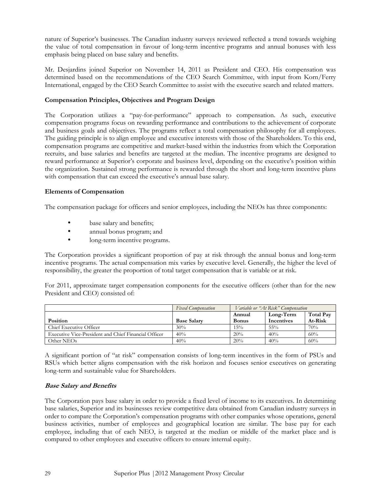nature of Superior's businesses. The Canadian industry surveys reviewed reflected a trend towards weighing the value of total compensation in favour of long-term incentive programs and annual bonuses with less emphasis being placed on base salary and benefits.

Mr. Desjardins joined Superior on November 14, 2011 as President and CEO. His compensation was determined based on the recommendations of the CEO Search Committee, with input from Korn/Ferry International, engaged by the CEO Search Committee to assist with the executive search and related matters.

## Compensation Principles, Objectives and Program Design

The Corporation utilizes a "pay-for-performance" approach to compensation. As such, executive compensation programs focus on rewarding performance and contributions to the achievement of corporate and business goals and objectives. The programs reflect a total compensation philosophy for all employees. The guiding principle is to align employee and executive interests with those of the Shareholders. To this end, compensation programs are competitive and market-based within the industries from which the Corporation recruits, and base salaries and benefits are targeted at the median. The incentive programs are designed to reward performance at Superior's corporate and business level, depending on the executive's position within the organization. Sustained strong performance is rewarded through the short and long-term incentive plans with compensation that can exceed the executive's annual base salary.

#### Elements of Compensation

The compensation package for officers and senior employees, including the NEOs has three components:

- base salary and benefits;
- annual bonus program; and
- long-term incentive programs.

The Corporation provides a significant proportion of pay at risk through the annual bonus and long-term incentive programs. The actual compensation mix varies by executive level. Generally, the higher the level of responsibility, the greater the proportion of total target compensation that is variable or at risk.

For 2011, approximate target compensation components for the executive officers (other than for the new President and CEO) consisted of:

|                                                      | <b>Fixed Compensation</b> |              | Variable or "At Risk" Compensation |                  |
|------------------------------------------------------|---------------------------|--------------|------------------------------------|------------------|
|                                                      |                           | Annual       | Long-Term                          | <b>Total Pay</b> |
| <b>Position</b>                                      | <b>Base Salary</b>        | <b>Bonus</b> | Incentives                         | At-Risk          |
| Chief Executive Officer                              | 30%                       | 15%          | $55\%$                             | 70%              |
| Executive Vice-President and Chief Financial Officer | 40%                       | 20%          | 40%                                | 60%              |
| Other NEOs                                           | 40%                       | 20%          | 40%                                | 60%              |

A significant portion of "at risk" compensation consists of long-term incentives in the form of PSUs and RSUs which better aligns compensation with the risk horizon and focuses senior executives on generating long-term and sustainable value for Shareholders.

#### Base Salary and Benefits

The Corporation pays base salary in order to provide a fixed level of income to its executives. In determining base salaries, Superior and its businesses review competitive data obtained from Canadian industry surveys in order to compare the Corporation's compensation programs with other companies whose operations, general business activities, number of employees and geographical location are similar. The base pay for each employee, including that of each NEO, is targeted at the median or middle of the market place and is compared to other employees and executive officers to ensure internal equity.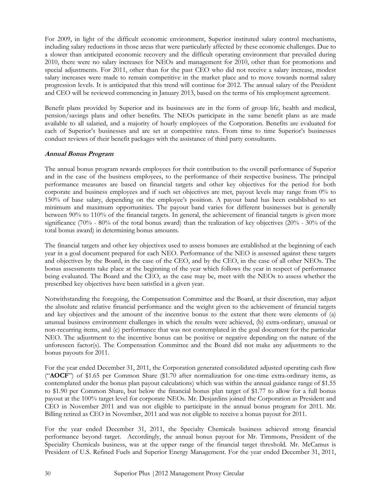For 2009, in light of the difficult economic environment, Superior instituted salary control mechanisms, including salary reductions in those areas that were particularly affected by these economic challenges. Due to a slower than anticipated economic recovery and the difficult operating environment that prevailed during 2010, there were no salary increases for NEOs and management for 2010, other than for promotions and special adjustments. For 2011, other than for the past CEO who did not receive a salary increase, modest salary increases were made to remain competitive in the market place and to move towards normal salary progression levels. It is anticipated that this trend will continue for 2012. The annual salary of the President and CEO will be reviewed commencing in January 2013, based on the terms of his employment agreement.

Benefit plans provided by Superior and its businesses are in the form of group life, health and medical, pension/savings plans and other benefits. The NEOs participate in the same benefit plans as are made available to all salaried, and a majority of hourly employees of the Corporation. Benefits are evaluated for each of Superior's businesses and are set at competitive rates. From time to time Superior's businesses conduct reviews of their benefit packages with the assistance of third party consultants.

# Annual Bonus Program

The annual bonus program rewards employees for their contribution to the overall performance of Superior and in the case of the business employees, to the performance of their respective business. The principal performance measures are based on financial targets and other key objectives for the period for both corporate and business employees and if such set objectives are met, payout levels may range from 0% to 150% of base salary, depending on the employee's position. A payout band has been established to set minimum and maximum opportunities. The payout band varies for different businesses but is generally between 90% to 110% of the financial targets. In general, the achievement of financial targets is given more significance (70% - 80% of the total bonus award) than the realization of key objectives (20% - 30% of the total bonus award) in determining bonus amounts.

The financial targets and other key objectives used to assess bonuses are established at the beginning of each year in a goal document prepared for each NEO. Performance of the NEO is assessed against these targets and objectives by the Board, in the case of the CEO, and by the CEO, in the case of all other NEOs. The bonus assessments take place at the beginning of the year which follows the year in respect of performance being evaluated. The Board and the CEO, as the case may be, meet with the NEOs to assess whether the prescribed key objectives have been satisfied in a given year.

Notwithstanding the foregoing, the Compensation Committee and the Board, at their discretion, may adjust the absolute and relative financial performance and the weight given to the achievement of financial targets and key objectives and the amount of the incentive bonus to the extent that there were elements of (a) unusual business environment challenges in which the results were achieved, (b) extra-ordinary, unusual or non-recurring items, and (c) performance that was not contemplated in the goal document for the particular NEO. The adjustment to the incentive bonus can be positive or negative depending on the nature of the unforeseen factor(s). The Compensation Committee and the Board did not make any adjustments to the bonus payouts for 2011.

For the year ended December 31, 2011, the Corporation generated consolidated adjusted operating cash flow ("AOCF") of \$1.65 per Common Share (\$1.70 after normalization for one-time extra-ordinary items, as contemplated under the bonus plan payout calculations) which was within the annual guidance range of \$1.55 to \$1.90 per Common Share, but below the financial bonus plan target of \$1.77 to allow for a full bonus payout at the 100% target level for corporate NEOs. Mr. Desjardins joined the Corporation as President and CEO in November 2011 and was not eligible to participate in the annual bonus program for 2011. Mr. Billing retired as CEO in November, 2011 and was not eligible to receive a bonus payout for 2011.

For the year ended December 31, 2011, the Specialty Chemicals business achieved strong financial performance beyond target. Accordingly, the annual bonus payout for Mr. Timmons, President of the Speciality Chemicals business, was at the upper range of the financial target threshold. Mr. McCamus is President of U.S. Refined Fuels and Superior Energy Management. For the year ended December 31, 2011,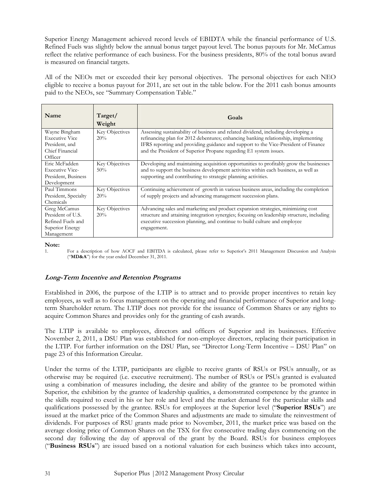Superior Energy Management achieved record levels of EBIDTA while the financial performance of U.S. Refined Fuels was slightly below the annual bonus target payout level. The bonus payouts for Mr. McCamus reflect the relative performance of each business. For the business presidents, 80% of the total bonus award is measured on financial targets.

All of the NEOs met or exceeded their key personal objectives. The personal objectives for each NEO eligible to receive a bonus payout for 2011, are set out in the table below. For the 2011 cash bonus amounts paid to the NEOs, see "Summary Compensation Table."

| Target/<br>Weight | Goals                                                                                                                                                                    |
|-------------------|--------------------------------------------------------------------------------------------------------------------------------------------------------------------------|
| Key Objectives    | Assessing sustainability of business and related dividend, including developing a                                                                                        |
|                   | refinancing plan for 2012 debentures; enhancing banking relationship, implementing<br>IFRS reporting and providing guidance and support to the Vice-President of Finance |
|                   | and the President of Superior Propane regarding E1 system issues.                                                                                                        |
| Key Objectives    | Developing and maintaining acquisition opportunities to profitably grow the businesses                                                                                   |
|                   | and to support the business development activities within each business, as well as                                                                                      |
|                   | supporting and contributing to strategic planning activities.                                                                                                            |
|                   |                                                                                                                                                                          |
|                   | Continuing achievement of growth in various business areas, including the completion                                                                                     |
|                   | of supply projects and advancing management succession plans.                                                                                                            |
|                   | Advancing sales and marketing and product expansion strategies, minimizing cost                                                                                          |
|                   | structure and attaining integration synergies; focusing on leadership structure, including                                                                               |
|                   | executive succession planning, and continue to build culture and employee                                                                                                |
|                   | engagement.                                                                                                                                                              |
|                   |                                                                                                                                                                          |
|                   | 20%<br>50%<br>Key Objectives<br>20%<br>Key Objectives<br>20%                                                                                                             |

Note:

1. For a description of how AOCF and EBITDA is calculated, please refer to Superior's 2011 Management Discussion and Analysis ("MD&A") for the year ended December 31, 2011.

# Long-Term Incentive and Retention Programs

Established in 2006, the purpose of the LTIP is to attract and to provide proper incentives to retain key employees, as well as to focus management on the operating and financial performance of Superior and longterm Shareholder return. The LTIP does not provide for the issuance of Common Shares or any rights to acquire Common Shares and provides only for the granting of cash awards.

The LTIP is available to employees, directors and officers of Superior and its businesses. Effective November 2, 2011, a DSU Plan was established for non-employee directors, replacing their participation in the LTIP. For further information on the DSU Plan, see "Director Long-Term Incentive – DSU Plan" on page 23 of this Information Circular.

Under the terms of the LTIP, participants are eligible to receive grants of RSUs or PSUs annually, or as otherwise may be required (i.e. executive recruitment). The number of RSUs or PSUs granted is evaluated using a combination of measures including, the desire and ability of the grantee to be promoted within Superior, the exhibition by the grantee of leadership qualities, a demonstrated competence by the grantee in the skills required to excel in his or her role and level and the market demand for the particular skills and qualifications possessed by the grantee. RSUs for employees at the Superior level ("Superior RSUs") are issued at the market price of the Common Shares and adjustments are made to simulate the reinvestment of dividends. For purposes of RSU grants made prior to November, 2011, the market price was based on the average closing price of Common Shares on the TSX for five consecutive trading days commencing on the second day following the day of approval of the grant by the Board. RSUs for business employees ("Business RSUs") are issued based on a notional valuation for each business which takes into account,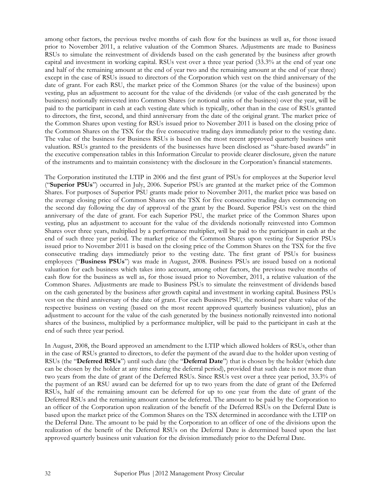among other factors, the previous twelve months of cash flow for the business as well as, for those issued prior to November 2011, a relative valuation of the Common Shares. Adjustments are made to Business RSUs to simulate the reinvestment of dividends based on the cash generated by the business after growth capital and investment in working capital. RSUs vest over a three year period (33.3% at the end of year one and half of the remaining amount at the end of year two and the remaining amount at the end of year three) except in the case of RSUs issued to directors of the Corporation which vest on the third anniversary of the date of grant. For each RSU, the market price of the Common Shares (or the value of the business) upon vesting, plus an adjustment to account for the value of the dividends (or value of the cash generated by the business) notionally reinvested into Common Shares (or notional units of the business) over the year, will be paid to the participant in cash at each vesting date which is typically, other than in the case of RSUs granted to directors, the first, second, and third anniversary from the date of the original grant. The market price of the Common Shares upon vesting for RSUs issued prior to November 2011 is based on the closing price of the Common Shares on the TSX for the five consecutive trading days immediately prior to the vesting date. The value of the business for Business RSUs is based on the most recent approved quarterly business unit valuation. RSUs granted to the presidents of the businesses have been disclosed as "share-based awards" in the executive compensation tables in this Information Circular to provide clearer disclosure, given the nature of the instruments and to maintain consistency with the disclosure in the Corporation's financial statements.

The Corporation instituted the LTIP in 2006 and the first grant of PSUs for employees at the Superior level ("Superior PSUs") occurred in July, 2006. Superior PSUs are granted at the market price of the Common Shares. For purposes of Superior PSU grants made prior to November 2011, the market price was based on the average closing price of Common Shares on the TSX for five consecutive trading days commencing on the second day following the day of approval of the grant by the Board. Superior PSUs vest on the third anniversary of the date of grant. For each Superior PSU, the market price of the Common Shares upon vesting, plus an adjustment to account for the value of the dividends notionally reinvested into Common Shares over three years, multiplied by a performance multiplier, will be paid to the participant in cash at the end of such three year period. The market price of the Common Shares upon vesting for Superior PSUs issued prior to November 2011 is based on the closing price of the Common Shares on the TSX for the five consecutive trading days immediately prior to the vesting date. The first grant of PSUs for business employees ("Business PSUs") was made in August, 2008. Business PSUs are issued based on a notional valuation for each business which takes into account, among other factors, the previous twelve months of cash flow for the business as well as, for those issued prior to November, 2011, a relative valuation of the Common Shares. Adjustments are made to Business PSUs to simulate the reinvestment of dividends based on the cash generated by the business after growth capital and investment in working capital. Business PSUs vest on the third anniversary of the date of grant. For each Business PSU, the notional per share value of the respective business on vesting (based on the most recent approved quarterly business valuation), plus an adjustment to account for the value of the cash generated by the business notionally reinvested into notional shares of the business, multiplied by a performance multiplier, will be paid to the participant in cash at the end of such three year period.

In August, 2008, the Board approved an amendment to the LTIP which allowed holders of RSUs, other than in the case of RSUs granted to directors, to defer the payment of the award due to the holder upon vesting of RSUs (the "Deferred RSUs") until such date (the "Deferral Date") that is chosen by the holder (which date can be chosen by the holder at any time during the deferral period), provided that such date is not more than two years from the date of grant of the Deferred RSUs. Since RSUs vest over a three year period, 33.3% of the payment of an RSU award can be deferred for up to two years from the date of grant of the Deferred RSUs, half of the remaining amount can be deferred for up to one year from the date of grant of the Deferred RSUs and the remaining amount cannot be deferred. The amount to be paid by the Corporation to an officer of the Corporation upon realization of the benefit of the Deferred RSUs on the Deferral Date is based upon the market price of the Common Shares on the TSX determined in accordance with the LTIP on the Deferral Date. The amount to be paid by the Corporation to an officer of one of the divisions upon the realization of the benefit of the Deferred RSUs on the Deferral Date is determined based upon the last approved quarterly business unit valuation for the division immediately prior to the Deferral Date.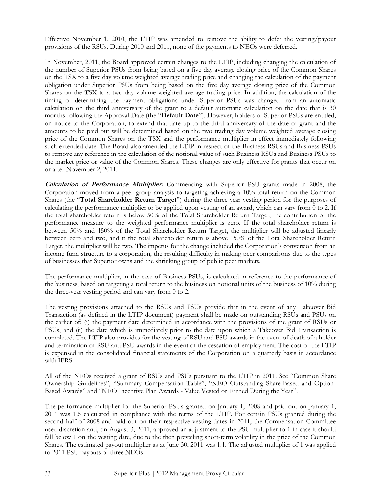Effective November 1, 2010, the LTIP was amended to remove the ability to defer the vesting/payout provisions of the RSUs. During 2010 and 2011, none of the payments to NEOs were deferred.

In November, 2011, the Board approved certain changes to the LTIP, including changing the calculation of the number of Superior PSUs from being based on a five day average closing price of the Common Shares on the TSX to a five day volume weighted average trading price and changing the calculation of the payment obligation under Superior PSUs from being based on the five day average closing price of the Common Shares on the TSX to a two day volume weighted average trading price. In addition, the calculation of the timing of determining the payment obligations under Superior PSUs was changed from an automatic calculation on the third anniversary of the grant to a default automatic calculation on the date that is 30 months following the Approval Date (the "Default Date"). However, holders of Superior PSUs are entitled, on notice to the Corporation, to extend that date up to the third anniversary of the date of grant and the amounts to be paid out will be determined based on the two trading day volume weighted average closing price of the Common Shares on the TSX and the performance multiplier in effect immediately following such extended date. The Board also amended the LTIP in respect of the Business RSUs and Business PSUs to remove any reference in the calculation of the notional value of such Business RSUs and Business PSUs to the market price or value of the Common Shares. These changes are only effective for grants that occur on or after November 2, 2011.

Calculation of Performance Multiplier: Commencing with Superior PSU grants made in 2008, the Corporation moved from a peer group analysis to targeting achieving a 10% total return on the Common Shares (the "Total Shareholder Return Target") during the three year vesting period for the purposes of calculating the performance multiplier to be applied upon vesting of an award, which can vary from 0 to 2. If the total shareholder return is below 50% of the Total Shareholder Return Target, the contribution of the performance measure to the weighted performance multiplier is zero. If the total shareholder return is between 50% and 150% of the Total Shareholder Return Target, the multiplier will be adjusted linearly between zero and two, and if the total shareholder return is above 150% of the Total Shareholder Return Target, the multiplier will be two. The impetus for the change included the Corporation's conversion from an income fund structure to a corporation, the resulting difficulty in making peer comparisons due to the types of businesses that Superior owns and the shrinking group of public peer markets.

The performance multiplier, in the case of Business PSUs, is calculated in reference to the performance of the business, based on targeting a total return to the business on notional units of the business of 10% during the three-year vesting period and can vary from 0 to 2.

The vesting provisions attached to the RSUs and PSUs provide that in the event of any Takeover Bid Transaction (as defined in the LTIP document) payment shall be made on outstanding RSUs and PSUs on the earlier of: (i) the payment date determined in accordance with the provisions of the grant of RSUs or PSUs, and (ii) the date which is immediately prior to the date upon which a Takeover Bid Transaction is completed. The LTIP also provides for the vesting of RSU and PSU awards in the event of death of a holder and termination of RSU and PSU awards in the event of the cessation of employment. The cost of the LTIP is expensed in the consolidated financial statements of the Corporation on a quarterly basis in accordance with IFRS.

All of the NEOs received a grant of RSUs and PSUs pursuant to the LTIP in 2011. See "Common Share Ownership Guidelines", "Summary Compensation Table", "NEO Outstanding Share-Based and Option-Based Awards" and "NEO Incentive Plan Awards - Value Vested or Earned During the Year".

The performance multiplier for the Superior PSUs granted on January 1, 2008 and paid out on January 1, 2011 was 1.6 calculated in compliance with the terms of the LTIP. For certain PSUs granted during the second half of 2008 and paid out on their respective vesting dates in 2011, the Compensation Committee used discretion and, on August 3, 2011, approved an adjustment to the PSU multiplier to 1 in case it should fall below 1 on the vesting date, due to the then prevailing short-term volatility in the price of the Common Shares. The estimated payout multiplier as at June 30, 2011 was 1.1. The adjusted multiplier of 1 was applied to 2011 PSU payouts of three NEOs.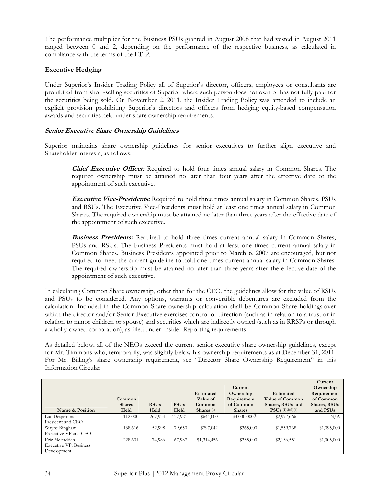The performance multiplier for the Business PSUs granted in August 2008 that had vested in August 2011 ranged between 0 and 2, depending on the performance of the respective business, as calculated in compliance with the terms of the LTIP.

# Executive Hedging

Under Superior's Insider Trading Policy all of Superior's director, officers, employees or consultants are prohibited from short-selling securities of Superior where such person does not own or has not fully paid for the securities being sold. On November 2, 2011, the Insider Trading Policy was amended to include an explicit provision prohibiting Superior's directors and officers from hedging equity-based compensation awards and securities held under share ownership requirements.

#### Senior Executive Share Ownership Guidelines

Superior maintains share ownership guidelines for senior executives to further align executive and Shareholder interests, as follows:

**Chief Executive Officer:** Required to hold four times annual salary in Common Shares. The required ownership must be attained no later than four years after the effective date of the appointment of such executive.

**Executive Vice-Presidents:** Required to hold three times annual salary in Common Shares, PSUs and RSUs. The Executive Vice-Presidents must hold at least one times annual salary in Common Shares. The required ownership must be attained no later than three years after the effective date of the appointment of such executive.

**Business Presidents:** Required to hold three times current annual salary in Common Shares, PSUs and RSUs. The business Presidents must hold at least one times current annual salary in Common Shares. Business Presidents appointed prior to March 6, 2007 are encouraged, but not required to meet the current guideline to hold one times current annual salary in Common Shares. The required ownership must be attained no later than three years after the effective date of the appointment of such executive.

In calculating Common Share ownership, other than for the CEO, the guidelines allow for the value of RSUs and PSUs to be considered. Any options, warrants or convertible debentures are excluded from the calculation. Included in the Common Share ownership calculation shall be Common Share holdings over which the director and/or Senior Executive exercises control or direction (such as in relation to a trust or in relation to minor children or spouse) and securities which are indirectly owned (such as in RRSPs or through a wholly-owned corporation), as filed under Insider Reporting requirements.

As detailed below, all of the NEOs exceed the current senior executive share ownership guidelines, except for Mr. Timmons who, temporarily, was slightly below his ownership requirements as at December 31, 2011. For Mr. Billing's share ownership requirement, see "Director Share Ownership Requirement" in this Information Circular.

|                                                        | Common<br><b>Shares</b> | <b>RSUs</b> | <b>PSUs</b> | <b>Estimated</b><br>Value of<br>Common | Current<br>Ownership<br>Requirement<br>of Common | <b>Estimated</b><br>Value of Common<br>Shares, RSUs and | Current<br>Ownership<br>Requirement<br>of Common<br>Shares, RSUs |
|--------------------------------------------------------|-------------------------|-------------|-------------|----------------------------------------|--------------------------------------------------|---------------------------------------------------------|------------------------------------------------------------------|
| Name & Position                                        | Held                    | Held        | Held        | Shares $(1)$                           | <b>Shares</b>                                    | $PSUs$ (1)(2)(3)(4)                                     | and PSUs                                                         |
| Luc Desjardins<br>President and CEO                    | 112,000                 | 267,934     | 137,921     | \$644,000                              | $$3,000,000^{(5)}$$                              | \$2,977,666                                             | N/A                                                              |
| Wayne Bingham<br>Executive VP and CFO                  | 138,616                 | 52,998      | 79,650      | \$797,042                              | \$365,000                                        | \$1,559,768                                             | \$1,095,000                                                      |
| Eric McFadden<br>Executive VP, Business<br>Development | 228,601                 | 74,986      | 67,987      | \$1,314,456                            | \$335,000                                        | \$2,136,551                                             | \$1,005,000                                                      |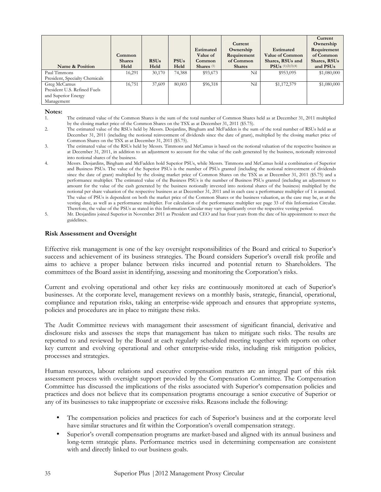| Name & Position                | Common<br><b>Shares</b><br>Held | <b>RSUs</b><br>Held | <b>PSUs</b><br>Held | <b>Estimated</b><br>Value of<br>Common<br>Shares $(1)$ | Current<br>Ownership<br>Requirement<br>of Common<br><b>Shares</b> | <b>Estimated</b><br><b>Value of Common</b><br>Shares, RSUs and<br><b>PSUs</b> $(1)(2)(3)(4)$ | Current<br>Ownership<br>Requirement<br>of Common<br>Shares, RSUs<br>and PSUs |
|--------------------------------|---------------------------------|---------------------|---------------------|--------------------------------------------------------|-------------------------------------------------------------------|----------------------------------------------------------------------------------------------|------------------------------------------------------------------------------|
| Paul Timmons                   | 16,291                          | 30,170              | 74,388              | \$93,673                                               | Nil                                                               | \$953,095                                                                                    | \$1,080,000                                                                  |
| President, Specialty Chemicals |                                 |                     |                     |                                                        |                                                                   |                                                                                              |                                                                              |
| Greg McCamus                   | 16,751                          | 37,609              | 80,003              | \$96,318                                               | Nil                                                               | \$1,172,379                                                                                  | \$1,080,000                                                                  |
| President U.S. Refined Fuels   |                                 |                     |                     |                                                        |                                                                   |                                                                                              |                                                                              |
| and Superior Energy            |                                 |                     |                     |                                                        |                                                                   |                                                                                              |                                                                              |
| Management                     |                                 |                     |                     |                                                        |                                                                   |                                                                                              |                                                                              |

#### Notes:

- 1. The estimated value of the Common Shares is the sum of the total number of Common Shares held as at December 31, 2011 multiplied by the closing market price of the Common Shares on the TSX as at December 31, 2011 (\$5.75).
- 2. The estimated value of the RSUs held by Messrs. Desjardins, Bingham and McFadden is the sum of the total number of RSUs held as at December 31, 2011 (including the notional reinvestment of dividends since the date of grant), multiplied by the closing market price of Common Shares on the TSX as at December 31, 2011 (\$5.75).
- 3. The estimated value of the RSUs held by Messrs. Timmons and McCamus is based on the notional valuation of the respective business as at December 31, 2011, in addition to an adjustment to account for the value of the cash generated by the business, notionally reinvested into notional shares of the business.
- 4. Messrs. Desjardins, Bingham and McFadden hold Superior PSUs, while Messrs. Timmons and McCamus hold a combination of Superior and Business PSUs. The value of the Superior PSUs is the number of PSUs granted (including the notional reinvestment of dividends since the date of grant) multiplied by the closing market price of Common Shares on the TSX as at December 31, 2011 (\$5.75) and a performance multiplier. The estimated value of the Business PSUs is the number of Business PSUs granted (including an adjustment to amount for the value of the cash generated by the business notionally invested into notional shares of the business) multiplied by the notional per share valuation of the respective business as at December 31, 2011 and in each case a performance multiplier of 1 is assumed. The value of PSUs is dependent on both the market price of the Common Shares or the business valuation, as the case may be, as at the vesting date, as well as a performance multiplier. For calculation of the performance multiplier see page 33 of this Information Circular. Therefore, the value of the PSUs as stated in this Information Circular may vary significantly over the respective vesting period.
- 5. Mr. Desjardins joined Superior in November 2011 as President and CEO and has four years from the date of his appointment to meet the guidelines.

#### Risk Assessment and Oversight

Effective risk management is one of the key oversight responsibilities of the Board and critical to Superior's success and achievement of its business strategies. The Board considers Superior's overall risk profile and aims to achieve a proper balance between risks incurred and potential return to Shareholders. The committees of the Board assist in identifying, assessing and monitoring the Corporation's risks.

Current and evolving operational and other key risks are continuously monitored at each of Superior's businesses. At the corporate level, management reviews on a monthly basis, strategic, financial, operational, compliance and reputation risks, taking an enterprise-wide approach and ensures that appropriate systems, policies and procedures are in place to mitigate these risks.

The Audit Committee reviews with management their assessment of significant financial, derivative and disclosure risks and assesses the steps that management has taken to mitigate such risks. The results are reported to and reviewed by the Board at each regularly scheduled meeting together with reports on other key current and evolving operational and other enterprise-wide risks, including risk mitigation policies, processes and strategies.

Human resources, labour relations and executive compensation matters are an integral part of this risk assessment process with oversight support provided by the Compensation Committee. The Compensation Committee has discussed the implications of the risks associated with Superior's compensation policies and practices and does not believe that its compensation programs encourage a senior executive of Superior or any of its businesses to take inappropriate or excessive risks. Reasons include the following:

- The compensation policies and practices for each of Superior's business and at the corporate level have similar structures and fit within the Corporation's overall compensation strategy.
- Superior's overall compensation programs are market-based and aligned with its annual business and long-term strategic plans. Performance metrics used in determining compensation are consistent with and directly linked to our business goals.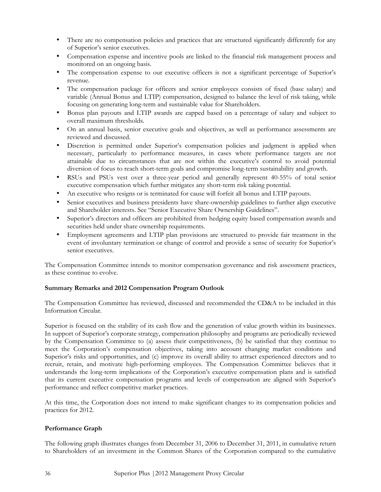- There are no compensation policies and practices that are structured significantly differently for any of Superior's senior executives.
- Compensation expense and incentive pools are linked to the financial risk management process and monitored on an ongoing basis.
- The compensation expense to our executive officers is not a significant percentage of Superior's revenue.
- The compensation package for officers and senior employees consists of fixed (base salary) and variable (Annual Bonus and LTIP) compensation, designed to balance the level of risk taking, while focusing on generating long-term and sustainable value for Shareholders.
- Bonus plan payouts and LTIP awards are capped based on a percentage of salary and subject to overall maximum thresholds.
- On an annual basis, senior executive goals and objectives, as well as performance assessments are reviewed and discussed.
- Discretion is permitted under Superior's compensation policies and judgment is applied when necessary, particularly to performance measures, in cases where performance targets are not attainable due to circumstances that are not within the executive's control to avoid potential diversion of focus to reach short-term goals and compromise long-term sustainability and growth.
- RSUs and PSUs vest over a three-year period and generally represent 40-55% of total senior executive compensation which further mitigates any short-term risk taking potential.
- An executive who resigns or is terminated for cause will forfeit all bonus and LTIP payouts.
- Senior executives and business presidents have share-ownership guidelines to further align executive and Shareholder interests. See "Senior Executive Share Ownership Guidelines".
- Superior's directors and officers are prohibited from hedging equity based compensation awards and securities held under share ownership requirements.
- Employment agreements and LTIP plan provisions are structured to provide fair treatment in the event of involuntary termination or change of control and provide a sense of security for Superior's senior executives.

The Compensation Committee intends to monitor compensation governance and risk assessment practices, as these continue to evolve.

# Summary Remarks and 2012 Compensation Program Outlook

The Compensation Committee has reviewed, discussed and recommended the CD&A to be included in this Information Circular.

Superior is focused on the stability of its cash flow and the generation of value growth within its businesses. In support of Superior's corporate strategy, compensation philosophy and programs are periodically reviewed by the Compensation Committee to (a) assess their competitiveness, (b) be satisfied that they continue to meet the Corporation's compensation objectives, taking into account changing market conditions and Superior's risks and opportunities, and (c) improve its overall ability to attract experienced directors and to recruit, retain, and motivate high-performing employees. The Compensation Committee believes that it understands the long-term implications of the Corporation's executive compensation plans and is satisfied that its current executive compensation programs and levels of compensation are aligned with Superior's performance and reflect competitive market practices.

At this time, the Corporation does not intend to make significant changes to its compensation policies and practices for 2012.

# Performance Graph

The following graph illustrates changes from December 31, 2006 to December 31, 2011, in cumulative return to Shareholders of an investment in the Common Shares of the Corporation compared to the cumulative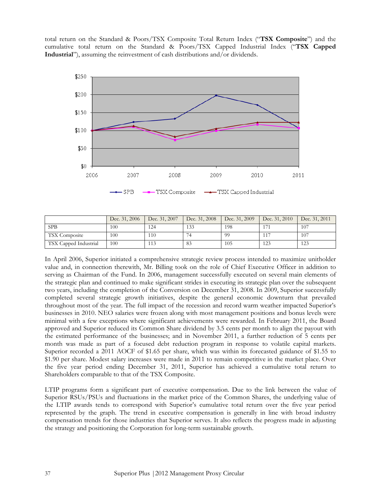total return on the Standard & Poors/TSX Composite Total Return Index ("TSX Composite") and the cumulative total return on the Standard & Poors/TSX Capped Industrial Index ("TSX Capped Industrial"), assuming the reinvestment of cash distributions and/or dividends.



|                       | Dec. 31, 2006 | Dec. 31, 2007 | Dec. 31, 2008 | Dec. 31, 2009 | Dec. 31, 2010 | Dec. 31, 2011 |
|-----------------------|---------------|---------------|---------------|---------------|---------------|---------------|
| <b>SPB</b>            | 100           | 124           | 133           | 198           |               | 107           |
| <b>TSX</b> Composite  | 100           | 110           |               | 99            |               | 107           |
| TSX Capped Industrial | 100           | 113           | 83            | 105           | 123           | 123           |

In April 2006, Superior initiated a comprehensive strategic review process intended to maximize unitholder value and, in connection therewith, Mr. Billing took on the role of Chief Executive Officer in addition to serving as Chairman of the Fund. In 2006, management successfully executed on several main elements of the strategic plan and continued to make significant strides in executing its strategic plan over the subsequent two years, including the completion of the Conversion on December 31, 2008. In 2009, Superior successfully completed several strategic growth initiatives, despite the general economic downturn that prevailed throughout most of the year. The full impact of the recession and record warm weather impacted Superior's businesses in 2010. NEO salaries were frozen along with most management positions and bonus levels were minimal with a few exceptions where significant achievements were rewarded. In February 2011, the Board approved and Superior reduced its Common Share dividend by 3.5 cents per month to align the payout with the estimated performance of the businesses; and in November 2011, a further reduction of 5 cents per month was made as part of a focused debt reduction program in response to volatile capital markets. Superior recorded a 2011 AOCF of \$1.65 per share, which was within its forecasted guidance of \$1.55 to \$1.90 per share. Modest salary increases were made in 2011 to remain competitive in the market place. Over the five year period ending December 31, 2011, Superior has achieved a cumulative total return to Shareholders comparable to that of the TSX Composite.

LTIP programs form a significant part of executive compensation. Due to the link between the value of Superior RSUs/PSUs and fluctuations in the market price of the Common Shares, the underlying value of the LTIP awards tends to correspond with Superior's cumulative total return over the five year period represented by the graph. The trend in executive compensation is generally in line with broad industry compensation trends for those industries that Superior serves. It also reflects the progress made in adjusting the strategy and positioning the Corporation for long-term sustainable growth.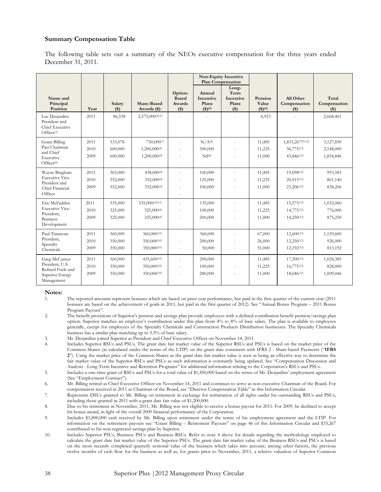#### Summary Compensation Table

The following table sets out a summary of the NEOs executive compensation for the three years ended December 31, 2011.

|                                                                              |      |                   |                                   |                                            |                                                                     | <b>Non-Equity Incentive</b><br><b>Plan Compensation</b> |                                            |                                    |                                  |
|------------------------------------------------------------------------------|------|-------------------|-----------------------------------|--------------------------------------------|---------------------------------------------------------------------|---------------------------------------------------------|--------------------------------------------|------------------------------------|----------------------------------|
| Name and<br>Principal<br>Position                                            | Year | Salary<br>$($ \$) | <b>Share-Based</b><br>Awards (\$) | Option-<br><b>Based</b><br>Awards<br>$($)$ | Annual<br><b>Incentive</b><br>Plans<br>$($ \$ $)($ <sup>1</sup> $)$ | Long-<br>Term<br><b>Incentive</b><br>Plans<br>$($)$     | Pension<br>Value<br>$($ \$) <sup>(2)</sup> | All Other<br>Compensation<br>$($)$ | Total<br>Compensation<br>$($ \$) |
| Luc Desjardins<br>President and<br>Chief Executive<br>Officer <sup>(3)</sup> | 2011 | 86,538            | $2,575,000^{(4)(5)}$              | ÷                                          | ÷.                                                                  | ÷.                                                      | 6,923                                      | ä,                                 | 2,668,461                        |
| Grant Billing<br>Past Chairman                                               | 2011 | 533,078           | 750,0007                          | ÷.                                         | $N/A^{(8)}$                                                         | ä,                                                      | 11,485                                     | 1,833,267(9)(12)                   | 3,127,830                        |
| and Chief                                                                    | 2010 | 600,000           | 1,200,000(4)                      |                                            | 300,000                                                             |                                                         | 11,225                                     | 36,775(12)                         | 2,148,000                        |
| Executive<br>Officer <sup>(6)</sup>                                          | 2009 | 600,000           | 1,200,000(4)                      |                                            | Ni <sup>1</sup> (8)                                                 |                                                         | 11,000                                     | 43,846(12)                         | 1,854,846                        |
| Wayne Bingham                                                                | 2011 | 365,000           | 438,000(4)                        | ÷,                                         | 160,000                                                             | ä,                                                      | 11,485                                     | 19,098(12)                         | 993,583                          |
| <b>Executive Vice-</b><br>President and                                      | 2010 | 352,000           | 352,000(4)                        |                                            | 125,000                                                             | ä,                                                      | 11,225                                     | 20,915(12)                         | 861,140                          |
| Chief Financial<br>Officer                                                   | 2009 | 352,000           | 352,000(4)                        |                                            | 100,000                                                             |                                                         | 11,000                                     | 23,206(12)                         | 838,206                          |
| Eric McFadden                                                                | 2011 | 335,000           | 535,000)(4)(11)                   |                                            | 135,000                                                             | ÷,                                                      | 11,485                                     | 15,575(12)                         | 1,032,060                        |
| <b>Executive Vice-</b>                                                       | 2010 | 325,000           | 325,000(4)                        |                                            | 100,000                                                             | ä,                                                      | 11,225                                     | 14,775(12)                         | 776,000                          |
| President,<br><b>Business</b><br>Development                                 | 2009 | 325,000           | 325,000(4)                        |                                            | 200,000                                                             |                                                         | 11,000                                     | $14,250^{(12)}$                    | 875,250                          |
| Paul Timmons                                                                 | 2011 | 360,000           | 360,000(10)                       |                                            | 360,000                                                             |                                                         | 67,000                                     | 12,600(12)                         | 1,159,600                        |
| President,                                                                   | 2010 | 350,000           | 350,000(10)                       |                                            | 200,000                                                             |                                                         | 26,000                                     | $12,250^{(12)}$                    | 926,000                          |
| Specialty<br>Chemicals                                                       | 2009 | 350,000           | 350,000(10)                       |                                            | 50,000                                                              | ä,                                                      | 51,000                                     | 12,192(12)                         | 813,192                          |
| Greg McCamus                                                                 | 2011 | 360,000           | 435,600(10)                       |                                            | 200,000                                                             |                                                         | 11,485                                     | 17,300(12)                         | 1,024,385                        |
| President, U.S.<br>Refined Fuels and                                         | 2010 | 350,000           | 350,000(10)                       |                                            | 100,000                                                             |                                                         | 11,225                                     | 16,775(12)                         | 828,000                          |
| Superior Energy<br>Management                                                | 2009 | 350,000           | 350,000(10)                       |                                            | 280,000                                                             |                                                         | 11,000                                     | 18,046(12)                         | 1,009,046                        |

# Notes:<br>1.

- 1. The reported amounts represent bonuses which are based on prior year performance, but paid in the first quarter of the current year (2011 bonuses are based on the achievement of goals in 2011, but paid in the first quarter of 2012). See "Annual Bonus Program – 2011 Bonus Program Payouts".
- 2. The benefit provisions of Superior's pension and savings plan provide employees with a defined contribution benefit pension/savings plan option. Superior matches an employee's contribution under this plan from 4% to 8% of base salary. The plan is available to employees generally, except for employees of the Specialty Chemicals and Construction Products Distribution businesses. The Specialty Chemicals business has a similar plan matching up to 3.5% of base salary.
- 3. Mr. Desjardins joined Superior as President and Chief Executive Officer on November 14, 2011.
- 4. Includes Superior RSUs and PSUs. The grant date fair market value of the Superior RSUs and PSUs is based on the market price of the Common Shares (as calculated under the terms of the LTIP) on the grant date consistent with IFRS 2 - Share-based Payments ("IFRS 2"). Using the market price of the Common Shares as the grant date fair market value is seen as being an effective way to determine the fair market value of the Superior RSUs and PSUs as such information is constantly being updated. See "Compensation Discussion and Analysis - Long-Term Incentive and Retention Programs" for additional information relating to the Corporation's RSUs and PSUs.
- 5. Includes a one-time grant of RSUs and PSUs for a total value of \$1,450,000 based on the terms of Mr. Desjardins' employment agreement (See "Employment Contract").
- 6. Mr. Billing retired as Chief Executive Officer on November 14, 2011 and continues to serve as non-executive Chairman of the Board. For compensation received in 2011 as Chairman of the Board, see "Director Compensation Table" in this Information Circular.
- 7. Represents DSUs granted to Mr. Billing on retirement in exchange for termination of all rights under his outstanding RSUs and PSUs, including those granted in 2011 with a grant date fair value of \$1,200,000.
- 8. Due to his retirement in November, 2011, Mr. Billing was not eligible to receive a bonus payout for 2011. For 2009, he declined to accept his bonus award, in light of the overall 2009 financial performance of the Corporation.
- 9. Includes \$1,800,000 cash received by Mr. Billing upon retirement under the terms of his employment agreement and the LTIP. For information on the retirement payouts see "Grant Billing – Retirement Payouts" on page 46 of this Information Circular and \$33,267 contributed to his non-registered savings plan by Superior.
- 10. Includes Superior PSUs, Business PSUs and Business RSUs. Refer to note 4 above for details regarding the methodology employed to calculate the grant date fair market value of the Superior PSUs. The grant date fair market value of the Business RSUs and PSUs is based on the most recently completed quarterly notional value of the business which takes into account, among other factors, the previous twelve months of cash flow for the business as well as, for grants prior to November, 2011, a relative valuation of Superior Common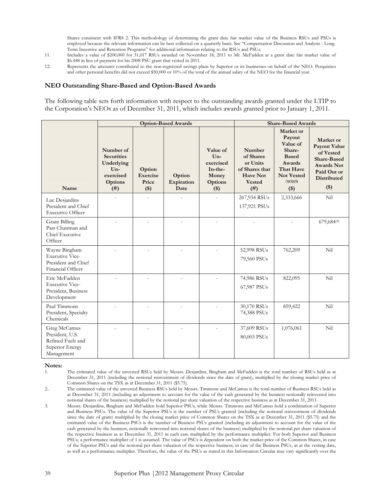Shares consistent with IFRS 2. This methodology of determining the grant date fair market value of the Business RSUs and PSUs is employed because the relevant information can be best collected on a quarterly basis. See "Compensation Discussion and Analysis - Long-Term Incentive and Retention Programs" for additional information relating to the RSUs and PSUs.

- 11. Includes a value of \$200,000 for 31,017 RSUs awarded on November 18, 2011 to Mr. McFadden at a grant date fair market value of \$6.448 in lieu of payment for his 2008 PSU grant that vested in 2011.
- 12. Represents the amounts contributed to the non-registered savings plans by Superior or its businesses on behalf of the NEO. Perquisites and other personal benefits did not exceed \$50,000 or 10% of the total of the annual salary of the NEO for the financial year.

#### NEO Outstanding Share-Based and Option-Based Awards

The following table sets forth information with respect to the outstanding awards granted under the LTIP to the Corporation's NEOs as of December 31, 2011, which includes awards granted prior to January 1, 2011.

|                                                                                       |                                                                                       |                                        | <b>Option-Based Awards</b>   |                                                                               | <b>Share-Based Awards</b>                                                                     |                                                                                                                                      |                                                                                                                                   |  |
|---------------------------------------------------------------------------------------|---------------------------------------------------------------------------------------|----------------------------------------|------------------------------|-------------------------------------------------------------------------------|-----------------------------------------------------------------------------------------------|--------------------------------------------------------------------------------------------------------------------------------------|-----------------------------------------------------------------------------------------------------------------------------------|--|
| Name                                                                                  | Number of<br><b>Securities</b><br>Underlying<br>$Un-$<br>exercised<br>Options<br>(# ) | Option<br>Exercise<br>Price<br>$($ \$) | Option<br>Expiration<br>Date | Value of<br>$Un-$<br>exercised<br>In-the-<br>Money<br><b>Options</b><br>$($)$ | Number<br>of Shares<br>or Units<br>of Shares that<br><b>Have Not</b><br><b>Vested</b><br>(# ) | Market or<br>Payout<br>Value of<br>Share-<br><b>Based</b><br><b>Awards</b><br>That Have<br><b>Not Vested</b><br>(1)(2)(3)<br>$($ \$) | Market or<br>Payout Value<br>of Vested<br><b>Share-Based</b><br><b>Awards Not</b><br>Paid Out or<br><b>Distributed</b><br>$($ \$) |  |
| Luc Desjardins<br>President and Chief<br><b>Executive Officer</b>                     |                                                                                       |                                        |                              |                                                                               | 267,934 RSUs<br>137,921 PSUs                                                                  | 2,333,666                                                                                                                            | Nil                                                                                                                               |  |
| <b>Grant Billing</b><br>Past Chairman and<br>Chief Executive<br>Officer               |                                                                                       |                                        |                              | $\overline{a}$                                                                |                                                                                               |                                                                                                                                      | 679,684(4)                                                                                                                        |  |
| Wayne Bingham<br><b>Executive Vice-</b><br>President and Chief<br>Financial Officer   |                                                                                       |                                        |                              |                                                                               | 52,998 RSUs<br>79,560 PSUs                                                                    | 762,209                                                                                                                              | Nil                                                                                                                               |  |
| Eric McFadden<br><b>Executive Vice-</b><br>President, Business<br>Development         |                                                                                       |                                        |                              |                                                                               | 74,986 RSUs<br>67,987 PSUs                                                                    | 822,095                                                                                                                              | Nil                                                                                                                               |  |
| Paul Timmons<br>President, Specialty<br>Chemicals                                     |                                                                                       |                                        |                              |                                                                               | 30,170 RSUs<br>74,388 PSUs                                                                    | 859,422                                                                                                                              | Nil                                                                                                                               |  |
| Greg McCamus<br>President, U.S.<br>Refined Fuels and<br>Superior Energy<br>Management |                                                                                       |                                        |                              |                                                                               | 37,609 RSUs<br>80,003 PSUs                                                                    | 1,076,061                                                                                                                            | Nil                                                                                                                               |  |

# Notes:

- 1. The estimated value of the unvested RSUs held by Messrs. Desjardins, Bingham and McFadden is the total number of RSUs held as at December 31, 2011 (including the notional reinvestment of dividends since the date of grant), multiplied by the closing market price of Common Shares on the TSX as at December 31, 2011 (\$5.75).
- 2.. The estimated value of the unvested Business RSUs held by Messrs. Timmons and McCamus is the total number of Business RSUs held as at December 31, 2011 (including an adjustment to account for the value of the cash generated by the business notionally reinvested into notional shares of the business) multiplied by the notional per share valuation of the respective business as at December 31, 2011.
- 3. Messrs. Desjardins, Bingham and McFadden hold Superior PSUs, while Messrs. Timmons and McCamus hold a combination of Superior and Business PSUs. The value of the Superior PSUs is the number of PSUs granted (including the notional reinvestment of dividends since the date of grant) multiplied by the closing market price of Common Shares on the TSX as at December 31, 2011 (\$5.75) and the estimated value of the Business PSUs is the number of Business PSUs granted (including an adjustment to account for the value of the cash generated by the business, notionally reinvested into notional shares of the business) multiplied by the notional per share valuation of the respective business as at December 31, 2011 in each case multiplied by the performance multiplier. For both Superior and Business PSUs, a performance multiplier of 1 is assumed. The value of PSUs is dependent on both the market price of the Common Shares, in case of the Superior PSUs and the notional per share valuation of the respective business, in case of the Business PSUs, as at the vesting date, as well as a performance multiplier. Therefore, the value of the PSUs as stated in this Information Circular may vary significantly over the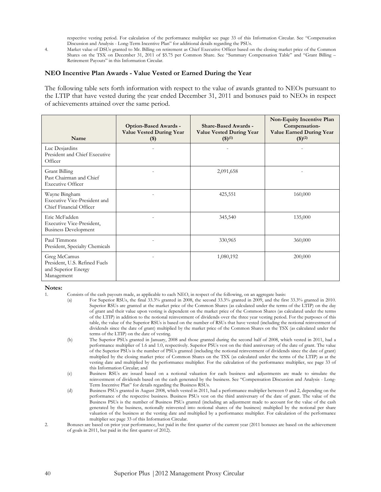respective vesting period. For calculation of the performance multiplier see page 33 of this Information Circular. See "Compensation Discussion and Analysis - Long-Term Incentive Plan" for additional details regarding the PSUs.

4. Market value of DSUs granted to Mr. Billing on retirement as Chief Executive Officer based on the closing market price of the Common Shares on the TSX on December 31, 2011 of \$5.75 per Common Share. See "Summary Compensation Table" and "Grant Billing – Retirement Payouts" in this Information Circular.

#### NEO Incentive Plan Awards - Value Vested or Earned During the Year

The following table sets forth information with respect to the value of awards granted to NEOs pursuant to the LTIP that have vested during the year ended December 31, 2011 and bonuses paid to NEOs in respect of achievements attained over the same period.

| Name                                                                               | <b>Option-Based Awards -</b><br><b>Value Vested During Year</b><br>$($)$ | <b>Share-Based Awards -</b><br><b>Value Vested During Year</b><br>(3)(1) | <b>Non-Equity Incentive Plan</b><br>Compensation-<br><b>Value Earned During Year</b><br>(3)(2) |
|------------------------------------------------------------------------------------|--------------------------------------------------------------------------|--------------------------------------------------------------------------|------------------------------------------------------------------------------------------------|
| Luc Desjardins<br>President and Chief Executive<br>Officer                         |                                                                          |                                                                          |                                                                                                |
| <b>Grant Billing</b><br>Past Chairman and Chief<br><b>Executive Officer</b>        |                                                                          | 2,091,658                                                                |                                                                                                |
| Wayne Bingham<br>Executive Vice-President and<br>Chief Financial Officer           |                                                                          | 425,551                                                                  | 160,000                                                                                        |
| Eric McFadden<br>Executive Vice-President,<br><b>Business Development</b>          |                                                                          | 345,540                                                                  | 135,000                                                                                        |
| Paul Timmons<br>President, Specialty Chemicals                                     |                                                                          | 330,965                                                                  | 360,000                                                                                        |
| Greg McCamus<br>President, U.S. Refined Fuels<br>and Superior Energy<br>Management |                                                                          | 1,080,192                                                                | 200,000                                                                                        |

#### Notes:

1. Consists of the cash payouts made, as applicable to each NEO, in respect of the following, on an aggregate basis:

- (a) For Superior RSUs, the final 33.3% granted in 2008, the second 33.3% granted in 2009, and the first 33.3% granted in 2010. Superior RSUs are granted at the market price of the Common Shares (as calculated under the terms of the LTIP) on the day of grant and their value upon vesting is dependent on the market price of the Common Shares (as calculated under the terms of the LTIP) in addition to the notional reinvestment of dividends over the three year vesting period. For the purposes of this table, the value of the Superior RSUs is based on the number of RSUs that have vested (including the notional reinvestment of dividends since the date of grant) multiplied by the market price of the Common Shares on the TSX (as calculated under the terms of the LTIP) on the date of vesting.
- (b) The Superior PSUs granted in January, 2008 and those granted during the second half of 2008, which vested in 2011, had a performance multiplier of 1.6 and 1.0, respectively. Superior PSUs vest on the third anniversary of the date of grant. The value of the Superior PSUs is the number of PSUs granted (including the notional reinvestment of dividends since the date of grant) multiplied by the closing market price of Common Shares on the TSX (as calculated under the terms of the LTIP) as at the vesting date and multiplied by the performance multiplier. For the calculation of the performance multiplier, see page 33 of this Information Circular; and
- (c) Business RSUs are issued based on a notional valuation for each business and adjustments are made to simulate the reinvestment of dividends based on the cash generated by the business. See "Compensation Discussion and Analysis - Long-Term Incentive Plan" for details regarding the Business RSUs.
- (d) Business PSUs granted in August 2008, which vested in 2011, had a performance multiplier between 0 and 2, depending on the performance of the respective business. Business PSUs vest on the third anniversary of the date of grant. The value of the Business PSUs is the number of Business PSUs granted (including an adjustment made to account for the value of the cash generated by the business, notionally reinvested into notional shares of the business) multiplied by the notional per share valuation of the business at the vesting date and multiplied by a performance multiplier. For calculation of the performance multiplier see page 33 of this Information Circular.
- 2. Bonuses are based on prior year performance, but paid in the first quarter of the current year (2011 bonuses are based on the achievement of goals in 2011, but paid in the first quarter of 2012).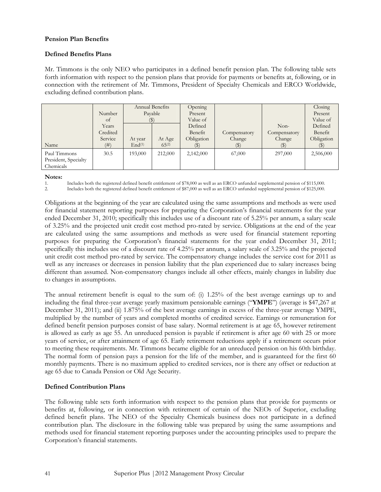#### Pension Plan Benefits

#### Defined Benefits Plans

Mr. Timmons is the only NEO who participates in a defined benefit pension plan. The following table sets forth information with respect to the pension plans that provide for payments or benefits at, following, or in connection with the retirement of Mr. Timmons, President of Specialty Chemicals and ERCO Worldwide, excluding defined contribution plans.

|                      |          | Annual Benefits    |            | Opening    |                            |              | Closing                    |
|----------------------|----------|--------------------|------------|------------|----------------------------|--------------|----------------------------|
|                      | Number   | Payable            |            | Present    |                            |              | Present                    |
|                      | of       | (5)                |            | Value of   |                            |              | Value of                   |
|                      | Years    |                    |            | Defined    |                            | $Non-$       | Defined                    |
|                      | Credited |                    |            | Benefit    | Compensatory               | Compensatory | Benefit                    |
|                      | Service  | At year            | At Age     | Obligation | Change                     | Change       | Obligation                 |
| Name                 | (# )     | End <sup>(1)</sup> | $65^{(2)}$ |            | $\left( \mathbb{S}\right)$ |              | $\left( \mathbb{S}\right)$ |
| Paul Timmons         | 30.5     | 193,000            | 212,000    | 2,142,000  | 67,000                     | 297,000      | 2,506,000                  |
| President, Specialty |          |                    |            |            |                            |              |                            |
| Chemicals            |          |                    |            |            |                            |              |                            |

Notes:

1. Includes both the registered defined benefit entitlement of \$78,000 as well as an ERCO unfunded supplemental pension of \$115,000.

2. Includes both the registered defined benefit entitlement of \$87,000 as well as an ERCO unfunded supplemental pension of \$125,000.

Obligations at the beginning of the year are calculated using the same assumptions and methods as were used for financial statement reporting purposes for preparing the Corporation's financial statements for the year ended December 31, 2010; specifically this includes use of a discount rate of 5.25% per annum, a salary scale of 3.25% and the projected unit credit cost method pro-rated by service. Obligations at the end of the year are calculated using the same assumptions and methods as were used for financial statement reporting purposes for preparing the Corporation's financial statements for the year ended December 31, 2011; specifically this includes use of a discount rate of 4.25% per annum, a salary scale of 3.25% and the projected unit credit cost method pro-rated by service. The compensatory change includes the service cost for 2011 as well as any increases or decreases in pension liability that the plan experienced due to salary increases being different than assumed. Non-compensatory changes include all other effects, mainly changes in liability due to changes in assumptions.

The annual retirement benefit is equal to the sum of: (i) 1.25% of the best average earnings up to and including the final three-year average yearly maximum pensionable earnings ("YMPE") (average is \$47,267 at December 31, 2011); and (ii) 1.875% of the best average earnings in excess of the three-year average YMPE, multiplied by the number of years and completed months of credited service. Earnings or remuneration for defined benefit pension purposes consist of base salary. Normal retirement is at age 65, however retirement is allowed as early as age 55. An unreduced pension is payable if retirement is after age 60 with 25 or more years of service, or after attainment of age 65. Early retirement reductions apply if a retirement occurs prior to meeting these requirements. Mr. Timmons became eligible for an unreduced pension on his 60th birthday. The normal form of pension pays a pension for the life of the member, and is guaranteed for the first 60 monthly payments. There is no maximum applied to credited services, nor is there any offset or reduction at age 65 due to Canada Pension or Old Age Security.

# Defined Contribution Plans

The following table sets forth information with respect to the pension plans that provide for payments or benefits at, following, or in connection with retirement of certain of the NEOs of Superior, excluding defined benefit plans. The NEO of the Specialty Chemicals business does not participate in a defined contribution plan. The disclosure in the following table was prepared by using the same assumptions and methods used for financial statement reporting purposes under the accounting principles used to prepare the Corporation's financial statements.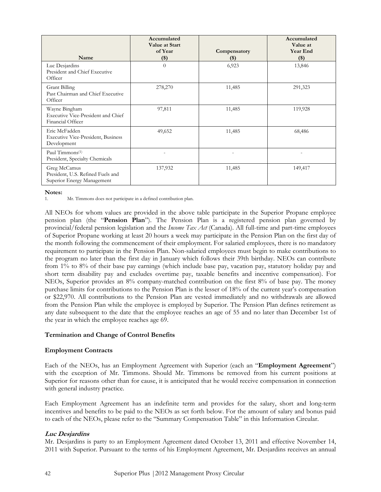| Name                                                                            | Accumulated<br><b>Value at Start</b><br>of Year<br>$($)$ | Compensatory<br>$(\$)$ | Accumulated<br>Value at<br><b>Year End</b><br>$($ \$) |
|---------------------------------------------------------------------------------|----------------------------------------------------------|------------------------|-------------------------------------------------------|
| Luc Desjardins<br>President and Chief Executive<br>Officer                      | $\Omega$                                                 | 6,923                  | 13,846                                                |
| Grant Billing<br>Past Chairman and Chief Executive<br>Officer                   | 278,270                                                  | 11,485                 | 291,323                                               |
| Wayne Bingham<br>Executive Vice-President and Chief<br>Financial Officer        | 97,811                                                   | 11,485                 | 119,928                                               |
| Eric McFadden<br><b>Executive Vice-President, Business</b><br>Development       | 49,652                                                   | 11,485                 | 68,486                                                |
| Paul Timmons <sup>(1)</sup><br>President, Specialty Chemicals                   |                                                          | $\overline{a}$         |                                                       |
| Greg McCamus<br>President, U.S. Refined Fuels and<br>Superior Energy Management | 137,932                                                  | 11,485                 | 149,417                                               |

#### Notes:

1. Mr. Timmons does not participate in a defined contribution plan.

All NEOs for whom values are provided in the above table participate in the Superior Propane employee pension plan (the "Pension Plan"). The Pension Plan is a registered pension plan governed by provincial/federal pension legislation and the Income Tax Act (Canada). All full-time and part-time employees of Superior Propane working at least 20 hours a week may participate in the Pension Plan on the first day of the month following the commencement of their employment. For salaried employees, there is no mandatory requirement to participate in the Pension Plan. Non-salaried employees must begin to make contributions to the program no later than the first day in January which follows their 39th birthday. NEOs can contribute from 1% to 8% of their base pay earnings (which include base pay, vacation pay, statutory holiday pay and short term disability pay and excludes overtime pay, taxable benefits and incentive compensation). For NEOs, Superior provides an 8% company-matched contribution on the first 8% of base pay. The money purchase limits for contributions to the Pension Plan is the lesser of 18% of the current year's compensation or \$22,970. All contributions to the Pension Plan are vested immediately and no withdrawals are allowed from the Pension Plan while the employee is employed by Superior. The Pension Plan defines retirement as any date subsequent to the date that the employee reaches an age of 55 and no later than December 1st of the year in which the employee reaches age 69.

# Termination and Change of Control Benefits

#### Employment Contracts

Each of the NEOs, has an Employment Agreement with Superior (each an "Employment Agreement") with the exception of Mr. Timmons. Should Mr. Timmons be removed from his current positions at Superior for reasons other than for cause, it is anticipated that he would receive compensation in connection with general industry practice.

Each Employment Agreement has an indefinite term and provides for the salary, short and long-term incentives and benefits to be paid to the NEOs as set forth below. For the amount of salary and bonus paid to each of the NEOs, please refer to the "Summary Compensation Table" in this Information Circular.

# Luc Desjardins

Mr. Desjardins is party to an Employment Agreement dated October 13, 2011 and effective November 14, 2011 with Superior. Pursuant to the terms of his Employment Agreement, Mr. Desjardins receives an annual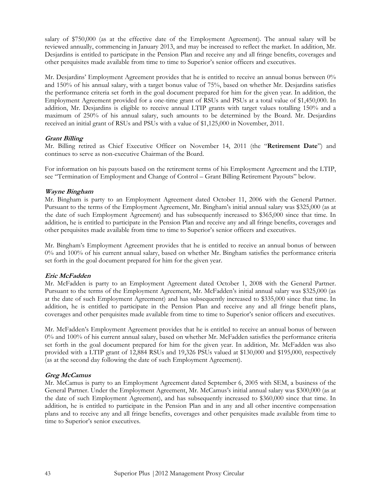salary of \$750,000 (as at the effective date of the Employment Agreement). The annual salary will be reviewed annually, commencing in January 2013, and may be increased to reflect the market. In addition, Mr. Desjardins is entitled to participate in the Pension Plan and receive any and all fringe benefits, coverages and other perquisites made available from time to time to Superior's senior officers and executives.

Mr. Desjardins' Employment Agreement provides that he is entitled to receive an annual bonus between 0% and 150% of his annual salary, with a target bonus value of 75%, based on whether Mr. Desjardins satisfies the performance criteria set forth in the goal document prepared for him for the given year. In addition, the Employment Agreement provided for a one-time grant of RSUs and PSUs at a total value of \$1,450,000. In addition, Mr. Desjardins is eligible to receive annual LTIP grants with target values totalling 150% and a maximum of 250% of his annual salary, such amounts to be determined by the Board. Mr. Desjardins received an initial grant of RSUs and PSUs with a value of \$1,125,000 in November, 2011.

# Grant Billing

Mr. Billing retired as Chief Executive Officer on November 14, 2011 (the "Retirement Date") and continues to serve as non-executive Chairman of the Board.

For information on his payouts based on the retirement terms of his Employment Agreement and the LTIP, see "Termination of Employment and Change of Control – Grant Billing Retirement Payouts" below.

# Wayne Bingham

Mr. Bingham is party to an Employment Agreement dated October 11, 2006 with the General Partner. Pursuant to the terms of the Employment Agreement, Mr. Bingham's initial annual salary was \$325,000 (as at the date of such Employment Agreement) and has subsequently increased to \$365,000 since that time. In addition, he is entitled to participate in the Pension Plan and receive any and all fringe benefits, coverages and other perquisites made available from time to time to Superior's senior officers and executives.

Mr. Bingham's Employment Agreement provides that he is entitled to receive an annual bonus of between 0% and 100% of his current annual salary, based on whether Mr. Bingham satisfies the performance criteria set forth in the goal document prepared for him for the given year.

# Eric McFadden

Mr. McFadden is party to an Employment Agreement dated October 1, 2008 with the General Partner. Pursuant to the terms of the Employment Agreement, Mr. McFadden's initial annual salary was \$325,000 (as at the date of such Employment Agreement) and has subsequently increased to \$335,000 since that time. In addition, he is entitled to participate in the Pension Plan and receive any and all fringe benefit plans, coverages and other perquisites made available from time to time to Superior's senior officers and executives.

Mr. McFadden's Employment Agreement provides that he is entitled to receive an annual bonus of between 0% and 100% of his current annual salary, based on whether Mr. McFadden satisfies the performance criteria set forth in the goal document prepared for him for the given year. In addition, Mr. McFadden was also provided with a LTIP grant of 12,884 RSUs and 19,326 PSUs valued at \$130,000 and \$195,000, respectively (as at the second day following the date of such Employment Agreement).

# Greg McCamus

Mr. McCamus is party to an Employment Agreement dated September 6, 2005 with SEM, a business of the General Partner. Under the Employment Agreement, Mr. McCamus's initial annual salary was \$300,000 (as at the date of such Employment Agreement), and has subsequently increased to \$360,000 since that time. In addition, he is entitled to participate in the Pension Plan and in any and all other incentive compensation plans and to receive any and all fringe benefits, coverages and other perquisites made available from time to time to Superior's senior executives.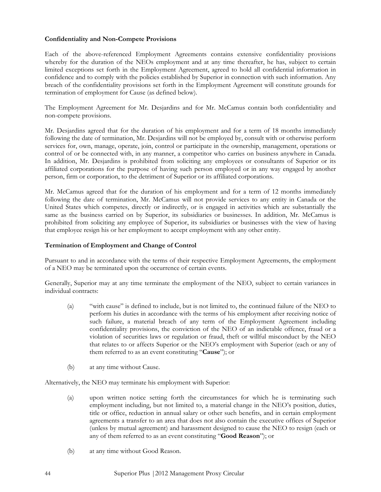#### Confidentiality and Non-Compete Provisions

Each of the above-referenced Employment Agreements contains extensive confidentiality provisions whereby for the duration of the NEOs employment and at any time thereafter, he has, subject to certain limited exceptions set forth in the Employment Agreement, agreed to hold all confidential information in confidence and to comply with the policies established by Superior in connection with such information. Any breach of the confidentiality provisions set forth in the Employment Agreement will constitute grounds for termination of employment for Cause (as defined below).

The Employment Agreement for Mr. Desjardins and for Mr. McCamus contain both confidentiality and non-compete provisions.

Mr. Desjardins agreed that for the duration of his employment and for a term of 18 months immediately following the date of termination, Mr. Desjardins will not be employed by, consult with or otherwise perform services for, own, manage, operate, join, control or participate in the ownership, management, operations or control of or be connected with, in any manner, a competitor who carries on business anywhere in Canada. In addition, Mr. Desjardins is prohibited from soliciting any employees or consultants of Superior or its affiliated corporations for the purpose of having such person employed or in any way engaged by another person, firm or corporation, to the detriment of Superior or its affiliated corporations.

Mr. McCamus agreed that for the duration of his employment and for a term of 12 months immediately following the date of termination, Mr. McCamus will not provide services to any entity in Canada or the United States which competes, directly or indirectly, or is engaged in activities which are substantially the same as the business carried on by Superior, its subsidiaries or businesses. In addition, Mr. McCamus is prohibited from soliciting any employee of Superior, its subsidiaries or businesses with the view of having that employee resign his or her employment to accept employment with any other entity.

#### Termination of Employment and Change of Control

Pursuant to and in accordance with the terms of their respective Employment Agreements, the employment of a NEO may be terminated upon the occurrence of certain events.

Generally, Superior may at any time terminate the employment of the NEO, subject to certain variances in individual contracts:

- (a) "with cause" is defined to include, but is not limited to, the continued failure of the NEO to perform his duties in accordance with the terms of his employment after receiving notice of such failure, a material breach of any term of the Employment Agreement including confidentiality provisions, the conviction of the NEO of an indictable offence, fraud or a violation of securities laws or regulation or fraud, theft or willful misconduct by the NEO that relates to or affects Superior or the NEO's employment with Superior (each or any of them referred to as an event constituting "Cause"); or
- (b) at any time without Cause.

Alternatively, the NEO may terminate his employment with Superior:

- (a) upon written notice setting forth the circumstances for which he is terminating such employment including, but not limited to, a material change in the NEO's position, duties, title or office, reduction in annual salary or other such benefits, and in certain employment agreements a transfer to an area that does not also contain the executive offices of Superior (unless by mutual agreement) and harassment designed to cause the NEO to resign (each or any of them referred to as an event constituting "Good Reason"); or
- (b) at any time without Good Reason.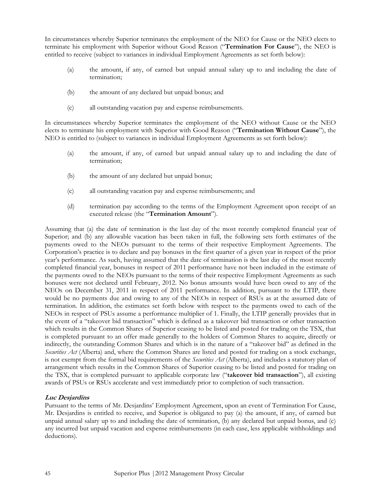In circumstances whereby Superior terminates the employment of the NEO for Cause or the NEO elects to terminate his employment with Superior without Good Reason ("Termination For Cause"), the NEO is entitled to receive (subject to variances in individual Employment Agreements as set forth below):

- (a) the amount, if any, of earned but unpaid annual salary up to and including the date of termination;
- (b) the amount of any declared but unpaid bonus; and
- (c) all outstanding vacation pay and expense reimbursements.

In circumstances whereby Superior terminates the employment of the NEO without Cause or the NEO elects to terminate his employment with Superior with Good Reason ("Termination Without Cause"), the NEO is entitled to (subject to variances in individual Employment Agreements as set forth below):

- (a) the amount, if any, of earned but unpaid annual salary up to and including the date of termination;
- (b) the amount of any declared but unpaid bonus;
- (c) all outstanding vacation pay and expense reimbursements; and
- (d) termination pay according to the terms of the Employment Agreement upon receipt of an executed release (the "Termination Amount").

Assuming that (a) the date of termination is the last day of the most recently completed financial year of Superior; and (b) any allowable vacation has been taken in full, the following sets forth estimates of the payments owed to the NEOs pursuant to the terms of their respective Employment Agreements. The Corporation's practice is to declare and pay bonuses in the first quarter of a given year in respect of the prior year's performance. As such, having assumed that the date of termination is the last day of the most recently completed financial year, bonuses in respect of 2011 performance have not been included in the estimate of the payments owed to the NEOs pursuant to the terms of their respective Employment Agreements as such bonuses were not declared until February, 2012. No bonus amounts would have been owed to any of the NEOs on December 31, 2011 in respect of 2011 performance. In addition, pursuant to the LTIP, there would be no payments due and owing to any of the NEOs in respect of RSUs as at the assumed date of termination. In addition, the estimates set forth below with respect to the payments owed to each of the NEOs in respect of PSUs assume a performance multiplier of 1. Finally, the LTIP generally provides that in the event of a "takeover bid transaction" which is defined as a takeover bid transaction or other transaction which results in the Common Shares of Superior ceasing to be listed and posted for trading on the TSX, that is completed pursuant to an offer made generally to the holders of Common Shares to acquire, directly or indirectly, the outstanding Common Shares and which is in the nature of a "takeover bid" as defined in the Securities Act (Alberta) and, where the Common Shares are listed and posted for trading on a stock exchange, is not exempt from the formal bid requirements of the *Securities Act* (Alberta), and includes a statutory plan of arrangement which results in the Common Shares of Superior ceasing to be listed and posted for trading on the TSX, that is completed pursuant to applicable corporate law ("takeover bid transaction"), all existing awards of PSUs or RSUs accelerate and vest immediately prior to completion of such transaction.

# Luc Desjardins

Pursuant to the terms of Mr. Desjardins' Employment Agreement, upon an event of Termination For Cause, Mr. Desjardins is entitled to receive, and Superior is obligated to pay (a) the amount, if any, of earned but unpaid annual salary up to and including the date of termination, (b) any declared but unpaid bonus, and (c) any incurred but unpaid vacation and expense reimbursements (in each case, less applicable withholdings and deductions).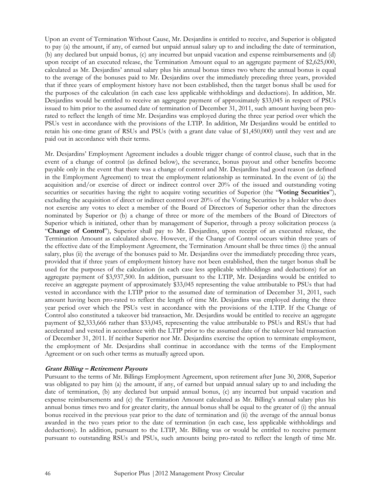Upon an event of Termination Without Cause, Mr. Desjardins is entitled to receive, and Superior is obligated to pay (a) the amount, if any, of earned but unpaid annual salary up to and including the date of termination, (b) any declared but unpaid bonus, (c) any incurred but unpaid vacation and expense reimbursements and (d) upon receipt of an executed release, the Termination Amount equal to an aggregate payment of \$2,625,000, calculated as Mr. Desjardins' annual salary plus his annual bonus times two where the annual bonus is equal to the average of the bonuses paid to Mr. Desjardins over the immediately preceding three years, provided that if three years of employment history have not been established, then the target bonus shall be used for the purposes of the calculation (in each case less applicable withholdings and deductions). In addition, Mr. Desjardins would be entitled to receive an aggregate payment of approximately \$33,045 in respect of PSUs issued to him prior to the assumed date of termination of December 31, 2011, such amount having been prorated to reflect the length of time Mr. Desjardins was employed during the three year period over which the PSUs vest in accordance with the provisions of the LTIP. In addition, Mr Desjardins would be entitled to retain his one-time grant of RSUs and PSUs (with a grant date value of \$1,450,000) until they vest and are paid out in accordance with their terms.

Mr. Desjardins' Employment Agreement includes a double trigger change of control clause, such that in the event of a change of control (as defined below), the severance, bonus payout and other benefits become payable only in the event that there was a change of control and Mr. Desjardins had good reason (as defined in the Employment Agreement) to treat the employment relationship as terminated. In the event of (a) the acquisition and/or exercise of direct or indirect control over 20% of the issued and outstanding voting securities or securities having the right to acquire voting securities of Superior (the "Voting Securities"), excluding the acquisition of direct or indirect control over 20% of the Voting Securities by a holder who does not exercise any votes to elect a member of the Board of Directors of Superior other than the directors nominated by Superior or (b) a change of three or more of the members of the Board of Directors of Superior which is initiated, other than by management of Superior, through a proxy solicitation process (a "Change of Control"), Superior shall pay to Mr. Desjardins, upon receipt of an executed release, the Termination Amount as calculated above. However, if the Change of Control occurs within three years of the effective date of the Employment Agreement, the Termination Amount shall be three times (i) the annual salary, plus (ii) the average of the bonuses paid to Mr. Desjardins over the immediately preceding three years, provided that if three years of employment history have not been established, then the target bonus shall be used for the purposes of the calculation (in each case less applicable withholdings and deductions) for an aggregate payment of \$3,937,500. In addition, pursuant to the LTIP, Mr. Desjardins would be entitled to receive an aggregate payment of approximately \$33,045 representing the value attributable to PSUs that had vested in accordance with the LTIP prior to the assumed date of termination of December 31, 2011, such amount having been pro-rated to reflect the length of time Mr. Desjardins was employed during the three year period over which the PSUs vest in accordance with the provisions of the LTIP. If the Change of Control also constituted a takeover bid transaction, Mr. Desjardins would be entitled to receive an aggregate payment of \$2,333,666 rather than \$33,045, representing the value attributable to PSUs and RSUs that had accelerated and vested in accordance with the LTIP prior to the assumed date of the takeover bid transaction of December 31, 2011. If neither Superior nor Mr. Desjardins exercise the option to terminate employment, the employment of Mr. Desjardins shall continue in accordance with the terms of the Employment Agreement or on such other terms as mutually agreed upon.

# Grant Billing – Retirement Payouts

Pursuant to the terms of Mr. Billings Employment Agreement, upon retirement after June 30, 2008, Superior was obligated to pay him (a) the amount, if any, of earned but unpaid annual salary up to and including the date of termination, (b) any declared but unpaid annual bonus, (c) any incurred but unpaid vacation and expense reimbursements and (c) the Termination Amount calculated as Mr. Billing's annual salary plus his annual bonus times two and for greater clarity, the annual bonus shall be equal to the greater of (i) the annual bonus received in the previous year prior to the date of termination and (ii) the average of the annual bonus awarded in the two years prior to the date of termination (in each case, less applicable withholdings and deductions). In addition, pursuant to the LTIP, Mr. Billing was or would be entitled to receive payment pursuant to outstanding RSUs and PSUs, such amounts being pro-rated to reflect the length of time Mr.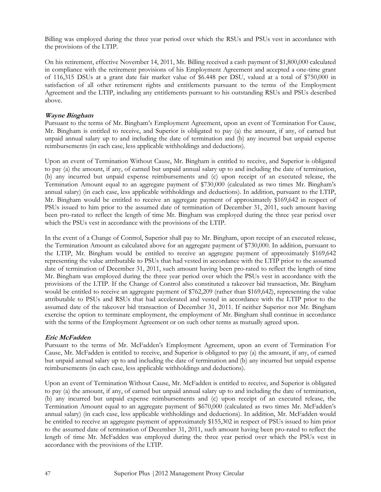Billing was employed during the three year period over which the RSUs and PSUs vest in accordance with the provisions of the LTIP.

On his retirement, effective November 14, 2011, Mr. Billing received a cash payment of \$1,800,000 calculated in compliance with the retirement provisions of his Employment Agreement and accepted a one-time grant of 116,315 DSUs at a grant date fair market value of \$6.448 per DSU, valued at a total of \$750,000 in satisfaction of all other retirement rights and entitlements pursuant to the terms of the Employment Agreement and the LTIP, including any entitlements pursuant to his outstanding RSUs and PSUs described above.

#### Wayne Bingham

Pursuant to the terms of Mr. Bingham's Employment Agreement, upon an event of Termination For Cause, Mr. Bingham is entitled to receive, and Superior is obligated to pay (a) the amount, if any, of earned but unpaid annual salary up to and including the date of termination and (b) any incurred but unpaid expense reimbursements (in each case, less applicable withholdings and deductions).

Upon an event of Termination Without Cause, Mr. Bingham is entitled to receive, and Superior is obligated to pay (a) the amount, if any, of earned but unpaid annual salary up to and including the date of termination, (b) any incurred but unpaid expense reimbursements and (c) upon receipt of an executed release, the Termination Amount equal to an aggregate payment of \$730,000 (calculated as two times Mr. Bingham's annual salary) (in each case, less applicable withholdings and deductions). In addition, pursuant to the LTIP, Mr. Bingham would be entitled to receive an aggregate payment of approximately \$169,642 in respect of PSUs issued to him prior to the assumed date of termination of December 31, 2011, such amount having been pro-rated to reflect the length of time Mr. Bingham was employed during the three year period over which the PSUs vest in accordance with the provisions of the LTIP.

In the event of a Change of Control, Superior shall pay to Mr. Bingham, upon receipt of an executed release, the Termination Amount as calculated above for an aggregate payment of \$730,000. In addition, pursuant to the LTIP, Mr. Bingham would be entitled to receive an aggregate payment of approximately \$169,642 representing the value attributable to PSUs that had vested in accordance with the LTIP prior to the assumed date of termination of December 31, 2011, such amount having been pro-rated to reflect the length of time Mr. Bingham was employed during the three year period over which the PSUs vest in accordance with the provisions of the LTIP. If the Change of Control also constituted a takeover bid transaction, Mr. Bingham would be entitled to receive an aggregate payment of \$762,209 (rather than \$169,642), representing the value attributable to PSUs and RSUs that had accelerated and vested in accordance with the LTIP prior to the assumed date of the takeover bid transaction of December 31, 2011. If neither Superior nor Mr. Bingham exercise the option to terminate employment, the employment of Mr. Bingham shall continue in accordance with the terms of the Employment Agreement or on such other terms as mutually agreed upon.

# Eric McFadden

Pursuant to the terms of Mr. McFadden's Employment Agreement, upon an event of Termination For Cause, Mr. McFadden is entitled to receive, and Superior is obligated to pay (a) the amount, if any, of earned but unpaid annual salary up to and including the date of termination and (b) any incurred but unpaid expense reimbursements (in each case, less applicable withholdings and deductions).

Upon an event of Termination Without Cause, Mr. McFadden is entitled to receive, and Superior is obligated to pay (a) the amount, if any, of earned but unpaid annual salary up to and including the date of termination, (b) any incurred but unpaid expense reimbursements and (c) upon receipt of an executed release, the Termination Amount equal to an aggregate payment of \$670,000 (calculated as two times Mr. McFadden's annual salary) (in each case, less applicable withholdings and deductions). In addition, Mr. McFadden would be entitled to receive an aggregate payment of approximately \$155,302 in respect of PSUs issued to him prior to the assumed date of termination of December 31, 2011, such amount having been pro-rated to reflect the length of time Mr. McFadden was employed during the three year period over which the PSUs vest in accordance with the provisions of the LTIP.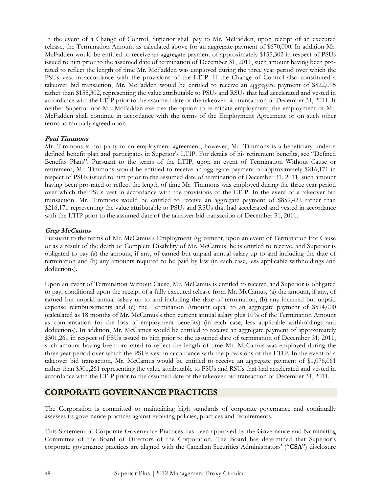In the event of a Change of Control, Superior shall pay to Mr. McFadden, upon receipt of an executed release, the Termination Amount as calculated above for an aggregate payment of \$670,000. In addition Mr. McFadden would be entitled to receive an aggregate payment of approximately \$155,302 in respect of PSUs issued to him prior to the assumed date of termination of December 31, 2011, such amount having been prorated to reflect the length of time Mr. McFadden was employed during the three year period over which the PSUs vest in accordance with the provisions of the LTIP. If the Change of Control also constituted a takeover bid transaction, Mr. McFadden would be entitled to receive an aggregate payment of \$822,095 rather than \$155,302, representing the value attributable to PSUs and RSUs that had accelerated and vested in accordance with the LTIP prior to the assumed date of the takeover bid transaction of December 31, 2011. If neither Superior nor Mr. McFadden exercise the option to terminate employment, the employment of Mr. McFadden shall continue in accordance with the terms of the Employment Agreement or on such other terms as mutually agreed upon.

# Paul Timmons

Mr. Timmons is not party to an employment agreement, however, Mr. Timmons is a beneficiary under a defined benefit plan and participates in Superior's LTIP. For details of his retirement benefits, see "Defined Benefits Plans". Pursuant to the terms of the LTIP, upon an event of Termination Without Cause or retirement, Mr. Timmons would be entitled to receive an aggregate payment of approximately \$216,171 in respect of PSUs issued to him prior to the assumed date of termination of December 31, 2011, such amount having been pro-rated to reflect the length of time Mr. Timmons was employed during the three year period over which the PSUs vest in accordance with the provisions of the LTIP. In the event of a takeover bid transaction, Mr. Timmons would be entitled to receive an aggregate payment of \$859,422 rather than \$216,171 representing the value attributable to PSUs and RSUs that had accelerated and vested in accordance with the LTIP prior to the assumed date of the takeover bid transaction of December 31, 2011.

# Greg McCamus

Pursuant to the terms of Mr. McCamus's Employment Agreement, upon an event of Termination For Cause or as a result of the death or Complete Disability of Mr. McCamus, he is entitled to receive, and Superior is obligated to pay (a) the amount, if any, of earned but unpaid annual salary up to and including the date of termination and (b) any amounts required to be paid by law (in each case, less applicable withholdings and deductions).

Upon an event of Termination Without Cause, Mr. McCamus is entitled to receive, and Superior is obligated to pay, conditional upon the receipt of a fully executed release from Mr. McCamus, (a) the amount, if any, of earned but unpaid annual salary up to and including the date of termination, (b) any incurred but unpaid expense reimbursements and (c) the Termination Amount equal to an aggregate payment of \$594,000 (calculated as 18 months of Mr. McCamus's then current annual salary plus 10% of the Termination Amount as compensation for the loss of employment benefits) (in each case, less applicable withholdings and deductions). In addition, Mr. McCamus would be entitled to receive an aggregate payment of approximately \$301,261 in respect of PSUs issued to him prior to the assumed date of termination of December 31, 2011, such amount having been pro-rated to reflect the length of time Mr. McCamus was employed during the three year period over which the PSUs vest in accordance with the provisions of the LTIP. In the event of a takeover bid transaction, Mr. McCamus would be entitled to receive an aggregate payment of \$1,076,061 rather than \$301,261 representing the value attributable to PSUs and RSUs that had accelerated and vested in accordance with the LTIP prior to the assumed date of the takeover bid transaction of December 31, 2011.

# CORPORATE GOVERNANCE PRACTICES

The Corporation is committed to maintaining high standards of corporate governance and continually assesses its governance practices against evolving policies, practices and requirements.

This Statement of Corporate Governance Practices has been approved by the Governance and Nominating Committee of the Board of Directors of the Corporation. The Board has determined that Superior's corporate governance practices are aligned with the Canadian Securities Administrators' ("CSA") disclosure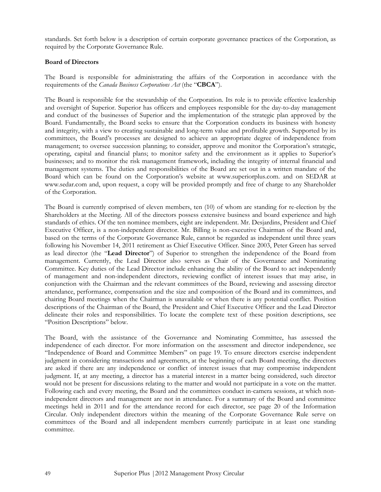standards. Set forth below is a description of certain corporate governance practices of the Corporation, as required by the Corporate Governance Rule.

#### Board of Directors

The Board is responsible for administrating the affairs of the Corporation in accordance with the requirements of the *Canada Business Corporations Act* (the "CBCA").

The Board is responsible for the stewardship of the Corporation. Its role is to provide effective leadership and oversight of Superior. Superior has officers and employees responsible for the day-to-day management and conduct of the businesses of Superior and the implementation of the strategic plan approved by the Board. Fundamentally, the Board seeks to ensure that the Corporation conducts its business with honesty and integrity, with a view to creating sustainable and long-term value and profitable growth. Supported by its committees, the Board's processes are designed to achieve an appropriate degree of independence from management; to oversee succession planning; to consider, approve and monitor the Corporation's strategic, operating, capital and financial plans; to monitor safety and the environment as it applies to Superior's businesses; and to monitor the risk management framework, including the integrity of internal financial and management systems. The duties and responsibilities of the Board are set out in a written mandate of the Board which can be found on the Corporation's website at www.superiorplus.com. and on SEDAR at www.sedar.com and, upon request, a copy will be provided promptly and free of charge to any Shareholder of the Corporation.

The Board is currently comprised of eleven members, ten (10) of whom are standing for re-election by the Shareholders at the Meeting. All of the directors possess extensive business and board experience and high standards of ethics. Of the ten nominee members, eight are independent. Mr. Desjardins, President and Chief Executive Officer, is a non-independent director. Mr. Billing is non-executive Chairman of the Board and, based on the terms of the Corporate Governance Rule, cannot be regarded as independent until three years following his November 14, 2011 retirement as Chief Executive Officer. Since 2003, Peter Green has served as lead director (the "Lead Director") of Superior to strengthen the independence of the Board from management. Currently, the Lead Director also serves as Chair of the Governance and Nominating Committee. Key duties of the Lead Director include enhancing the ability of the Board to act independently of management and non-independent directors, reviewing conflict of interest issues that may arise, in conjunction with the Chairman and the relevant committees of the Board, reviewing and assessing director attendance, performance, compensation and the size and composition of the Board and its committees, and chairing Board meetings when the Chairman is unavailable or when there is any potential conflict. Position descriptions of the Chairman of the Board, the President and Chief Executive Officer and the Lead Director delineate their roles and responsibilities. To locate the complete text of these position descriptions, see "Position Descriptions" below.

The Board, with the assistance of the Governance and Nominating Committee, has assessed the independence of each director. For more information on the assessment and director independence, see "Independence of Board and Committee Members" on page 19. To ensure directors exercise independent judgment in considering transactions and agreements, at the beginning of each Board meeting, the directors are asked if there are any independence or conflict of interest issues that may compromise independent judgment. If, at any meeting, a director has a material interest in a matter being considered, such director would not be present for discussions relating to the matter and would not participate in a vote on the matter. Following each and every meeting, the Board and the committees conduct in-camera sessions, at which nonindependent directors and management are not in attendance. For a summary of the Board and committee meetings held in 2011 and for the attendance record for each director, see page 20 of the Information Circular. Only independent directors within the meaning of the Corporate Governance Rule serve on committees of the Board and all independent members currently participate in at least one standing committee.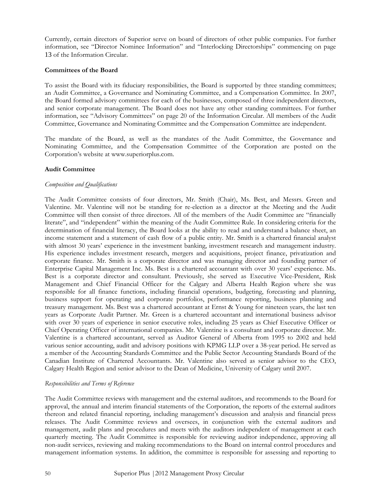Currently, certain directors of Superior serve on board of directors of other public companies. For further information, see "Director Nominee Information" and "Interlocking Directorships" commencing on page 13 of the Information Circular.

#### Committees of the Board

To assist the Board with its fiduciary responsibilities, the Board is supported by three standing committees; an Audit Committee, a Governance and Nominating Committee, and a Compensation Committee. In 2007, the Board formed advisory committees for each of the businesses, composed of three independent directors, and senior corporate management. The Board does not have any other standing committees. For further information, see "Advisory Committees" on page 20 of the Information Circular. All members of the Audit Committee, Governance and Nominating Committee and the Compensation Committee are independent.

The mandate of the Board, as well as the mandates of the Audit Committee, the Governance and Nominating Committee, and the Compensation Committee of the Corporation are posted on the Corporation's website at www.superiorplus.com.

# Audit Committee

#### Composition and Qualifications

The Audit Committee consists of four directors, Mr. Smith (Chair), Ms. Best, and Messrs. Green and Valentine. Mr. Valentine will not be standing for re-election as a director at the Meeting and the Audit Committee will then consist of three directors. All of the members of the Audit Committee are "financially literate", and "independent" within the meaning of the Audit Committee Rule. In considering criteria for the determination of financial literacy, the Board looks at the ability to read and understand a balance sheet, an income statement and a statement of cash flow of a public entity. Mr. Smith is a chartered financial analyst with almost 30 years' experience in the investment banking, investment research and management industry. His experience includes investment research, mergers and acquisitions, project finance, privatization and corporate finance. Mr. Smith is a corporate director and was managing director and founding partner of Enterprise Capital Management Inc. Ms. Best is a chartered accountant with over 30 years' experience. Ms. Best is a corporate director and consultant. Previously, she served as Executive Vice-President, Risk Management and Chief Financial Officer for the Calgary and Alberta Health Region where she was responsible for all finance functions, including financial operations, budgeting, forecasting and planning, business support for operating and corporate portfolios, performance reporting, business planning and treasury management. Ms. Best was a chartered accountant at Ernst & Young for nineteen years, the last ten years as Corporate Audit Partner. Mr. Green is a chartered accountant and international business advisor with over 30 years of experience in senior executive roles, including 25 years as Chief Executive Officer or Chief Operating Officer of international companies. Mr. Valentine is a consultant and corporate director. Mr. Valentine is a chartered accountant, served as Auditor General of Alberta from 1995 to 2002 and held various senior accounting, audit and advisory positions with KPMG LLP over a 38-year period. He served as a member of the Accounting Standards Committee and the Public Sector Accounting Standards Board of the Canadian Institute of Chartered Accountants. Mr. Valentine also served as senior advisor to the CEO, Calgary Health Region and senior advisor to the Dean of Medicine, University of Calgary until 2007.

#### Responsibilities and Terms of Reference

The Audit Committee reviews with management and the external auditors, and recommends to the Board for approval, the annual and interim financial statements of the Corporation, the reports of the external auditors thereon and related financial reporting, including management's discussion and analysis and financial press releases. The Audit Committee reviews and oversees, in conjunction with the external auditors and management, audit plans and procedures and meets with the auditors independent of management at each quarterly meeting. The Audit Committee is responsible for reviewing auditor independence, approving all non-audit services, reviewing and making recommendations to the Board on internal control procedures and management information systems. In addition, the committee is responsible for assessing and reporting to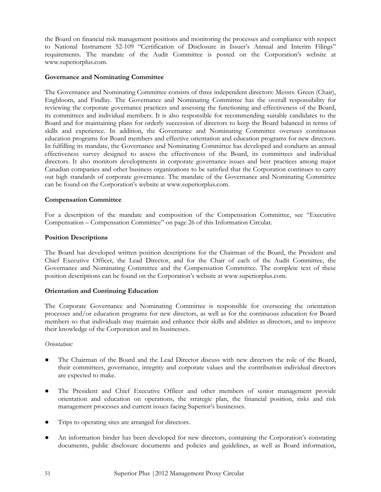the Board on financial risk management positions and monitoring the processes and compliance with respect to National Instrument 52-109 "Certification of Disclosure in Issuer's Annual and Interim Filings" requirements. The mandate of the Audit Committee is posted on the Corporation's website at www.superiorplus.com.

#### Governance and Nominating Committee

The Governance and Nominating Committee consists of three independent directors: Messrs. Green (Chair), Engbloom, and Findlay. The Governance and Nominating Committee has the overall responsibility for reviewing the corporate governance practices and assessing the functioning and effectiveness of the Board, its committees and individual members. It is also responsible for recommending suitable candidates to the Board and for maintaining plans for orderly succession of directors to keep the Board balanced in terms of skills and experience. In addition, the Governance and Nominating Committee oversees continuous education programs for Board members and effective orientation and education programs for new directors. In fulfilling its mandate, the Governance and Nominating Committee has developed and conducts an annual effectiveness survey designed to assess the effectiveness of the Board, its committees and individual directors. It also monitors developments in corporate governance issues and best practices among major Canadian companies and other business organizations to be satisfied that the Corporation continues to carry out high standards of corporate governance. The mandate of the Governance and Nominating Committee can be found on the Corporation's website at www.superiorplus.com.

#### Compensation Committee

For a description of the mandate and composition of the Compensation Committee, see "Executive Compensation – Compensation Committee" on page 26 of this Information Circular.

#### Position Descriptions

The Board has developed written position descriptions for the Chairman of the Board, the President and Chief Executive Officer, the Lead Director, and for the Chair of each of the Audit Committee, the Governance and Nominating Committee and the Compensation Committee. The complete text of these position descriptions can be found on the Corporation's website at www.superiorplus.com.

#### Orientation and Continuing Education

The Corporate Governance and Nominating Committee is responsible for overseeing the orientation processes and/or education programs for new directors, as well as for the continuous education for Board members so that individuals may maintain and enhance their skills and abilities as directors, and to improve their knowledge of the Corporation and its businesses.

#### Orientation:

- The Chairman of the Board and the Lead Director discuss with new directors the role of the Board, their committees, governance, integrity and corporate values and the contribution individual directors are expected to make.
- The President and Chief Executive Officer and other members of senior management provide orientation and education on operations, the strategic plan, the financial position, risks and risk management processes and current issues facing Superior's businesses.
- Trips to operating sites are arranged for directors.
- An information binder has been developed for new directors, containing the Corporation's constating documents, public disclosure documents and policies and guidelines, as well as Board information,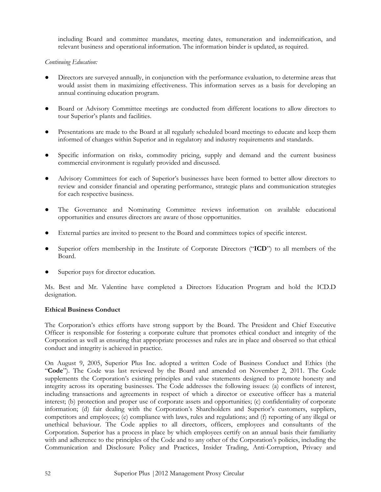including Board and committee mandates, meeting dates, remuneration and indemnification, and relevant business and operational information. The information binder is updated, as required.

# Continuing Education:

- Directors are surveyed annually, in conjunction with the performance evaluation, to determine areas that would assist them in maximizing effectiveness. This information serves as a basis for developing an annual continuing education program.
- Board or Advisory Committee meetings are conducted from different locations to allow directors to tour Superior's plants and facilities.
- Presentations are made to the Board at all regularly scheduled board meetings to educate and keep them informed of changes within Superior and in regulatory and industry requirements and standards.
- Specific information on risks, commodity pricing, supply and demand and the current business commercial environment is regularly provided and discussed.
- Advisory Committees for each of Superior's businesses have been formed to better allow directors to review and consider financial and operating performance, strategic plans and communication strategies for each respective business.
- The Governance and Nominating Committee reviews information on available educational opportunities and ensures directors are aware of those opportunities.
- External parties are invited to present to the Board and committees topics of specific interest.
- Superior offers membership in the Institute of Corporate Directors ("ICD") to all members of the Board.
- Superior pays for director education.

Ms. Best and Mr. Valentine have completed a Directors Education Program and hold the ICD.D designation.

#### Ethical Business Conduct

The Corporation's ethics efforts have strong support by the Board. The President and Chief Executive Officer is responsible for fostering a corporate culture that promotes ethical conduct and integrity of the Corporation as well as ensuring that appropriate processes and rules are in place and observed so that ethical conduct and integrity is achieved in practice.

On August 9, 2005, Superior Plus Inc. adopted a written Code of Business Conduct and Ethics (the "Code"). The Code was last reviewed by the Board and amended on November 2, 2011. The Code supplements the Corporation's existing principles and value statements designed to promote honesty and integrity across its operating businesses. The Code addresses the following issues: (a) conflicts of interest, including transactions and agreements in respect of which a director or executive officer has a material interest; (b) protection and proper use of corporate assets and opportunities; (c) confidentiality of corporate information; (d) fair dealing with the Corporation's Shareholders and Superior's customers, suppliers, competitors and employees; (e) compliance with laws, rules and regulations; and (f) reporting of any illegal or unethical behaviour. The Code applies to all directors, officers, employees and consultants of the Corporation. Superior has a process in place by which employees certify on an annual basis their familiarity with and adherence to the principles of the Code and to any other of the Corporation's policies, including the Communication and Disclosure Policy and Practices, Insider Trading, Anti-Corruption, Privacy and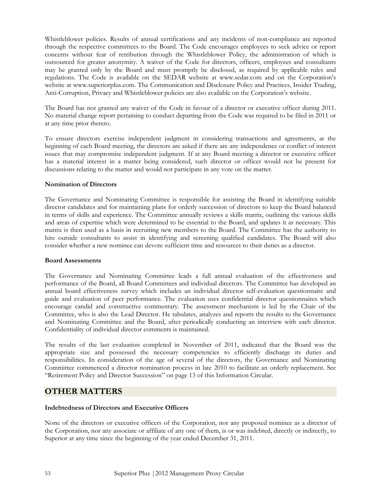Whistleblower policies. Results of annual certifications and any incidents of non-compliance are reported through the respective committees to the Board. The Code encourages employees to seek advice or report concerns without fear of retribution through the Whistleblower Policy, the administration of which is outsourced for greater anonymity. A waiver of the Code for directors, officers, employees and consultants may be granted only by the Board and must promptly be disclosed, as required by applicable rules and regulations. The Code is available on the SEDAR website at www.sedar.com and on the Corporation's website at www.superiorplus.com. The Communication and Disclosure Policy and Practices, Insider Trading, Anti-Corruption, Privacy and Whistleblower policies are also available on the Corporation's website.

The Board has not granted any waiver of the Code in favour of a director or executive officer during 2011. No material change report pertaining to conduct departing from the Code was required to be filed in 2011 or at any time prior thereto.

To ensure directors exercise independent judgment in considering transactions and agreements, at the beginning of each Board meeting, the directors are asked if there are any independence or conflict of interest issues that may compromise independent judgment. If at any Board meeting a director or executive officer has a material interest in a matter being considered, such director or officer would not be present for discussions relating to the matter and would not participate in any vote on the matter.

# Nomination of Directors

The Governance and Nominating Committee is responsible for assisting the Board in identifying suitable director candidates and for maintaining plans for orderly succession of directors to keep the Board balanced in terms of skills and experience. The Committee annually reviews a skills matrix, outlining the various skills and areas of expertise which were determined to be essential to the Board, and updates it as necessary. This matrix is then used as a basis in recruiting new members to the Board. The Committee has the authority to hire outside consultants to assist in identifying and screening qualified candidates. The Board will also consider whether a new nominee can devote sufficient time and resources to their duties as a director.

#### Board Assessments

The Governance and Nominating Committee leads a full annual evaluation of the effectiveness and performance of the Board, all Board Committees and individual directors. The Committee has developed an annual board effectiveness survey which includes an individual director self-evaluation questionnaire and guide and evaluation of peer performance. The evaluation uses confidential director questionnaires which encourage candid and constructive commentary. The assessment mechanism is led by the Chair of the Committee, who is also the Lead Director. He tabulates, analyzes and reports the results to the Governance and Nominating Committee and the Board, after periodically conducting an interview with each director. Confidentiality of individual director comments is maintained.

The results of the last evaluation completed in November of 2011, indicated that the Board was the appropriate size and possessed the necessary competencies to efficiently discharge its duties and responsibilities. In consideration of the age of several of the directors, the Governance and Nominating Committee commenced a director nomination process in late 2010 to facilitate an orderly replacement. See "Retirement Policy and Director Succession" on page 13 of this Information Circular.

# OTHER MATTERS

# Indebtedness of Directors and Executive Officers

None of the directors or executive officers of the Corporation, nor any proposed nominee as a director of the Corporation, nor any associate or affiliate of any one of them, is or was indebted, directly or indirectly, to Superior at any time since the beginning of the year ended December 31, 2011.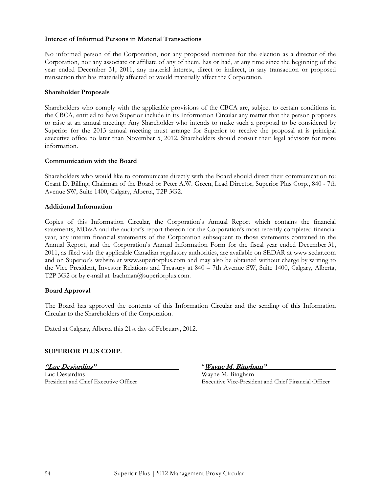#### Interest of Informed Persons in Material Transactions

No informed person of the Corporation, nor any proposed nominee for the election as a director of the Corporation, nor any associate or affiliate of any of them, has or had, at any time since the beginning of the year ended December 31, 2011, any material interest, direct or indirect, in any transaction or proposed transaction that has materially affected or would materially affect the Corporation.

#### Shareholder Proposals

Shareholders who comply with the applicable provisions of the CBCA are, subject to certain conditions in the CBCA, entitled to have Superior include in its Information Circular any matter that the person proposes to raise at an annual meeting. Any Shareholder who intends to make such a proposal to be considered by Superior for the 2013 annual meeting must arrange for Superior to receive the proposal at is principal executive office no later than November 5, 2012. Shareholders should consult their legal advisors for more information.

#### Communication with the Board

Shareholders who would like to communicate directly with the Board should direct their communication to: Grant D. Billing, Chairman of the Board or Peter A.W. Green, Lead Director, Superior Plus Corp., 840 - 7th Avenue SW, Suite 1400, Calgary, Alberta, T2P 3G2.

#### Additional Information

Copies of this Information Circular, the Corporation's Annual Report which contains the financial statements, MD&A and the auditor's report thereon for the Corporation's most recently completed financial year, any interim financial statements of the Corporation subsequent to those statements contained in the Annual Report, and the Corporation's Annual Information Form for the fiscal year ended December 31, 2011, as filed with the applicable Canadian regulatory authorities, are available on SEDAR at www.sedar.com and on Superior's website at www.superiorplus.com and may also be obtained without charge by writing to the Vice President, Investor Relations and Treasury at 840 – 7th Avenue SW, Suite 1400, Calgary, Alberta, T2P 3G2 or by e-mail at jbachman@superiorplus.com.

# Board Approval

The Board has approved the contents of this Information Circular and the sending of this Information Circular to the Shareholders of the Corporation.

Dated at Calgary, Alberta this 21st day of February, 2012.

# SUPERIOR PLUS CORP.

"Luc Desjardins" "Wayne M. Bingham" Luc Desjardins Wayne M. Bingham

President and Chief Executive Officer Executive Vice-President and Chief Financial Officer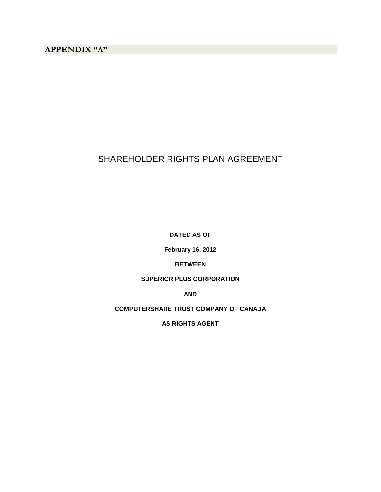# SHAREHOLDER RIGHTS PLAN AGREEMENT

**DATED AS OF** 

**February 16, 2012** 

# **BETWEEN**

# **SUPERIOR PLUS CORPORATION**

**AND** 

**COMPUTERSHARE TRUST COMPANY OF CANADA** 

**AS RIGHTS AGENT**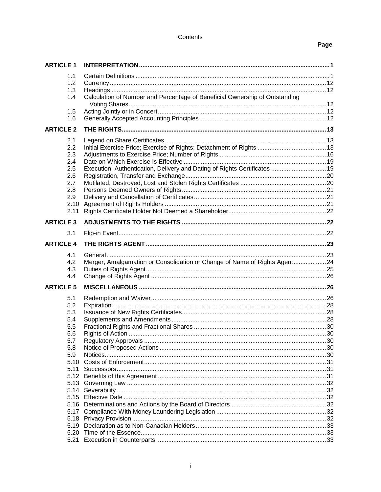#### Contents

# Page

| <b>ARTICLE 1</b> |                                                                             |  |
|------------------|-----------------------------------------------------------------------------|--|
| 1.1<br>1.2       |                                                                             |  |
| 1.3<br>1.4       | Calculation of Number and Percentage of Beneficial Ownership of Outstanding |  |
| 1.5<br>1.6       |                                                                             |  |
| <b>ARTICLE 2</b> |                                                                             |  |
| 2.1              |                                                                             |  |
| 2.2              |                                                                             |  |
| 2.3              |                                                                             |  |
| 2.4              |                                                                             |  |
| 2.5<br>2.6       | Execution, Authentication, Delivery and Dating of Rights Certificates  19   |  |
| 2.7              |                                                                             |  |
| 2.8              |                                                                             |  |
| 2.9              |                                                                             |  |
| 2.10             |                                                                             |  |
| 2.11             |                                                                             |  |
| <b>ARTICLE 3</b> |                                                                             |  |
| 3.1              |                                                                             |  |
| <b>ARTICLE 4</b> |                                                                             |  |
| 4.1              |                                                                             |  |
| 4.2              | Merger, Amalgamation or Consolidation or Change of Name of Rights Agent24   |  |
| 4.3              |                                                                             |  |
| 4.4              |                                                                             |  |
| <b>ARTICLE 5</b> |                                                                             |  |
| 5.1              |                                                                             |  |
| 5.2              |                                                                             |  |
| 5.3              |                                                                             |  |
| 5.4              |                                                                             |  |
| 5.5<br>5.6       |                                                                             |  |
| 5.7              |                                                                             |  |
| 5.8              |                                                                             |  |
| 5.9              |                                                                             |  |
| 5.10             |                                                                             |  |
| 5.11             |                                                                             |  |
| 5.12             |                                                                             |  |
|                  |                                                                             |  |
| 5.15             |                                                                             |  |
|                  |                                                                             |  |
| 5.17             |                                                                             |  |
| 5.18             |                                                                             |  |
| 5.19             |                                                                             |  |
| 5.20             |                                                                             |  |
| 5.21             |                                                                             |  |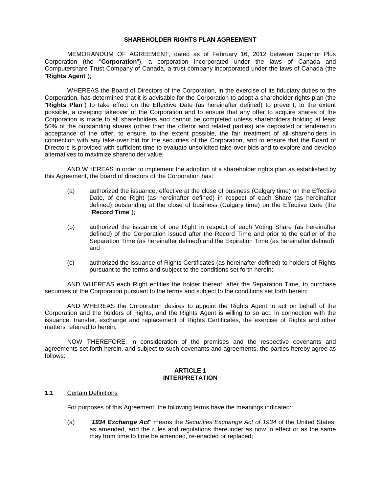#### **SHAREHOLDER RIGHTS PLAN AGREEMENT**

MEMORANDUM OF AGREEMENT, dated as of February 16, 2012 between Superior Plus Corporation (the "**Corporation**"), a corporation incorporated under the laws of Canada and Computershare Trust Company of Canada, a trust company incorporated under the laws of Canada (the "**Rights Agent**");

WHEREAS the Board of Directors of the Corporation, in the exercise of its fiduciary duties to the Corporation, has determined that it is advisable for the Corporation to adopt a shareholder rights plan (the "**Rights Plan**") to take effect on the Effective Date (as hereinafter defined) to prevent, to the extent possible, a creeping takeover of the Corporation and to ensure that any offer to acquire shares of the Corporation is made to all shareholders and cannot be completed unless shareholders holding at least 50% of the outstanding shares (other than the offeror and related parties) are deposited or tendered in acceptance of the offer, to ensure, to the extent possible, the fair treatment of all shareholders in connection with any take-over bid for the securities of the Corporation, and to ensure that the Board of Directors is provided with sufficient time to evaluate unsolicited take-over bids and to explore and develop alternatives to maximize shareholder value;

AND WHEREAS in order to implement the adoption of a shareholder rights plan as established by this Agreement, the board of directors of the Corporation has:

- (a) authorized the issuance, effective at the close of business (Calgary time) on the Effective Date, of one Right (as hereinafter defined) in respect of each Share (as hereinafter defined) outstanding at the close of business (Calgary time) on the Effective Date (the "**Record Time**");
- (b) authorized the issuance of one Right in respect of each Voting Share (as hereinafter defined) of the Corporation issued after the Record Time and prior to the earlier of the Separation Time (as hereinafter defined) and the Expiration Time (as hereinafter defined); and
- (c) authorized the issuance of Rights Certificates (as hereinafter defined) to holders of Rights pursuant to the terms and subject to the conditions set forth herein;

AND WHEREAS each Right entitles the holder thereof, after the Separation Time, to purchase securities of the Corporation pursuant to the terms and subject to the conditions set forth herein;

AND WHEREAS the Corporation desires to appoint the Rights Agent to act on behalf of the Corporation and the holders of Rights, and the Rights Agent is willing to so act, in connection with the issuance, transfer, exchange and replacement of Rights Certificates, the exercise of Rights and other matters referred to herein;

NOW THEREFORE, in consideration of the premises and the respective covenants and agreements set forth herein, and subject to such covenants and agreements, the parties hereby agree as follows:

#### **ARTICLE 1 INTERPRETATION**

#### **1.1** Certain Definitions

For purposes of this Agreement, the following terms have the meanings indicated:

(a) "**1934 Exchange Act**" means the Securities Exchange Act of 1934 of the United States, as amended, and the rules and regulations thereunder as now in effect or as the same may from time to time be amended, re-enacted or replaced;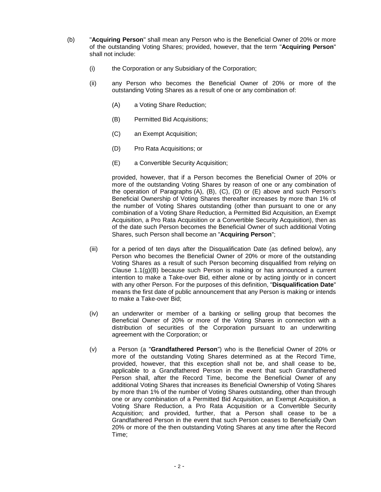- (b) "**Acquiring Person**" shall mean any Person who is the Beneficial Owner of 20% or more of the outstanding Voting Shares; provided, however, that the term "**Acquiring Person**" shall not include:
	- (i) the Corporation or any Subsidiary of the Corporation;
	- (ii) any Person who becomes the Beneficial Owner of 20% or more of the outstanding Voting Shares as a result of one or any combination of:
		- (A) a Voting Share Reduction;
		- (B) Permitted Bid Acquisitions;
		- (C) an Exempt Acquisition;
		- (D) Pro Rata Acquisitions; or
		- (E) a Convertible Security Acquisition;

provided, however, that if a Person becomes the Beneficial Owner of 20% or more of the outstanding Voting Shares by reason of one or any combination of the operation of Paragraphs (A), (B), (C), (D) or (E) above and such Person's Beneficial Ownership of Voting Shares thereafter increases by more than 1% of the number of Voting Shares outstanding (other than pursuant to one or any combination of a Voting Share Reduction, a Permitted Bid Acquisition, an Exempt Acquisition, a Pro Rata Acquisition or a Convertible Security Acquisition), then as of the date such Person becomes the Beneficial Owner of such additional Voting Shares, such Person shall become an "**Acquiring Person**";

- (iii) for a period of ten days after the Disqualification Date (as defined below), any Person who becomes the Beneficial Owner of 20% or more of the outstanding Voting Shares as a result of such Person becoming disqualified from relying on Clause  $1.1(g)(B)$  because such Person is making or has announced a current intention to make a Take-over Bid, either alone or by acting jointly or in concert with any other Person. For the purposes of this definition, "**Disqualification Date**" means the first date of public announcement that any Person is making or intends to make a Take-over Bid;
- (iv) an underwriter or member of a banking or selling group that becomes the Beneficial Owner of 20% or more of the Voting Shares in connection with a distribution of securities of the Corporation pursuant to an underwriting agreement with the Corporation; or
- (v) a Person (a "**Grandfathered Person**") who is the Beneficial Owner of 20% or more of the outstanding Voting Shares determined as at the Record Time, provided, however, that this exception shall not be, and shall cease to be, applicable to a Grandfathered Person in the event that such Grandfathered Person shall, after the Record Time, become the Beneficial Owner of any additional Voting Shares that increases its Beneficial Ownership of Voting Shares by more than 1% of the number of Voting Shares outstanding, other than through one or any combination of a Permitted Bid Acquisition, an Exempt Acquisition, a Voting Share Reduction, a Pro Rata Acquisition or a Convertible Security Acquisition; and provided, further, that a Person shall cease to be a Grandfathered Person in the event that such Person ceases to Beneficially Own 20% or more of the then outstanding Voting Shares at any time after the Record Time;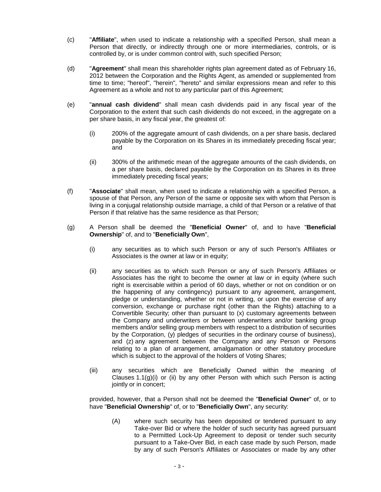- (c) "**Affiliate**", when used to indicate a relationship with a specified Person, shall mean a Person that directly, or indirectly through one or more intermediaries, controls, or is controlled by, or is under common control with, such specified Person;
- (d) "**Agreement**" shall mean this shareholder rights plan agreement dated as of February 16, 2012 between the Corporation and the Rights Agent, as amended or supplemented from time to time; "hereof", "herein", "hereto" and similar expressions mean and refer to this Agreement as a whole and not to any particular part of this Agreement;
- (e) "**annual cash dividend**" shall mean cash dividends paid in any fiscal year of the Corporation to the extent that such cash dividends do not exceed, in the aggregate on a per share basis, in any fiscal year, the greatest of:
	- (i) 200% of the aggregate amount of cash dividends, on a per share basis, declared payable by the Corporation on its Shares in its immediately preceding fiscal year; and
	- (ii) 300% of the arithmetic mean of the aggregate amounts of the cash dividends, on a per share basis, declared payable by the Corporation on its Shares in its three immediately preceding fiscal years;
- (f) "**Associate**" shall mean, when used to indicate a relationship with a specified Person, a spouse of that Person, any Person of the same or opposite sex with whom that Person is living in a conjugal relationship outside marriage, a child of that Person or a relative of that Person if that relative has the same residence as that Person;
- (g) A Person shall be deemed the "**Beneficial Owner**" of, and to have "**Beneficial Ownership**" of, and to "**Beneficially Own**",
	- (i) any securities as to which such Person or any of such Person's Affiliates or Associates is the owner at law or in equity;
	- (ii) any securities as to which such Person or any of such Person's Affiliates or Associates has the right to become the owner at law or in equity (where such right is exercisable within a period of 60 days, whether or not on condition or on the happening of any contingency) pursuant to any agreement, arrangement, pledge or understanding, whether or not in writing, or upon the exercise of any conversion, exchange or purchase right (other than the Rights) attaching to a Convertible Security; other than pursuant to (x) customary agreements between the Company and underwriters or between underwriters and/or banking group members and/or selling group members with respect to a distribution of securities by the Corporation, (y) pledges of securities in the ordinary course of business), and (z) any agreement between the Company and any Person or Persons relating to a plan of arrangement, amalgamation or other statutory procedure which is subject to the approval of the holders of Voting Shares;
	- (iii) any securities which are Beneficially Owned within the meaning of Clauses  $1.1(g)(i)$  or (ii) by any other Person with which such Person is acting jointly or in concert;

provided, however, that a Person shall not be deemed the "**Beneficial Owner**" of, or to have "**Beneficial Ownership**" of, or to "**Beneficially Own**", any security:

(A) where such security has been deposited or tendered pursuant to any Take-over Bid or where the holder of such security has agreed pursuant to a Permitted Lock-Up Agreement to deposit or tender such security pursuant to a Take-Over Bid, in each case made by such Person, made by any of such Person's Affiliates or Associates or made by any other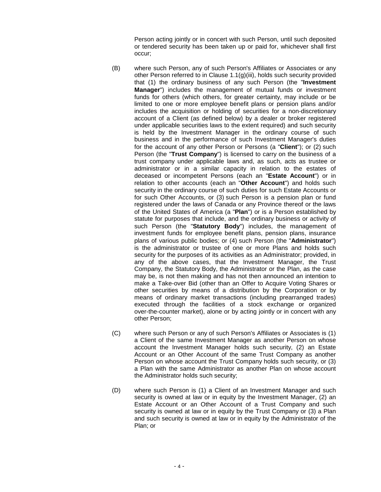Person acting jointly or in concert with such Person, until such deposited or tendered security has been taken up or paid for, whichever shall first occur;

- (B) where such Person, any of such Person's Affiliates or Associates or any other Person referred to in Clause 1.1(g)(iii), holds such security provided that (1) the ordinary business of any such Person (the "**Investment Manager**") includes the management of mutual funds or investment funds for others (which others, for greater certainty, may include or be limited to one or more employee benefit plans or pension plans and/or includes the acquisition or holding of securities for a non-discretionary account of a Client (as defined below) by a dealer or broker registered under applicable securities laws to the extent required) and such security is held by the Investment Manager in the ordinary course of such business and in the performance of such Investment Manager's duties for the account of any other Person or Persons (a "**Client**"); or (2) such Person (the "**Trust Company**") is licensed to carry on the business of a trust company under applicable laws and, as such, acts as trustee or administrator or in a similar capacity in relation to the estates of deceased or incompetent Persons (each an "**Estate Account**") or in relation to other accounts (each an "**Other Account**") and holds such security in the ordinary course of such duties for such Estate Accounts or for such Other Accounts, or (3) such Person is a pension plan or fund registered under the laws of Canada or any Province thereof or the laws of the United States of America (a "**Plan**") or is a Person established by statute for purposes that include, and the ordinary business or activity of such Person (the "**Statutory Body**") includes, the management of investment funds for employee benefit plans, pension plans, insurance plans of various public bodies; or (4) such Person (the "**Administrator**") is the administrator or trustee of one or more Plans and holds such security for the purposes of its activities as an Administrator; provided, in any of the above cases, that the Investment Manager, the Trust Company, the Statutory Body, the Administrator or the Plan, as the case may be, is not then making and has not then announced an intention to make a Take-over Bid (other than an Offer to Acquire Voting Shares or other securities by means of a distribution by the Corporation or by means of ordinary market transactions (including prearranged trades) executed through the facilities of a stock exchange or organized over-the-counter market), alone or by acting jointly or in concert with any other Person;
- (C) where such Person or any of such Person's Affiliates or Associates is (1) a Client of the same Investment Manager as another Person on whose account the Investment Manager holds such security, (2) an Estate Account or an Other Account of the same Trust Company as another Person on whose account the Trust Company holds such security, or (3) a Plan with the same Administrator as another Plan on whose account the Administrator holds such security;
- (D) where such Person is (1) a Client of an Investment Manager and such security is owned at law or in equity by the Investment Manager, (2) an Estate Account or an Other Account of a Trust Company and such security is owned at law or in equity by the Trust Company or (3) a Plan and such security is owned at law or in equity by the Administrator of the Plan; or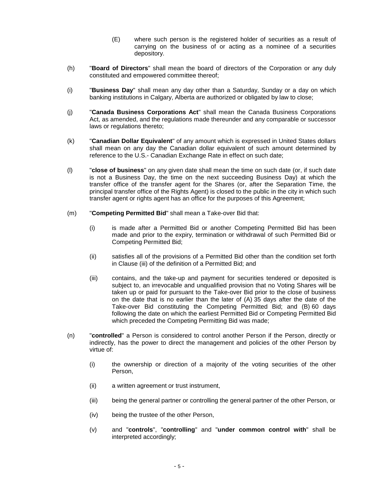- (E) where such person is the registered holder of securities as a result of carrying on the business of or acting as a nominee of a securities depository.
- (h) "**Board of Directors**" shall mean the board of directors of the Corporation or any duly constituted and empowered committee thereof;
- (i) "**Business Day**" shall mean any day other than a Saturday, Sunday or a day on which banking institutions in Calgary, Alberta are authorized or obligated by law to close;
- (j) "**Canada Business Corporations Act**" shall mean the Canada Business Corporations Act, as amended, and the regulations made thereunder and any comparable or successor laws or regulations thereto;
- (k) "**Canadian Dollar Equivalent**" of any amount which is expressed in United States dollars shall mean on any day the Canadian dollar equivalent of such amount determined by reference to the U.S.- Canadian Exchange Rate in effect on such date;
- (l) "**close of business**" on any given date shall mean the time on such date (or, if such date is not a Business Day, the time on the next succeeding Business Day) at which the transfer office of the transfer agent for the Shares (or, after the Separation Time, the principal transfer office of the Rights Agent) is closed to the public in the city in which such transfer agent or rights agent has an office for the purposes of this Agreement;
- (m) "**Competing Permitted Bid**" shall mean a Take-over Bid that:
	- (i) is made after a Permitted Bid or another Competing Permitted Bid has been made and prior to the expiry, termination or withdrawal of such Permitted Bid or Competing Permitted Bid;
	- (ii) satisfies all of the provisions of a Permitted Bid other than the condition set forth in Clause (iii) of the definition of a Permitted Bid; and
	- (iii) contains, and the take-up and payment for securities tendered or deposited is subject to, an irrevocable and unqualified provision that no Voting Shares will be taken up or paid for pursuant to the Take-over Bid prior to the close of business on the date that is no earlier than the later of (A) 35 days after the date of the Take-over Bid constituting the Competing Permitted Bid; and (B) 60 days following the date on which the earliest Permitted Bid or Competing Permitted Bid which preceded the Competing Permitting Bid was made;
- (n) "**controlled**" a Person is considered to control another Person if the Person, directly or indirectly, has the power to direct the management and policies of the other Person by virtue of:
	- (i) the ownership or direction of a majority of the voting securities of the other Person,
	- (ii) a written agreement or trust instrument,
	- (iii) being the general partner or controlling the general partner of the other Person, or
	- (iv) being the trustee of the other Person,
	- (v) and "**controls**", "**controlling**" and "**under common control with**" shall be interpreted accordingly;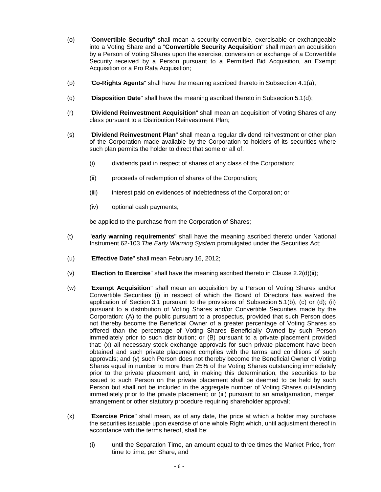- (o) "**Convertible Security**" shall mean a security convertible, exercisable or exchangeable into a Voting Share and a "**Convertible Security Acquisition**" shall mean an acquisition by a Person of Voting Shares upon the exercise, conversion or exchange of a Convertible Security received by a Person pursuant to a Permitted Bid Acquisition, an Exempt Acquisition or a Pro Rata Acquisition;
- (p) "**Co-Rights Agents**" shall have the meaning ascribed thereto in Subsection 4.1(a);
- (q) "**Disposition Date**" shall have the meaning ascribed thereto in Subsection 5.1(d);
- (r) "**Dividend Reinvestment Acquisition**" shall mean an acquisition of Voting Shares of any class pursuant to a Distribution Reinvestment Plan;
- (s) "**Dividend Reinvestment Plan**" shall mean a regular dividend reinvestment or other plan of the Corporation made available by the Corporation to holders of its securities where such plan permits the holder to direct that some or all of:
	- (i) dividends paid in respect of shares of any class of the Corporation;
	- (ii) proceeds of redemption of shares of the Corporation;
	- (iii) interest paid on evidences of indebtedness of the Corporation; or
	- (iv) optional cash payments;

be applied to the purchase from the Corporation of Shares;

- (t) "**early warning requirements**" shall have the meaning ascribed thereto under National Instrument 62-103 The Early Warning System promulgated under the Securities Act;
- (u) "**Effective Date**" shall mean February 16, 2012;
- (v) "**Election to Exercise**" shall have the meaning ascribed thereto in Clause 2.2(d)(ii);
- (w) "**Exempt Acquisition**" shall mean an acquisition by a Person of Voting Shares and/or Convertible Securities (i) in respect of which the Board of Directors has waived the application of Section 3.1 pursuant to the provisions of Subsection 5.1(b), (c) or (d); (ii) pursuant to a distribution of Voting Shares and/or Convertible Securities made by the Corporation: (A) to the public pursuant to a prospectus, provided that such Person does not thereby become the Beneficial Owner of a greater percentage of Voting Shares so offered than the percentage of Voting Shares Beneficially Owned by such Person immediately prior to such distribution; or (B) pursuant to a private placement provided that: (x) all necessary stock exchange approvals for such private placement have been obtained and such private placement complies with the terms and conditions of such approvals; and (y) such Person does not thereby become the Beneficial Owner of Voting Shares equal in number to more than 25% of the Voting Shares outstanding immediately prior to the private placement and, in making this determination, the securities to be issued to such Person on the private placement shall be deemed to be held by such Person but shall not be included in the aggregate number of Voting Shares outstanding immediately prior to the private placement; or (iii) pursuant to an amalgamation, merger, arrangement or other statutory procedure requiring shareholder approval;
- (x) "**Exercise Price**" shall mean, as of any date, the price at which a holder may purchase the securities issuable upon exercise of one whole Right which, until adjustment thereof in accordance with the terms hereof, shall be:
	- (i) until the Separation Time, an amount equal to three times the Market Price, from time to time, per Share; and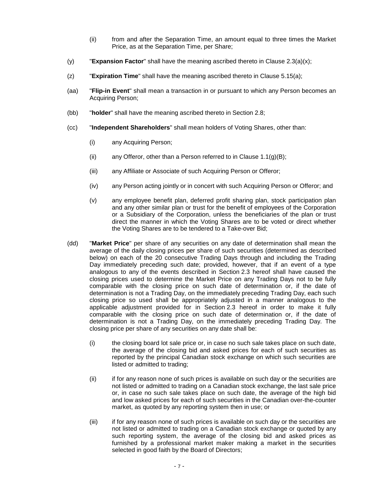- (ii) from and after the Separation Time, an amount equal to three times the Market Price, as at the Separation Time, per Share;
- (y) "**Expansion Factor**" shall have the meaning ascribed thereto in Clause 2.3(a)(x);
- (z) "**Expiration Time**" shall have the meaning ascribed thereto in Clause 5.15(a);
- (aa) "**Flip-in Event**" shall mean a transaction in or pursuant to which any Person becomes an Acquiring Person;
- (bb) "**holder**" shall have the meaning ascribed thereto in Section 2.8;
- (cc) "**Independent Shareholders**" shall mean holders of Voting Shares, other than:
	- (i) any Acquiring Person;
	- (ii) any Offeror, other than a Person referred to in Clause  $1.1(g)(B)$ ;
	- (iii) any Affiliate or Associate of such Acquiring Person or Offeror;
	- (iv) any Person acting jointly or in concert with such Acquiring Person or Offeror; and
	- (v) any employee benefit plan, deferred profit sharing plan, stock participation plan and any other similar plan or trust for the benefit of employees of the Corporation or a Subsidiary of the Corporation, unless the beneficiaries of the plan or trust direct the manner in which the Voting Shares are to be voted or direct whether the Voting Shares are to be tendered to a Take-over Bid;
- (dd) "**Market Price**" per share of any securities on any date of determination shall mean the average of the daily closing prices per share of such securities (determined as described below) on each of the 20 consecutive Trading Days through and including the Trading Day immediately preceding such date; provided, however, that if an event of a type analogous to any of the events described in Section 2.3 hereof shall have caused the closing prices used to determine the Market Price on any Trading Days not to be fully comparable with the closing price on such date of determination or, if the date of determination is not a Trading Day, on the immediately preceding Trading Day, each such closing price so used shall be appropriately adjusted in a manner analogous to the applicable adjustment provided for in Section 2.3 hereof in order to make it fully comparable with the closing price on such date of determination or, if the date of determination is not a Trading Day, on the immediately preceding Trading Day. The closing price per share of any securities on any date shall be:
	- (i) the closing board lot sale price or, in case no such sale takes place on such date, the average of the closing bid and asked prices for each of such securities as reported by the principal Canadian stock exchange on which such securities are listed or admitted to trading;
	- (ii) if for any reason none of such prices is available on such day or the securities are not listed or admitted to trading on a Canadian stock exchange, the last sale price or, in case no such sale takes place on such date, the average of the high bid and low asked prices for each of such securities in the Canadian over-the-counter market, as quoted by any reporting system then in use; or
	- (iii) if for any reason none of such prices is available on such day or the securities are not listed or admitted to trading on a Canadian stock exchange or quoted by any such reporting system, the average of the closing bid and asked prices as furnished by a professional market maker making a market in the securities selected in good faith by the Board of Directors;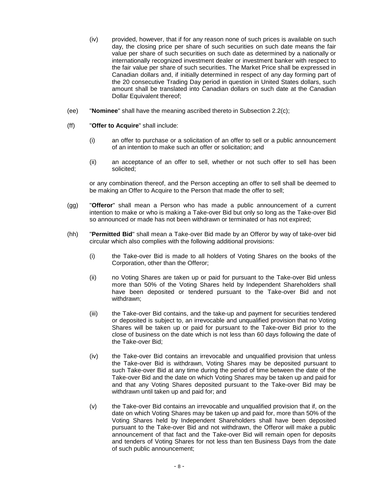- (iv) provided, however, that if for any reason none of such prices is available on such day, the closing price per share of such securities on such date means the fair value per share of such securities on such date as determined by a nationally or internationally recognized investment dealer or investment banker with respect to the fair value per share of such securities. The Market Price shall be expressed in Canadian dollars and, if initially determined in respect of any day forming part of the 20 consecutive Trading Day period in question in United States dollars, such amount shall be translated into Canadian dollars on such date at the Canadian Dollar Equivalent thereof;
- (ee) "**Nominee**" shall have the meaning ascribed thereto in Subsection 2.2(c);
- (ff) "**Offer to Acquire**" shall include:
	- (i) an offer to purchase or a solicitation of an offer to sell or a public announcement of an intention to make such an offer or solicitation; and
	- (ii) an acceptance of an offer to sell, whether or not such offer to sell has been solicited;

or any combination thereof, and the Person accepting an offer to sell shall be deemed to be making an Offer to Acquire to the Person that made the offer to sell;

- (gg) "**Offeror**" shall mean a Person who has made a public announcement of a current intention to make or who is making a Take-over Bid but only so long as the Take-over Bid so announced or made has not been withdrawn or terminated or has not expired;
- (hh) "**Permitted Bid**" shall mean a Take-over Bid made by an Offeror by way of take-over bid circular which also complies with the following additional provisions:
	- (i) the Take-over Bid is made to all holders of Voting Shares on the books of the Corporation, other than the Offeror;
	- (ii) no Voting Shares are taken up or paid for pursuant to the Take-over Bid unless more than 50% of the Voting Shares held by Independent Shareholders shall have been deposited or tendered pursuant to the Take-over Bid and not withdrawn;
	- (iii) the Take-over Bid contains, and the take-up and payment for securities tendered or deposited is subject to, an irrevocable and unqualified provision that no Voting Shares will be taken up or paid for pursuant to the Take-over Bid prior to the close of business on the date which is not less than 60 days following the date of the Take-over Bid;
	- (iv) the Take-over Bid contains an irrevocable and unqualified provision that unless the Take-over Bid is withdrawn, Voting Shares may be deposited pursuant to such Take-over Bid at any time during the period of time between the date of the Take-over Bid and the date on which Voting Shares may be taken up and paid for and that any Voting Shares deposited pursuant to the Take-over Bid may be withdrawn until taken up and paid for; and
	- (v) the Take-over Bid contains an irrevocable and unqualified provision that if, on the date on which Voting Shares may be taken up and paid for, more than 50% of the Voting Shares held by Independent Shareholders shall have been deposited pursuant to the Take-over Bid and not withdrawn, the Offeror will make a public announcement of that fact and the Take-over Bid will remain open for deposits and tenders of Voting Shares for not less than ten Business Days from the date of such public announcement;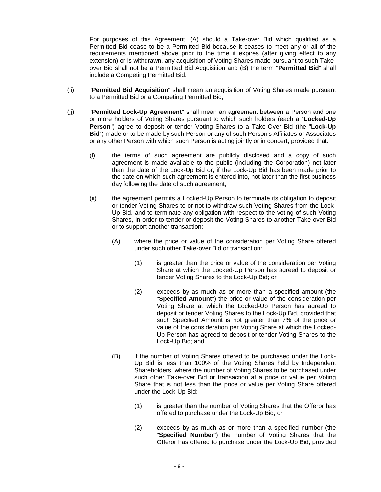For purposes of this Agreement, (A) should a Take-over Bid which qualified as a Permitted Bid cease to be a Permitted Bid because it ceases to meet any or all of the requirements mentioned above prior to the time it expires (after giving effect to any extension) or is withdrawn, any acquisition of Voting Shares made pursuant to such Takeover Bid shall not be a Permitted Bid Acquisition and (B) the term "**Permitted Bid**" shall include a Competing Permitted Bid.

- (ii) "**Permitted Bid Acquisition**" shall mean an acquisition of Voting Shares made pursuant to a Permitted Bid or a Competing Permitted Bid;
- (jj) "**Permitted Lock-Up Agreement**" shall mean an agreement between a Person and one or more holders of Voting Shares pursuant to which such holders (each a "**Locked-Up Person**") agree to deposit or tender Voting Shares to a Take-Over Bid (the "**Lock-Up Bid**") made or to be made by such Person or any of such Person's Affiliates or Associates or any other Person with which such Person is acting jointly or in concert, provided that:
	- (i) the terms of such agreement are publicly disclosed and a copy of such agreement is made available to the public (including the Corporation) not later than the date of the Lock-Up Bid or, if the Lock-Up Bid has been made prior to the date on which such agreement is entered into, not later than the first business day following the date of such agreement;
	- (ii) the agreement permits a Locked-Up Person to terminate its obligation to deposit or tender Voting Shares to or not to withdraw such Voting Shares from the Lock-Up Bid, and to terminate any obligation with respect to the voting of such Voting Shares, in order to tender or deposit the Voting Shares to another Take-over Bid or to support another transaction:
		- (A) where the price or value of the consideration per Voting Share offered under such other Take-over Bid or transaction:
			- (1) is greater than the price or value of the consideration per Voting Share at which the Locked-Up Person has agreed to deposit or tender Voting Shares to the Lock-Up Bid; or
			- (2) exceeds by as much as or more than a specified amount (the "**Specified Amount**") the price or value of the consideration per Voting Share at which the Locked-Up Person has agreed to deposit or tender Voting Shares to the Lock-Up Bid, provided that such Specified Amount is not greater than 7% of the price or value of the consideration per Voting Share at which the Locked-Up Person has agreed to deposit or tender Voting Shares to the Lock-Up Bid; and
		- (B) if the number of Voting Shares offered to be purchased under the Lock-Up Bid is less than 100% of the Voting Shares held by Independent Shareholders, where the number of Voting Shares to be purchased under such other Take-over Bid or transaction at a price or value per Voting Share that is not less than the price or value per Voting Share offered under the Lock-Up Bid:
			- (1) is greater than the number of Voting Shares that the Offeror has offered to purchase under the Lock-Up Bid; or
			- (2) exceeds by as much as or more than a specified number (the "**Specified Number**") the number of Voting Shares that the Offeror has offered to purchase under the Lock-Up Bid, provided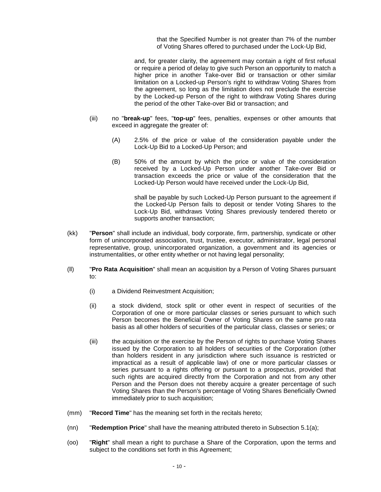that the Specified Number is not greater than 7% of the number of Voting Shares offered to purchased under the Lock-Up Bid,

and, for greater clarity, the agreement may contain a right of first refusal or require a period of delay to give such Person an opportunity to match a higher price in another Take-over Bid or transaction or other similar limitation on a Locked-up Person's right to withdraw Voting Shares from the agreement, so long as the limitation does not preclude the exercise by the Locked-up Person of the right to withdraw Voting Shares during the period of the other Take-over Bid or transaction; and

- (iii) no "**break-up**" fees, "**top-up**" fees, penalties, expenses or other amounts that exceed in aggregate the greater of:
	- (A) 2.5% of the price or value of the consideration payable under the Lock-Up Bid to a Locked-Up Person; and
	- (B) 50% of the amount by which the price or value of the consideration received by a Locked-Up Person under another Take-over Bid or transaction exceeds the price or value of the consideration that the Locked-Up Person would have received under the Lock-Up Bid,

shall be payable by such Locked-Up Person pursuant to the agreement if the Locked-Up Person fails to deposit or tender Voting Shares to the Lock-Up Bid, withdraws Voting Shares previously tendered thereto or supports another transaction;

- (kk) "**Person**" shall include an individual, body corporate, firm, partnership, syndicate or other form of unincorporated association, trust, trustee, executor, administrator, legal personal representative, group, unincorporated organization, a government and its agencies or instrumentalities, or other entity whether or not having legal personality;
- (ll) "**Pro Rata Acquisition**" shall mean an acquisition by a Person of Voting Shares pursuant to:
	- (i) a Dividend Reinvestment Acquisition;
	- (ii) a stock dividend, stock split or other event in respect of securities of the Corporation of one or more particular classes or series pursuant to which such Person becomes the Beneficial Owner of Voting Shares on the same pro rata basis as all other holders of securities of the particular class, classes or series; or
	- (iii) the acquisition or the exercise by the Person of rights to purchase Voting Shares issued by the Corporation to all holders of securities of the Corporation (other than holders resident in any jurisdiction where such issuance is restricted or impractical as a result of applicable law) of one or more particular classes or series pursuant to a rights offering or pursuant to a prospectus, provided that such rights are acquired directly from the Corporation and not from any other Person and the Person does not thereby acquire a greater percentage of such Voting Shares than the Person's percentage of Voting Shares Beneficially Owned immediately prior to such acquisition;
- (mm) "**Record Time**" has the meaning set forth in the recitals hereto;
- (nn) "**Redemption Price**" shall have the meaning attributed thereto in Subsection 5.1(a);
- (oo) "**Right**" shall mean a right to purchase a Share of the Corporation, upon the terms and subject to the conditions set forth in this Agreement;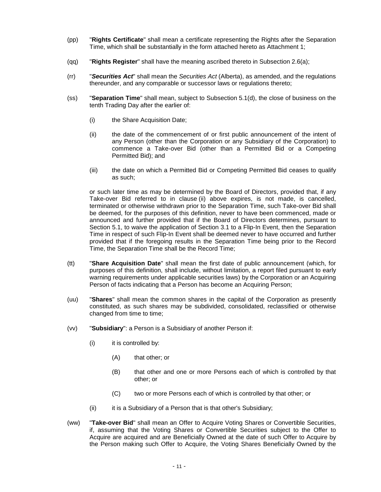- (pp) "**Rights Certificate**" shall mean a certificate representing the Rights after the Separation Time, which shall be substantially in the form attached hereto as Attachment 1;
- (qq) "**Rights Register**" shall have the meaning ascribed thereto in Subsection 2.6(a);
- (rr) "**Securities Act**" shall mean the Securities Act (Alberta), as amended, and the regulations thereunder, and any comparable or successor laws or regulations thereto;
- (ss) "**Separation Time**" shall mean, subject to Subsection 5.1(d), the close of business on the tenth Trading Day after the earlier of:
	- (i) the Share Acquisition Date;
	- (ii) the date of the commencement of or first public announcement of the intent of any Person (other than the Corporation or any Subsidiary of the Corporation) to commence a Take-over Bid (other than a Permitted Bid or a Competing Permitted Bid); and
	- (iii) the date on which a Permitted Bid or Competing Permitted Bid ceases to qualify as such;

or such later time as may be determined by the Board of Directors, provided that, if any Take-over Bid referred to in clause (ii) above expires, is not made, is cancelled, terminated or otherwise withdrawn prior to the Separation Time, such Take-over Bid shall be deemed, for the purposes of this definition, never to have been commenced, made or announced and further provided that if the Board of Directors determines, pursuant to Section 5.1, to waive the application of Section 3.1 to a Flip-In Event, then the Separation Time in respect of such Flip-In Event shall be deemed never to have occurred and further provided that if the foregoing results in the Separation Time being prior to the Record Time, the Separation Time shall be the Record Time;

- (tt) "**Share Acquisition Date**" shall mean the first date of public announcement (which, for purposes of this definition, shall include, without limitation, a report filed pursuant to early warning requirements under applicable securities laws) by the Corporation or an Acquiring Person of facts indicating that a Person has become an Acquiring Person;
- (uu) "**Shares**" shall mean the common shares in the capital of the Corporation as presently constituted, as such shares may be subdivided, consolidated, reclassified or otherwise changed from time to time;
- (vv) "**Subsidiary**": a Person is a Subsidiary of another Person if:
	- (i) it is controlled by:
		- (A) that other; or
		- (B) that other and one or more Persons each of which is controlled by that other; or
		- (C) two or more Persons each of which is controlled by that other; or
	- (ii) it is a Subsidiary of a Person that is that other's Subsidiary;
- (ww) "**Take-over Bid**" shall mean an Offer to Acquire Voting Shares or Convertible Securities, if, assuming that the Voting Shares or Convertible Securities subject to the Offer to Acquire are acquired and are Beneficially Owned at the date of such Offer to Acquire by the Person making such Offer to Acquire, the Voting Shares Beneficially Owned by the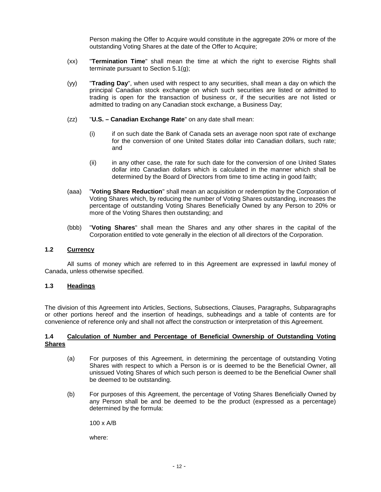Person making the Offer to Acquire would constitute in the aggregate 20% or more of the outstanding Voting Shares at the date of the Offer to Acquire;

- (xx) "**Termination Time**" shall mean the time at which the right to exercise Rights shall terminate pursuant to Section 5.1(g);
- (yy) "**Trading Day**", when used with respect to any securities, shall mean a day on which the principal Canadian stock exchange on which such securities are listed or admitted to trading is open for the transaction of business or, if the securities are not listed or admitted to trading on any Canadian stock exchange, a Business Day;
- (zz) "**U.S. Canadian Exchange Rate**" on any date shall mean:
	- (i) if on such date the Bank of Canada sets an average noon spot rate of exchange for the conversion of one United States dollar into Canadian dollars, such rate; and
	- (ii) in any other case, the rate for such date for the conversion of one United States dollar into Canadian dollars which is calculated in the manner which shall be determined by the Board of Directors from time to time acting in good faith;
- (aaa) "**Voting Share Reduction**" shall mean an acquisition or redemption by the Corporation of Voting Shares which, by reducing the number of Voting Shares outstanding, increases the percentage of outstanding Voting Shares Beneficially Owned by any Person to 20% or more of the Voting Shares then outstanding; and
- (bbb) "**Voting Shares**" shall mean the Shares and any other shares in the capital of the Corporation entitled to vote generally in the election of all directors of the Corporation.

#### **1.2 Currency**

All sums of money which are referred to in this Agreement are expressed in lawful money of Canada, unless otherwise specified.

#### **1.3 Headings**

The division of this Agreement into Articles, Sections, Subsections, Clauses, Paragraphs, Subparagraphs or other portions hereof and the insertion of headings, subheadings and a table of contents are for convenience of reference only and shall not affect the construction or interpretation of this Agreement.

#### **1.4 Calculation of Number and Percentage of Beneficial Ownership of Outstanding Voting Shares**

- (a) For purposes of this Agreement, in determining the percentage of outstanding Voting Shares with respect to which a Person is or is deemed to be the Beneficial Owner, all unissued Voting Shares of which such person is deemed to be the Beneficial Owner shall be deemed to be outstanding.
- (b) For purposes of this Agreement, the percentage of Voting Shares Beneficially Owned by any Person shall be and be deemed to be the product (expressed as a percentage) determined by the formula:

100 x A/B

where: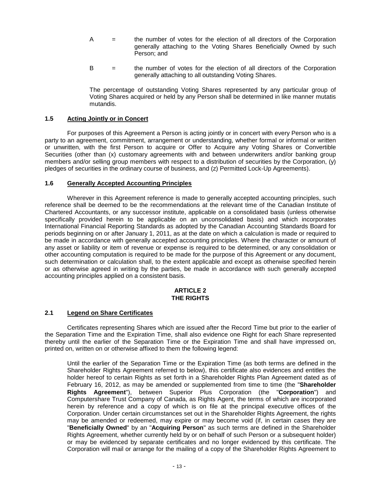- $A =$  the number of votes for the election of all directors of the Corporation generally attaching to the Voting Shares Beneficially Owned by such Person; and
- B = the number of votes for the election of all directors of the Corporation generally attaching to all outstanding Voting Shares.

The percentage of outstanding Voting Shares represented by any particular group of Voting Shares acquired or held by any Person shall be determined in like manner mutatis mutandis.

#### **1.5 Acting Jointly or in Concert**

For purposes of this Agreement a Person is acting jointly or in concert with every Person who is a party to an agreement, commitment, arrangement or understanding, whether formal or informal or written or unwritten, with the first Person to acquire or Offer to Acquire any Voting Shares or Convertible Securities (other than (x) customary agreements with and between underwriters and/or banking group members and/or selling group members with respect to a distribution of securities by the Corporation, (y) pledges of securities in the ordinary course of business, and (z) Permitted Lock-Up Agreements).

#### **1.6 Generally Accepted Accounting Principles**

Wherever in this Agreement reference is made to generally accepted accounting principles, such reference shall be deemed to be the recommendations at the relevant time of the Canadian Institute of Chartered Accountants, or any successor institute, applicable on a consolidated basis (unless otherwise specifically provided herein to be applicable on an unconsolidated basis) and which incorporates International Financial Reporting Standards as adopted by the Canadian Accounting Standards Board for periods beginning on or after January 1, 2011, as at the date on which a calculation is made or required to be made in accordance with generally accepted accounting principles. Where the character or amount of any asset or liability or item of revenue or expense is required to be determined, or any consolidation or other accounting computation is required to be made for the purpose of this Agreement or any document, such determination or calculation shall, to the extent applicable and except as otherwise specified herein or as otherwise agreed in writing by the parties, be made in accordance with such generally accepted accounting principles applied on a consistent basis.

#### **ARTICLE 2 THE RIGHTS**

#### **2.1 Legend on Share Certificates**

Certificates representing Shares which are issued after the Record Time but prior to the earlier of the Separation Time and the Expiration Time, shall also evidence one Right for each Share represented thereby until the earlier of the Separation Time or the Expiration Time and shall have impressed on, printed on, written on or otherwise affixed to them the following legend:

Until the earlier of the Separation Time or the Expiration Time (as both terms are defined in the Shareholder Rights Agreement referred to below), this certificate also evidences and entitles the holder hereof to certain Rights as set forth in a Shareholder Rights Plan Agreement dated as of February 16, 2012, as may be amended or supplemented from time to time (the "**Shareholder Rights Agreement**"), between Superior Plus Corporation (the "**Corporation**") and Computershare Trust Company of Canada, as Rights Agent, the terms of which are incorporated herein by reference and a copy of which is on file at the principal executive offices of the Corporation. Under certain circumstances set out in the Shareholder Rights Agreement, the rights may be amended or redeemed, may expire or may become void (if, in certain cases they are "**Beneficially Owned**" by an "**Acquiring Person**" as such terms are defined in the Shareholder Rights Agreement, whether currently held by or on behalf of such Person or a subsequent holder) or may be evidenced by separate certificates and no longer evidenced by this certificate. The Corporation will mail or arrange for the mailing of a copy of the Shareholder Rights Agreement to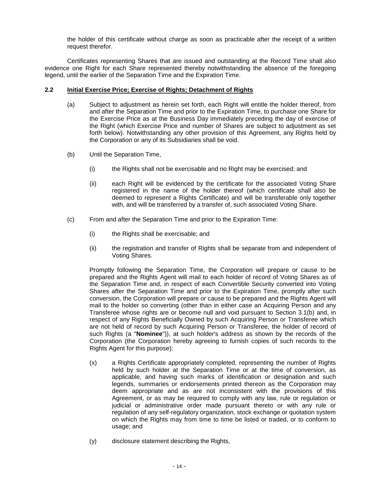the holder of this certificate without charge as soon as practicable after the receipt of a written request therefor.

Certificates representing Shares that are issued and outstanding at the Record Time shall also evidence one Right for each Share represented thereby notwithstanding the absence of the foregoing legend, until the earlier of the Separation Time and the Expiration Time.

#### **2.2 Initial Exercise Price; Exercise of Rights; Detachment of Rights**

- (a) Subject to adjustment as herein set forth, each Right will entitle the holder thereof, from and after the Separation Time and prior to the Expiration Time, to purchase one Share for the Exercise Price as at the Business Day immediately preceding the day of exercise of the Right (which Exercise Price and number of Shares are subject to adjustment as set forth below). Notwithstanding any other provision of this Agreement, any Rights held by the Corporation or any of its Subsidiaries shall be void.
- (b) Until the Separation Time,
	- (i) the Rights shall not be exercisable and no Right may be exercised; and
	- (ii) each Right will be evidenced by the certificate for the associated Voting Share registered in the name of the holder thereof (which certificate shall also be deemed to represent a Rights Certificate) and will be transferable only together with, and will be transferred by a transfer of, such associated Voting Share.
- (c) From and after the Separation Time and prior to the Expiration Time:
	- (i) the Rights shall be exercisable; and
	- (ii) the registration and transfer of Rights shall be separate from and independent of Voting Shares.

Promptly following the Separation Time, the Corporation will prepare or cause to be prepared and the Rights Agent will mail to each holder of record of Voting Shares as of the Separation Time and, in respect of each Convertible Security converted into Voting Shares after the Separation Time and prior to the Expiration Time, promptly after such conversion, the Corporation will prepare or cause to be prepared and the Rights Agent will mail to the holder so converting (other than in either case an Acquiring Person and any Transferee whose rights are or become null and void pursuant to Section 3.1(b) and, in respect of any Rights Beneficially Owned by such Acquiring Person or Transferee which are not held of record by such Acquiring Person or Transferee, the holder of record of such Rights (a "**Nominee**")), at such holder's address as shown by the records of the Corporation (the Corporation hereby agreeing to furnish copies of such records to the Rights Agent for this purpose):

- (x) a Rights Certificate appropriately completed, representing the number of Rights held by such holder at the Separation Time or at the time of conversion, as applicable, and having such marks of identification or designation and such legends, summaries or endorsements printed thereon as the Corporation may deem appropriate and as are not inconsistent with the provisions of this Agreement, or as may be required to comply with any law, rule or regulation or judicial or administrative order made pursuant thereto or with any rule or regulation of any self-regulatory organization, stock exchange or quotation system on which the Rights may from time to time be listed or traded, or to conform to usage; and
- (y) disclosure statement describing the Rights,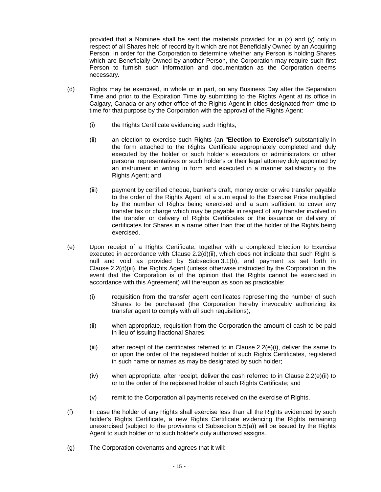provided that a Nominee shall be sent the materials provided for in (x) and (y) only in respect of all Shares held of record by it which are not Beneficially Owned by an Acquiring Person. In order for the Corporation to determine whether any Person is holding Shares which are Beneficially Owned by another Person, the Corporation may require such first Person to furnish such information and documentation as the Corporation deems necessary.

- (d) Rights may be exercised, in whole or in part, on any Business Day after the Separation Time and prior to the Expiration Time by submitting to the Rights Agent at its office in Calgary, Canada or any other office of the Rights Agent in cities designated from time to time for that purpose by the Corporation with the approval of the Rights Agent:
	- (i) the Rights Certificate evidencing such Rights;
	- (ii) an election to exercise such Rights (an "**Election to Exercise**") substantially in the form attached to the Rights Certificate appropriately completed and duly executed by the holder or such holder's executors or administrators or other personal representatives or such holder's or their legal attorney duly appointed by an instrument in writing in form and executed in a manner satisfactory to the Rights Agent; and
	- (iii) payment by certified cheque, banker's draft, money order or wire transfer payable to the order of the Rights Agent, of a sum equal to the Exercise Price multiplied by the number of Rights being exercised and a sum sufficient to cover any transfer tax or charge which may be payable in respect of any transfer involved in the transfer or delivery of Rights Certificates or the issuance or delivery of certificates for Shares in a name other than that of the holder of the Rights being exercised.
- (e) Upon receipt of a Rights Certificate, together with a completed Election to Exercise executed in accordance with Clause 2.2(d)(ii), which does not indicate that such Right is null and void as provided by Subsection 3.1(b), and payment as set forth in Clause 2.2(d)(iii), the Rights Agent (unless otherwise instructed by the Corporation in the event that the Corporation is of the opinion that the Rights cannot be exercised in accordance with this Agreement) will thereupon as soon as practicable:
	- (i) requisition from the transfer agent certificates representing the number of such Shares to be purchased (the Corporation hereby irrevocably authorizing its transfer agent to comply with all such requisitions);
	- (ii) when appropriate, requisition from the Corporation the amount of cash to be paid in lieu of issuing fractional Shares;
	- (iii) after receipt of the certificates referred to in Clause  $2.2(e)(i)$ , deliver the same to or upon the order of the registered holder of such Rights Certificates, registered in such name or names as may be designated by such holder;
	- (iv) when appropriate, after receipt, deliver the cash referred to in Clause 2.2(e)(ii) to or to the order of the registered holder of such Rights Certificate; and
	- (v) remit to the Corporation all payments received on the exercise of Rights.
- (f) In case the holder of any Rights shall exercise less than all the Rights evidenced by such holder's Rights Certificate, a new Rights Certificate evidencing the Rights remaining unexercised (subject to the provisions of Subsection 5.5(a)) will be issued by the Rights Agent to such holder or to such holder's duly authorized assigns.
- (g) The Corporation covenants and agrees that it will: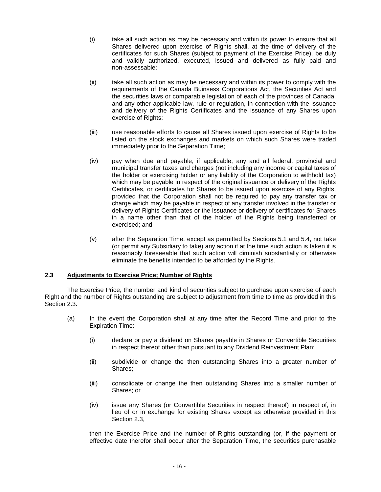- (i) take all such action as may be necessary and within its power to ensure that all Shares delivered upon exercise of Rights shall, at the time of delivery of the certificates for such Shares (subject to payment of the Exercise Price), be duly and validly authorized, executed, issued and delivered as fully paid and non-assessable;
- (ii) take all such action as may be necessary and within its power to comply with the requirements of the Canada Buinsess Corporations Act, the Securities Act and the securities laws or comparable legislation of each of the provinces of Canada, and any other applicable law, rule or regulation, in connection with the issuance and delivery of the Rights Certificates and the issuance of any Shares upon exercise of Rights;
- (iii) use reasonable efforts to cause all Shares issued upon exercise of Rights to be listed on the stock exchanges and markets on which such Shares were traded immediately prior to the Separation Time;
- (iv) pay when due and payable, if applicable, any and all federal, provincial and municipal transfer taxes and charges (not including any income or capital taxes of the holder or exercising holder or any liability of the Corporation to withhold tax) which may be payable in respect of the original issuance or delivery of the Rights Certificates, or certificates for Shares to be issued upon exercise of any Rights, provided that the Corporation shall not be required to pay any transfer tax or charge which may be payable in respect of any transfer involved in the transfer or delivery of Rights Certificates or the issuance or delivery of certificates for Shares in a name other than that of the holder of the Rights being transferred or exercised; and
- (v) after the Separation Time, except as permitted by Sections 5.1 and 5.4, not take (or permit any Subsidiary to take) any action if at the time such action is taken it is reasonably foreseeable that such action will diminish substantially or otherwise eliminate the benefits intended to be afforded by the Rights.

## **2.3 Adjustments to Exercise Price; Number of Rights**

The Exercise Price, the number and kind of securities subject to purchase upon exercise of each Right and the number of Rights outstanding are subject to adjustment from time to time as provided in this Section 2.3.

- (a) In the event the Corporation shall at any time after the Record Time and prior to the Expiration Time:
	- (i) declare or pay a dividend on Shares payable in Shares or Convertible Securities in respect thereof other than pursuant to any Dividend Reinvestment Plan;
	- (ii) subdivide or change the then outstanding Shares into a greater number of Shares;
	- (iii) consolidate or change the then outstanding Shares into a smaller number of Shares; or
	- (iv) issue any Shares (or Convertible Securities in respect thereof) in respect of, in lieu of or in exchange for existing Shares except as otherwise provided in this Section 2.3,

then the Exercise Price and the number of Rights outstanding (or, if the payment or effective date therefor shall occur after the Separation Time, the securities purchasable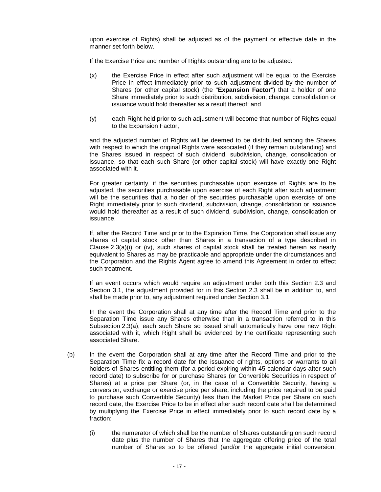upon exercise of Rights) shall be adjusted as of the payment or effective date in the manner set forth below.

If the Exercise Price and number of Rights outstanding are to be adjusted:

- (x) the Exercise Price in effect after such adjustment will be equal to the Exercise Price in effect immediately prior to such adjustment divided by the number of Shares (or other capital stock) (the "**Expansion Factor**") that a holder of one Share immediately prior to such distribution, subdivision, change, consolidation or issuance would hold thereafter as a result thereof; and
- (y) each Right held prior to such adjustment will become that number of Rights equal to the Expansion Factor,

and the adjusted number of Rights will be deemed to be distributed among the Shares with respect to which the original Rights were associated (if they remain outstanding) and the Shares issued in respect of such dividend, subdivision, change, consolidation or issuance, so that each such Share (or other capital stock) will have exactly one Right associated with it.

For greater certainty, if the securities purchasable upon exercise of Rights are to be adjusted, the securities purchasable upon exercise of each Right after such adjustment will be the securities that a holder of the securities purchasable upon exercise of one Right immediately prior to such dividend, subdivision, change, consolidation or issuance would hold thereafter as a result of such dividend, subdivision, change, consolidation or issuance.

If, after the Record Time and prior to the Expiration Time, the Corporation shall issue any shares of capital stock other than Shares in a transaction of a type described in Clause  $2.3(a)(i)$  or (iv), such shares of capital stock shall be treated herein as nearly equivalent to Shares as may be practicable and appropriate under the circumstances and the Corporation and the Rights Agent agree to amend this Agreement in order to effect such treatment.

If an event occurs which would require an adjustment under both this Section 2.3 and Section 3.1, the adjustment provided for in this Section 2.3 shall be in addition to, and shall be made prior to, any adjustment required under Section 3.1.

In the event the Corporation shall at any time after the Record Time and prior to the Separation Time issue any Shares otherwise than in a transaction referred to in this Subsection 2.3(a), each such Share so issued shall automatically have one new Right associated with it, which Right shall be evidenced by the certificate representing such associated Share.

- (b) In the event the Corporation shall at any time after the Record Time and prior to the Separation Time fix a record date for the issuance of rights, options or warrants to all holders of Shares entitling them (for a period expiring within 45 calendar days after such record date) to subscribe for or purchase Shares (or Convertible Securities in respect of Shares) at a price per Share (or, in the case of a Convertible Security, having a conversion, exchange or exercise price per share, including the price required to be paid to purchase such Convertible Security) less than the Market Price per Share on such record date, the Exercise Price to be in effect after such record date shall be determined by multiplying the Exercise Price in effect immediately prior to such record date by a fraction:
	- (i) the numerator of which shall be the number of Shares outstanding on such record date plus the number of Shares that the aggregate offering price of the total number of Shares so to be offered (and/or the aggregate initial conversion,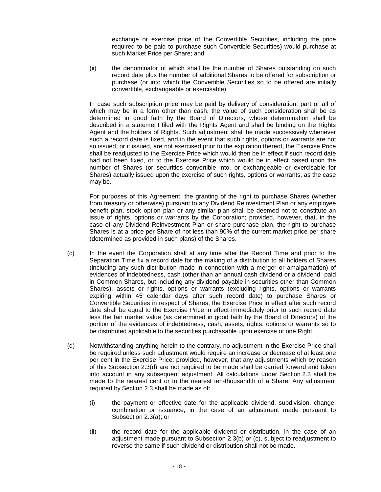exchange or exercise price of the Convertible Securities, including the price required to be paid to purchase such Convertible Securities) would purchase at such Market Price per Share; and

(ii) the denominator of which shall be the number of Shares outstanding on such record date plus the number of additional Shares to be offered for subscription or purchase (or into which the Convertible Securities so to be offered are initially convertible, exchangeable or exercisable).

In case such subscription price may be paid by delivery of consideration, part or all of which may be in a form other than cash, the value of such consideration shall be as determined in good faith by the Board of Directors, whose determination shall be described in a statement filed with the Rights Agent and shall be binding on the Rights Agent and the holders of Rights. Such adjustment shall be made successively whenever such a record date is fixed, and in the event that such rights, options or warrants are not so issued, or if issued, are not exercised prior to the expiration thereof, the Exercise Price shall be readjusted to the Exercise Price which would then be in effect if such record date had not been fixed, or to the Exercise Price which would be in effect based upon the number of Shares (or securities convertible into, or exchangeable or exercisable for Shares) actually issued upon the exercise of such rights, options or warrants, as the case may be.

For purposes of this Agreement, the granting of the right to purchase Shares (whether from treasury or otherwise) pursuant to any Dividend Reinvestment Plan or any employee benefit plan, stock option plan or any similar plan shall be deemed not to constitute an issue of rights, options or warrants by the Corporation; provided, however, that, in the case of any Dividend Reinvestment Plan or share purchase plan, the right to purchase Shares is at a price per Share of not less than 90% of the current market price per share (determined as provided in such plans) of the Shares.

- (c) In the event the Corporation shall at any time after the Record Time and prior to the Separation Time fix a record date for the making of a distribution to all holders of Shares (including any such distribution made in connection with a merger or amalgamation) of evidences of indebtedness, cash (other than an annual cash dividend or a dividend paid in Common Shares, but including any dividend payable in securities other than Common Shares), assets or rights, options or warrants (excluding rights, options or warrants expiring within 45 calendar days after such record date) to purchase Shares or Convertible Securities in respect of Shares, the Exercise Price in effect after such record date shall be equal to the Exercise Price in effect immediately prior to such record date less the fair market value (as determined in good faith by the Board of Directors) of the portion of the evidences of indebtedness, cash, assets, rights, options or warrants so to be distributed applicable to the securities purchasable upon exercise of one Right.
- (d) Notwithstanding anything herein to the contrary, no adjustment in the Exercise Price shall be required unless such adjustment would require an increase or decrease of at least one per cent in the Exercise Price; provided, however, that any adjustments which by reason of this Subsection 2.3(d) are not required to be made shall be carried forward and taken into account in any subsequent adjustment. All calculations under Section 2.3 shall be made to the nearest cent or to the nearest ten-thousandth of a Share. Any adjustment required by Section 2.3 shall be made as of:
	- (i) the payment or effective date for the applicable dividend, subdivision, change, combination or issuance, in the case of an adjustment made pursuant to Subsection 2.3(a); or
	- (ii) the record date for the applicable dividend or distribution, in the case of an adjustment made pursuant to Subsection 2.3(b) or (c), subject to readjustment to reverse the same if such dividend or distribution shall not be made.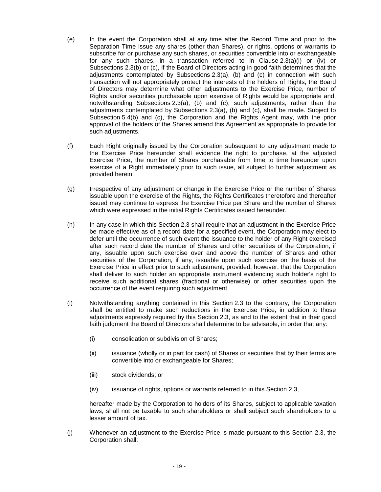- (e) In the event the Corporation shall at any time after the Record Time and prior to the Separation Time issue any shares (other than Shares), or rights, options or warrants to subscribe for or purchase any such shares, or securities convertible into or exchangeable for any such shares, in a transaction referred to in Clause  $2.3(a)(i)$  or (iv) or Subsections 2.3(b) or (c), if the Board of Directors acting in good faith determines that the adjustments contemplated by Subsections 2.3(a), (b) and (c) in connection with such transaction will not appropriately protect the interests of the holders of Rights, the Board of Directors may determine what other adjustments to the Exercise Price, number of Rights and/or securities purchasable upon exercise of Rights would be appropriate and, notwithstanding Subsections 2.3(a), (b) and (c), such adjustments, rather than the adjustments contemplated by Subsections 2.3(a), (b) and (c), shall be made. Subject to Subsection 5.4(b) and (c), the Corporation and the Rights Agent may, with the prior approval of the holders of the Shares amend this Agreement as appropriate to provide for such adjustments.
- (f) Each Right originally issued by the Corporation subsequent to any adjustment made to the Exercise Price hereunder shall evidence the right to purchase, at the adjusted Exercise Price, the number of Shares purchasable from time to time hereunder upon exercise of a Right immediately prior to such issue, all subject to further adjustment as provided herein.
- (g) Irrespective of any adjustment or change in the Exercise Price or the number of Shares issuable upon the exercise of the Rights, the Rights Certificates theretofore and thereafter issued may continue to express the Exercise Price per Share and the number of Shares which were expressed in the initial Rights Certificates issued hereunder.
- (h) In any case in which this Section 2.3 shall require that an adjustment in the Exercise Price be made effective as of a record date for a specified event, the Corporation may elect to defer until the occurrence of such event the issuance to the holder of any Right exercised after such record date the number of Shares and other securities of the Corporation, if any, issuable upon such exercise over and above the number of Shares and other securities of the Corporation, if any, issuable upon such exercise on the basis of the Exercise Price in effect prior to such adjustment; provided, however, that the Corporation shall deliver to such holder an appropriate instrument evidencing such holder's right to receive such additional shares (fractional or otherwise) or other securities upon the occurrence of the event requiring such adjustment.
- (i) Notwithstanding anything contained in this Section 2.3 to the contrary, the Corporation shall be entitled to make such reductions in the Exercise Price, in addition to those adjustments expressly required by this Section 2.3, as and to the extent that in their good faith judgment the Board of Directors shall determine to be advisable, in order that any:
	- (i) consolidation or subdivision of Shares;
	- (ii) issuance (wholly or in part for cash) of Shares or securities that by their terms are convertible into or exchangeable for Shares;
	- (iii) stock dividends; or
	- (iv) issuance of rights, options or warrants referred to in this Section 2.3,

hereafter made by the Corporation to holders of its Shares, subject to applicable taxation laws, shall not be taxable to such shareholders or shall subject such shareholders to a lesser amount of tax.

(j) Whenever an adjustment to the Exercise Price is made pursuant to this Section 2.3, the Corporation shall: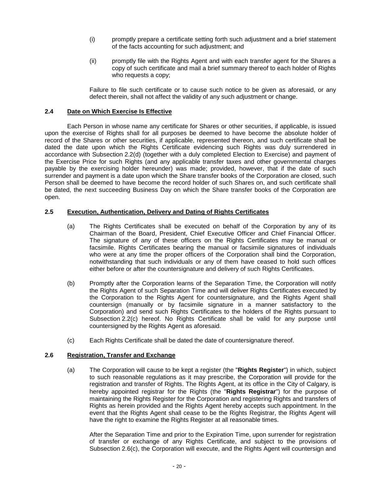- (i) promptly prepare a certificate setting forth such adjustment and a brief statement of the facts accounting for such adjustment; and
- (ii) promptly file with the Rights Agent and with each transfer agent for the Shares a copy of such certificate and mail a brief summary thereof to each holder of Rights who requests a copy;

Failure to file such certificate or to cause such notice to be given as aforesaid, or any defect therein, shall not affect the validity of any such adjustment or change.

#### **2.4 Date on Which Exercise Is Effective**

Each Person in whose name any certificate for Shares or other securities, if applicable, is issued upon the exercise of Rights shall for all purposes be deemed to have become the absolute holder of record of the Shares or other securities, if applicable, represented thereon, and such certificate shall be dated the date upon which the Rights Certificate evidencing such Rights was duly surrendered in accordance with Subsection 2.2(d) (together with a duly completed Election to Exercise) and payment of the Exercise Price for such Rights (and any applicable transfer taxes and other governmental charges payable by the exercising holder hereunder) was made; provided, however, that if the date of such surrender and payment is a date upon which the Share transfer books of the Corporation are closed, such Person shall be deemed to have become the record holder of such Shares on, and such certificate shall be dated, the next succeeding Business Day on which the Share transfer books of the Corporation are open.

#### **2.5 Execution, Authentication, Delivery and Dating of Rights Certificates**

- (a) The Rights Certificates shall be executed on behalf of the Corporation by any of its Chairman of the Board, President, Chief Executive Officer and Chief Financial Officer. The signature of any of these officers on the Rights Certificates may be manual or facsimile. Rights Certificates bearing the manual or facsimile signatures of individuals who were at any time the proper officers of the Corporation shall bind the Corporation, notwithstanding that such individuals or any of them have ceased to hold such offices either before or after the countersignature and delivery of such Rights Certificates.
- (b) Promptly after the Corporation learns of the Separation Time, the Corporation will notify the Rights Agent of such Separation Time and will deliver Rights Certificates executed by the Corporation to the Rights Agent for countersignature, and the Rights Agent shall countersign (manually or by facsimile signature in a manner satisfactory to the Corporation) and send such Rights Certificates to the holders of the Rights pursuant to Subsection 2.2(c) hereof. No Rights Certificate shall be valid for any purpose until countersigned by the Rights Agent as aforesaid.
- (c) Each Rights Certificate shall be dated the date of countersignature thereof.

## **2.6 Registration, Transfer and Exchange**

(a) The Corporation will cause to be kept a register (the "**Rights Register**") in which, subject to such reasonable regulations as it may prescribe, the Corporation will provide for the registration and transfer of Rights. The Rights Agent, at its office in the City of Calgary, is hereby appointed registrar for the Rights (the "**Rights Registrar**") for the purpose of maintaining the Rights Register for the Corporation and registering Rights and transfers of Rights as herein provided and the Rights Agent hereby accepts such appointment. In the event that the Rights Agent shall cease to be the Rights Registrar, the Rights Agent will have the right to examine the Rights Register at all reasonable times.

After the Separation Time and prior to the Expiration Time, upon surrender for registration of transfer or exchange of any Rights Certificate, and subject to the provisions of Subsection 2.6(c), the Corporation will execute, and the Rights Agent will countersign and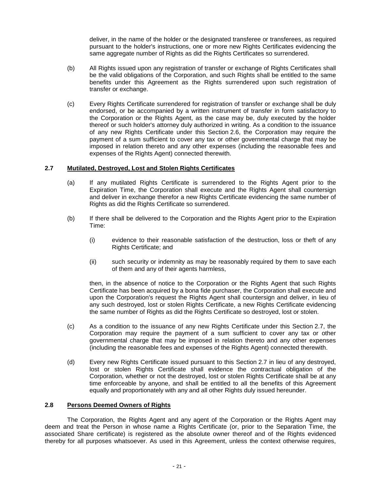deliver, in the name of the holder or the designated transferee or transferees, as required pursuant to the holder's instructions, one or more new Rights Certificates evidencing the same aggregate number of Rights as did the Rights Certificates so surrendered.

- (b) All Rights issued upon any registration of transfer or exchange of Rights Certificates shall be the valid obligations of the Corporation, and such Rights shall be entitled to the same benefits under this Agreement as the Rights surrendered upon such registration of transfer or exchange.
- (c) Every Rights Certificate surrendered for registration of transfer or exchange shall be duly endorsed, or be accompanied by a written instrument of transfer in form satisfactory to the Corporation or the Rights Agent, as the case may be, duly executed by the holder thereof or such holder's attorney duly authorized in writing. As a condition to the issuance of any new Rights Certificate under this Section 2.6, the Corporation may require the payment of a sum sufficient to cover any tax or other governmental charge that may be imposed in relation thereto and any other expenses (including the reasonable fees and expenses of the Rights Agent) connected therewith.

#### **2.7 Mutilated, Destroyed, Lost and Stolen Rights Certificates**

- (a) If any mutilated Rights Certificate is surrendered to the Rights Agent prior to the Expiration Time, the Corporation shall execute and the Rights Agent shall countersign and deliver in exchange therefor a new Rights Certificate evidencing the same number of Rights as did the Rights Certificate so surrendered.
- (b) If there shall be delivered to the Corporation and the Rights Agent prior to the Expiration Time:
	- (i) evidence to their reasonable satisfaction of the destruction, loss or theft of any Rights Certificate; and
	- (ii) such security or indemnity as may be reasonably required by them to save each of them and any of their agents harmless,

then, in the absence of notice to the Corporation or the Rights Agent that such Rights Certificate has been acquired by a bona fide purchaser, the Corporation shall execute and upon the Corporation's request the Rights Agent shall countersign and deliver, in lieu of any such destroyed, lost or stolen Rights Certificate, a new Rights Certificate evidencing the same number of Rights as did the Rights Certificate so destroyed, lost or stolen.

- (c) As a condition to the issuance of any new Rights Certificate under this Section 2.7, the Corporation may require the payment of a sum sufficient to cover any tax or other governmental charge that may be imposed in relation thereto and any other expenses (including the reasonable fees and expenses of the Rights Agent) connected therewith.
- (d) Every new Rights Certificate issued pursuant to this Section 2.7 in lieu of any destroyed, lost or stolen Rights Certificate shall evidence the contractual obligation of the Corporation, whether or not the destroyed, lost or stolen Rights Certificate shall be at any time enforceable by anyone, and shall be entitled to all the benefits of this Agreement equally and proportionately with any and all other Rights duly issued hereunder.

#### **2.8 Persons Deemed Owners of Rights**

The Corporation, the Rights Agent and any agent of the Corporation or the Rights Agent may deem and treat the Person in whose name a Rights Certificate (or, prior to the Separation Time, the associated Share certificate) is registered as the absolute owner thereof and of the Rights evidenced thereby for all purposes whatsoever. As used in this Agreement, unless the context otherwise requires,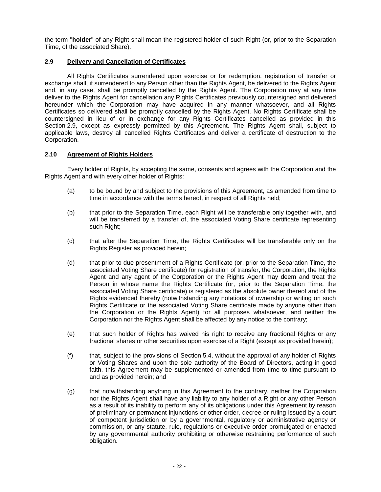the term "**holder**" of any Right shall mean the registered holder of such Right (or, prior to the Separation Time, of the associated Share).

## **2.9 Delivery and Cancellation of Certificates**

All Rights Certificates surrendered upon exercise or for redemption, registration of transfer or exchange shall, if surrendered to any Person other than the Rights Agent, be delivered to the Rights Agent and, in any case, shall be promptly cancelled by the Rights Agent. The Corporation may at any time deliver to the Rights Agent for cancellation any Rights Certificates previously countersigned and delivered hereunder which the Corporation may have acquired in any manner whatsoever, and all Rights Certificates so delivered shall be promptly cancelled by the Rights Agent. No Rights Certificate shall be countersigned in lieu of or in exchange for any Rights Certificates cancelled as provided in this Section 2.9, except as expressly permitted by this Agreement. The Rights Agent shall, subject to applicable laws, destroy all cancelled Rights Certificates and deliver a certificate of destruction to the Corporation.

## **2.10 Agreement of Rights Holders**

Every holder of Rights, by accepting the same, consents and agrees with the Corporation and the Rights Agent and with every other holder of Rights:

- (a) to be bound by and subject to the provisions of this Agreement, as amended from time to time in accordance with the terms hereof, in respect of all Rights held;
- (b) that prior to the Separation Time, each Right will be transferable only together with, and will be transferred by a transfer of, the associated Voting Share certificate representing such Right:
- (c) that after the Separation Time, the Rights Certificates will be transferable only on the Rights Register as provided herein;
- (d) that prior to due presentment of a Rights Certificate (or, prior to the Separation Time, the associated Voting Share certificate) for registration of transfer, the Corporation, the Rights Agent and any agent of the Corporation or the Rights Agent may deem and treat the Person in whose name the Rights Certificate (or, prior to the Separation Time, the associated Voting Share certificate) is registered as the absolute owner thereof and of the Rights evidenced thereby (notwithstanding any notations of ownership or writing on such Rights Certificate or the associated Voting Share certificate made by anyone other than the Corporation or the Rights Agent) for all purposes whatsoever, and neither the Corporation nor the Rights Agent shall be affected by any notice to the contrary;
- (e) that such holder of Rights has waived his right to receive any fractional Rights or any fractional shares or other securities upon exercise of a Right (except as provided herein);
- (f) that, subject to the provisions of Section 5.4, without the approval of any holder of Rights or Voting Shares and upon the sole authority of the Board of Directors, acting in good faith, this Agreement may be supplemented or amended from time to time pursuant to and as provided herein; and
- (g) that notwithstanding anything in this Agreement to the contrary, neither the Corporation nor the Rights Agent shall have any liability to any holder of a Right or any other Person as a result of its inability to perform any of its obligations under this Agreement by reason of preliminary or permanent injunctions or other order, decree or ruling issued by a court of competent jurisdiction or by a governmental, regulatory or administrative agency or commission, or any statute, rule, regulations or executive order promulgated or enacted by any governmental authority prohibiting or otherwise restraining performance of such obligation.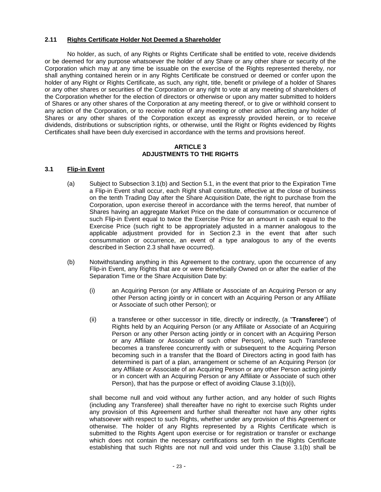#### **2.11 Rights Certificate Holder Not Deemed a Shareholder**

No holder, as such, of any Rights or Rights Certificate shall be entitled to vote, receive dividends or be deemed for any purpose whatsoever the holder of any Share or any other share or security of the Corporation which may at any time be issuable on the exercise of the Rights represented thereby, nor shall anything contained herein or in any Rights Certificate be construed or deemed or confer upon the holder of any Right or Rights Certificate, as such, any right, title, benefit or privilege of a holder of Shares or any other shares or securities of the Corporation or any right to vote at any meeting of shareholders of the Corporation whether for the election of directors or otherwise or upon any matter submitted to holders of Shares or any other shares of the Corporation at any meeting thereof, or to give or withhold consent to any action of the Corporation, or to receive notice of any meeting or other action affecting any holder of Shares or any other shares of the Corporation except as expressly provided herein, or to receive dividends, distributions or subscription rights, or otherwise, until the Right or Rights evidenced by Rights Certificates shall have been duly exercised in accordance with the terms and provisions hereof.

## **ARTICLE 3 ADJUSTMENTS TO THE RIGHTS**

#### **3.1 Flip-in Event**

- (a) Subject to Subsection 3.1(b) and Section 5.1, in the event that prior to the Expiration Time a Flip-in Event shall occur, each Right shall constitute, effective at the close of business on the tenth Trading Day after the Share Acquisition Date, the right to purchase from the Corporation, upon exercise thereof in accordance with the terms hereof, that number of Shares having an aggregate Market Price on the date of consummation or occurrence of such Flip-in Event equal to twice the Exercise Price for an amount in cash equal to the Exercise Price (such right to be appropriately adjusted in a manner analogous to the applicable adjustment provided for in Section 2.3 in the event that after such consummation or occurrence, an event of a type analogous to any of the events described in Section 2.3 shall have occurred).
- (b) Notwithstanding anything in this Agreement to the contrary, upon the occurrence of any Flip-in Event, any Rights that are or were Beneficially Owned on or after the earlier of the Separation Time or the Share Acquisition Date by:
	- (i) an Acquiring Person (or any Affiliate or Associate of an Acquiring Person or any other Person acting jointly or in concert with an Acquiring Person or any Affiliate or Associate of such other Person); or
	- (ii) a transferee or other successor in title, directly or indirectly, (a "**Transferee**") of Rights held by an Acquiring Person (or any Affiliate or Associate of an Acquiring Person or any other Person acting jointly or in concert with an Acquiring Person or any Affiliate or Associate of such other Person), where such Transferee becomes a transferee concurrently with or subsequent to the Acquiring Person becoming such in a transfer that the Board of Directors acting in good faith has determined is part of a plan, arrangement or scheme of an Acquiring Person (or any Affiliate or Associate of an Acquiring Person or any other Person acting jointly or in concert with an Acquiring Person or any Affiliate or Associate of such other Person), that has the purpose or effect of avoiding Clause 3.1(b)(i),

shall become null and void without any further action, and any holder of such Rights (including any Transferee) shall thereafter have no right to exercise such Rights under any provision of this Agreement and further shall thereafter not have any other rights whatsoever with respect to such Rights, whether under any provision of this Agreement or otherwise. The holder of any Rights represented by a Rights Certificate which is submitted to the Rights Agent upon exercise or for registration or transfer or exchange which does not contain the necessary certifications set forth in the Rights Certificate establishing that such Rights are not null and void under this Clause 3.1(b) shall be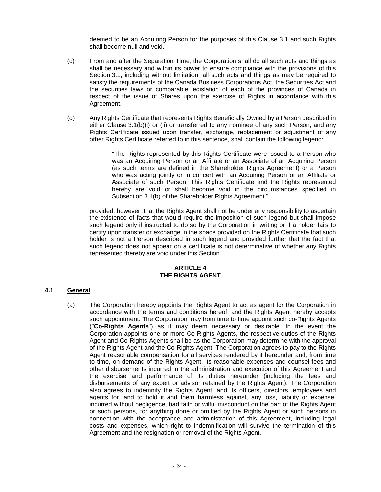deemed to be an Acquiring Person for the purposes of this Clause 3.1 and such Rights shall become null and void.

- (c) From and after the Separation Time, the Corporation shall do all such acts and things as shall be necessary and within its power to ensure compliance with the provisions of this Section 3.1, including without limitation, all such acts and things as may be required to satisfy the requirements of the Canada Business Corporations Act, the Securities Act and the securities laws or comparable legislation of each of the provinces of Canada in respect of the issue of Shares upon the exercise of Rights in accordance with this Agreement.
- (d) Any Rights Certificate that represents Rights Beneficially Owned by a Person described in either Clause 3.1(b)(i) or (ii) or transferred to any nominee of any such Person, and any Rights Certificate issued upon transfer, exchange, replacement or adjustment of any other Rights Certificate referred to in this sentence, shall contain the following legend:

"The Rights represented by this Rights Certificate were issued to a Person who was an Acquiring Person or an Affiliate or an Associate of an Acquiring Person (as such terms are defined in the Shareholder Rights Agreement) or a Person who was acting jointly or in concert with an Acquiring Person or an Affiliate or Associate of such Person. This Rights Certificate and the Rights represented hereby are void or shall become void in the circumstances specified in Subsection 3.1(b) of the Shareholder Rights Agreement."

provided, however, that the Rights Agent shall not be under any responsibility to ascertain the existence of facts that would require the imposition of such legend but shall impose such legend only if instructed to do so by the Corporation in writing or if a holder fails to certify upon transfer or exchange in the space provided on the Rights Certificate that such holder is not a Person described in such legend and provided further that the fact that such legend does not appear on a certificate is not determinative of whether any Rights represented thereby are void under this Section.

## **ARTICLE 4 THE RIGHTS AGENT**

#### **4.1 General**

(a) The Corporation hereby appoints the Rights Agent to act as agent for the Corporation in accordance with the terms and conditions hereof, and the Rights Agent hereby accepts such appointment. The Corporation may from time to time appoint such co-Rights Agents ("**Co-Rights Agents**") as it may deem necessary or desirable. In the event the Corporation appoints one or more Co-Rights Agents, the respective duties of the Rights Agent and Co-Rights Agents shall be as the Corporation may determine with the approval of the Rights Agent and the Co-Rights Agent. The Corporation agrees to pay to the Rights Agent reasonable compensation for all services rendered by it hereunder and, from time to time, on demand of the Rights Agent, its reasonable expenses and counsel fees and other disbursements incurred in the administration and execution of this Agreement and the exercise and performance of its duties hereunder (including the fees and disbursements of any expert or advisor retained by the Rights Agent). The Corporation also agrees to indemnify the Rights Agent, and its officers, directors, employees and agents for, and to hold it and them harmless against, any loss, liability or expense, incurred without negligence, bad faith or wilful misconduct on the part of the Rights Agent or such persons, for anything done or omitted by the Rights Agent or such persons in connection with the acceptance and administration of this Agreement, including legal costs and expenses, which right to indemnification will survive the termination of this Agreement and the resignation or removal of the Rights Agent.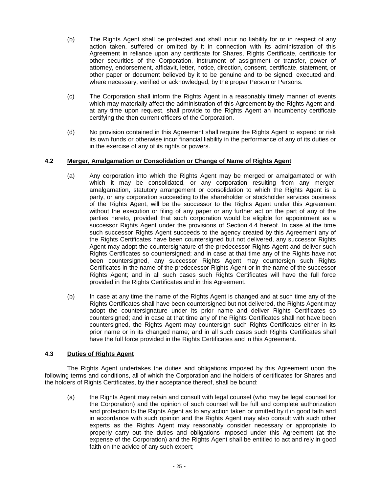- (b) The Rights Agent shall be protected and shall incur no liability for or in respect of any action taken, suffered or omitted by it in connection with its administration of this Agreement in reliance upon any certificate for Shares, Rights Certificate, certificate for other securities of the Corporation, instrument of assignment or transfer, power of attorney, endorsement, affidavit, letter, notice, direction, consent, certificate, statement, or other paper or document believed by it to be genuine and to be signed, executed and, where necessary, verified or acknowledged, by the proper Person or Persons.
- (c) The Corporation shall inform the Rights Agent in a reasonably timely manner of events which may materially affect the administration of this Agreement by the Rights Agent and, at any time upon request, shall provide to the Rights Agent an incumbency certificate certifying the then current officers of the Corporation.
- (d) No provision contained in this Agreement shall require the Rights Agent to expend or risk its own funds or otherwise incur financial liability in the performance of any of its duties or in the exercise of any of its rights or powers.

## **4.2 Merger, Amalgamation or Consolidation or Change of Name of Rights Agent**

- (a) Any corporation into which the Rights Agent may be merged or amalgamated or with which it may be consolidated, or any corporation resulting from any merger, amalgamation, statutory arrangement or consolidation to which the Rights Agent is a party, or any corporation succeeding to the shareholder or stockholder services business of the Rights Agent, will be the successor to the Rights Agent under this Agreement without the execution or filing of any paper or any further act on the part of any of the parties hereto, provided that such corporation would be eligible for appointment as a successor Rights Agent under the provisions of Section 4.4 hereof. In case at the time such successor Rights Agent succeeds to the agency created by this Agreement any of the Rights Certificates have been countersigned but not delivered, any successor Rights Agent may adopt the countersignature of the predecessor Rights Agent and deliver such Rights Certificates so countersigned; and in case at that time any of the Rights have not been countersigned, any successor Rights Agent may countersign such Rights Certificates in the name of the predecessor Rights Agent or in the name of the successor Rights Agent; and in all such cases such Rights Certificates will have the full force provided in the Rights Certificates and in this Agreement.
- (b) In case at any time the name of the Rights Agent is changed and at such time any of the Rights Certificates shall have been countersigned but not delivered, the Rights Agent may adopt the countersignature under its prior name and deliver Rights Certificates so countersigned; and in case at that time any of the Rights Certificates shall not have been countersigned, the Rights Agent may countersign such Rights Certificates either in its prior name or in its changed name; and in all such cases such Rights Certificates shall have the full force provided in the Rights Certificates and in this Agreement.

## **4.3 Duties of Rights Agent**

The Rights Agent undertakes the duties and obligations imposed by this Agreement upon the following terms and conditions, all of which the Corporation and the holders of certificates for Shares and the holders of Rights Certificates, by their acceptance thereof, shall be bound:

(a) the Rights Agent may retain and consult with legal counsel (who may be legal counsel for the Corporation) and the opinion of such counsel will be full and complete authorization and protection to the Rights Agent as to any action taken or omitted by it in good faith and in accordance with such opinion and the Rights Agent may also consult with such other experts as the Rights Agent may reasonably consider necessary or appropriate to properly carry out the duties and obligations imposed under this Agreement (at the expense of the Corporation) and the Rights Agent shall be entitled to act and rely in good faith on the advice of any such expert;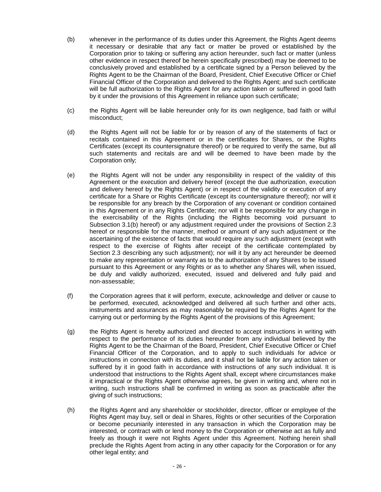- (b) whenever in the performance of its duties under this Agreement, the Rights Agent deems it necessary or desirable that any fact or matter be proved or established by the Corporation prior to taking or suffering any action hereunder, such fact or matter (unless other evidence in respect thereof be herein specifically prescribed) may be deemed to be conclusively proved and established by a certificate signed by a Person believed by the Rights Agent to be the Chairman of the Board, President, Chief Executive Officer or Chief Financial Officer of the Corporation and delivered to the Rights Agent; and such certificate will be full authorization to the Rights Agent for any action taken or suffered in good faith by it under the provisions of this Agreement in reliance upon such certificate;
- (c) the Rights Agent will be liable hereunder only for its own negligence, bad faith or wilful misconduct;
- (d) the Rights Agent will not be liable for or by reason of any of the statements of fact or recitals contained in this Agreement or in the certificates for Shares, or the Rights Certificates (except its countersignature thereof) or be required to verify the same, but all such statements and recitals are and will be deemed to have been made by the Corporation only;
- (e) the Rights Agent will not be under any responsibility in respect of the validity of this Agreement or the execution and delivery hereof (except the due authorization, execution and delivery hereof by the Rights Agent) or in respect of the validity or execution of any certificate for a Share or Rights Certificate (except its countersignature thereof); nor will it be responsible for any breach by the Corporation of any covenant or condition contained in this Agreement or in any Rights Certificate; nor will it be responsible for any change in the exercisability of the Rights (including the Rights becoming void pursuant to Subsection 3.1(b) hereof) or any adjustment required under the provisions of Section 2.3 hereof or responsible for the manner, method or amount of any such adjustment or the ascertaining of the existence of facts that would require any such adjustment (except with respect to the exercise of Rights after receipt of the certificate contemplated by Section 2.3 describing any such adjustment); nor will it by any act hereunder be deemed to make any representation or warranty as to the authorization of any Shares to be issued pursuant to this Agreement or any Rights or as to whether any Shares will, when issued, be duly and validly authorized, executed, issued and delivered and fully paid and non-assessable;
- (f) the Corporation agrees that it will perform, execute, acknowledge and deliver or cause to be performed, executed, acknowledged and delivered all such further and other acts, instruments and assurances as may reasonably be required by the Rights Agent for the carrying out or performing by the Rights Agent of the provisions of this Agreement;
- (g) the Rights Agent is hereby authorized and directed to accept instructions in writing with respect to the performance of its duties hereunder from any individual believed by the Rights Agent to be the Chairman of the Board, President, Chief Executive Officer or Chief Financial Officer of the Corporation, and to apply to such individuals for advice or instructions in connection with its duties, and it shall not be liable for any action taken or suffered by it in good faith in accordance with instructions of any such individual. It is understood that instructions to the Rights Agent shall, except where circumstances make it impractical or the Rights Agent otherwise agrees, be given in writing and, where not in writing, such instructions shall be confirmed in writing as soon as practicable after the giving of such instructions;
- (h) the Rights Agent and any shareholder or stockholder, director, officer or employee of the Rights Agent may buy, sell or deal in Shares, Rights or other securities of the Corporation or become pecuniarily interested in any transaction in which the Corporation may be interested, or contract with or lend money to the Corporation or otherwise act as fully and freely as though it were not Rights Agent under this Agreement. Nothing herein shall preclude the Rights Agent from acting in any other capacity for the Corporation or for any other legal entity; and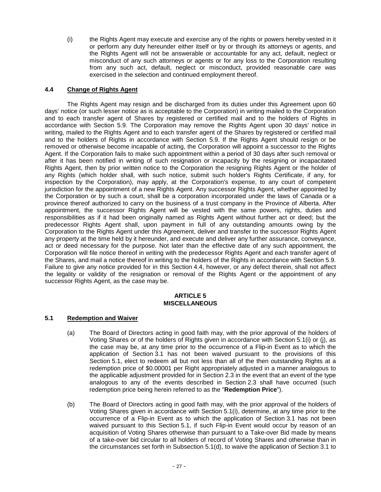(i) the Rights Agent may execute and exercise any of the rights or powers hereby vested in it or perform any duty hereunder either itself or by or through its attorneys or agents, and the Rights Agent will not be answerable or accountable for any act, default, neglect or misconduct of any such attorneys or agents or for any loss to the Corporation resulting from any such act, default, neglect or misconduct, provided reasonable care was exercised in the selection and continued employment thereof.

## **4.4 Change of Rights Agent**

The Rights Agent may resign and be discharged from its duties under this Agreement upon 60 days' notice (or such lesser notice as is acceptable to the Corporation) in writing mailed to the Corporation and to each transfer agent of Shares by registered or certified mail and to the holders of Rights in accordance with Section 5.9. The Corporation may remove the Rights Agent upon 30 days' notice in writing, mailed to the Rights Agent and to each transfer agent of the Shares by registered or certified mail and to the holders of Rights in accordance with Section 5.9. If the Rights Agent should resign or be removed or otherwise become incapable of acting, the Corporation will appoint a successor to the Rights Agent. If the Corporation fails to make such appointment within a period of 30 days after such removal or after it has been notified in writing of such resignation or incapacity by the resigning or incapacitated Rights Agent, then by prior written notice to the Corporation the resigning Rights Agent or the holder of any Rights (which holder shall, with such notice, submit such holder's Rights Certificate, if any, for inspection by the Corporation), may apply, at the Corporation's expense, to any court of competent jurisdiction for the appointment of a new Rights Agent. Any successor Rights Agent, whether appointed by the Corporation or by such a court, shall be a corporation incorporated under the laws of Canada or a province thereof authorized to carry on the business of a trust company in the Province of Alberta. After appointment, the successor Rights Agent will be vested with the same powers, rights, duties and responsibilities as if it had been originally named as Rights Agent without further act or deed; but the predecessor Rights Agent shall, upon payment in full of any outstanding amounts owing by the Corporation to the Rights Agent under this Agreement, deliver and transfer to the successor Rights Agent any property at the time held by it hereunder, and execute and deliver any further assurance, conveyance, act or deed necessary for the purpose. Not later than the effective date of any such appointment, the Corporation will file notice thereof in writing with the predecessor Rights Agent and each transfer agent of the Shares, and mail a notice thereof in writing to the holders of the Rights in accordance with Section 5.9. Failure to give any notice provided for in this Section 4.4, however, or any defect therein, shall not affect the legality or validity of the resignation or removal of the Rights Agent or the appointment of any successor Rights Agent, as the case may be.

#### **ARTICLE 5 MISCELLANEOUS**

#### **5.1 Redemption and Waiver**

- (a) The Board of Directors acting in good faith may, with the prior approval of the holders of Voting Shares or of the holders of Rights given in accordance with Section 5.1(i) or (j), as the case may be, at any time prior to the occurrence of a Flip-in Event as to which the application of Section 3.1 has not been waived pursuant to the provisions of this Section 5.1, elect to redeem all but not less than all of the then outstanding Rights at a redemption price of \$0.00001 per Right appropriately adjusted in a manner analogous to the applicable adjustment provided for in Section 2.3 in the event that an event of the type analogous to any of the events described in Section 2.3 shall have occurred (such redemption price being herein referred to as the "**Redemption Price**").
- (b) The Board of Directors acting in good faith may, with the prior approval of the holders of Voting Shares given in accordance with Section 5.1(i), determine, at any time prior to the occurrence of a Flip-in Event as to which the application of Section 3.1 has not been waived pursuant to this Section 5.1, if such Flip-in Event would occur by reason of an acquisition of Voting Shares otherwise than pursuant to a Take-over Bid made by means of a take-over bid circular to all holders of record of Voting Shares and otherwise than in the circumstances set forth in Subsection 5.1(d), to waive the application of Section 3.1 to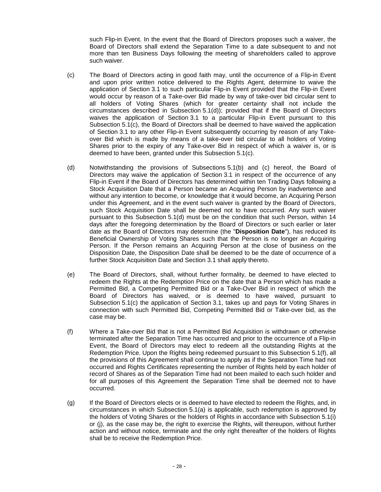such Flip-in Event. In the event that the Board of Directors proposes such a waiver, the Board of Directors shall extend the Separation Time to a date subsequent to and not more than ten Business Days following the meeting of shareholders called to approve such waiver.

- (c) The Board of Directors acting in good faith may, until the occurrence of a Flip-in Event and upon prior written notice delivered to the Rights Agent, determine to waive the application of Section 3.1 to such particular Flip-in Event provided that the Flip-in Event would occur by reason of a Take-over Bid made by way of take-over bid circular sent to all holders of Voting Shares (which for greater certainty shall not include the circumstances described in Subsection 5.1(d)); provided that if the Board of Directors waives the application of Section 3.1 to a particular Flip-in Event pursuant to this Subsection 5.1(c), the Board of Directors shall be deemed to have waived the application of Section 3.1 to any other Flip-in Event subsequently occurring by reason of any Takeover Bid which is made by means of a take-over bid circular to all holders of Voting Shares prior to the expiry of any Take-over Bid in respect of which a waiver is, or is deemed to have been, granted under this Subsection 5.1(c).
- (d) Notwithstanding the provisions of Subsections 5.1(b) and (c) hereof, the Board of Directors may waive the application of Section 3.1 in respect of the occurrence of any Flip-in Event if the Board of Directors has determined within ten Trading Days following a Stock Acquisition Date that a Person became an Acquiring Person by inadvertence and without any intention to become, or knowledge that it would become, an Acquiring Person under this Agreement, and in the event such waiver is granted by the Board of Directors, such Stock Acquisition Date shall be deemed not to have occurred. Any such waiver pursuant to this Subsection 5.1(d) must be on the condition that such Person, within 14 days after the foregoing determination by the Board of Directors or such earlier or later date as the Board of Directors may determine (the "**Disposition Date**"), has reduced its Beneficial Ownership of Voting Shares such that the Person is no longer an Acquiring Person. If the Person remains an Acquiring Person at the close of business on the Disposition Date, the Disposition Date shall be deemed to be the date of occurrence of a further Stock Acquisition Date and Section 3.1 shall apply thereto.
- (e) The Board of Directors, shall, without further formality, be deemed to have elected to redeem the Rights at the Redemption Price on the date that a Person which has made a Permitted Bid, a Competing Permitted Bid or a Take-Over Bid in respect of which the Board of Directors has waived, or is deemed to have waived, pursuant to Subsection 5.1(c) the application of Section 3.1, takes up and pays for Voting Shares in connection with such Permitted Bid, Competing Permitted Bid or Take-over bid, as the case may be.
- (f) Where a Take-over Bid that is not a Permitted Bid Acquisition is withdrawn or otherwise terminated after the Separation Time has occurred and prior to the occurrence of a Flip-in Event, the Board of Directors may elect to redeem all the outstanding Rights at the Redemption Price. Upon the Rights being redeemed pursuant to this Subsection 5.1(f), all the provisions of this Agreement shall continue to apply as if the Separation Time had not occurred and Rights Certificates representing the number of Rights held by each holder of record of Shares as of the Separation Time had not been mailed to each such holder and for all purposes of this Agreement the Separation Time shall be deemed not to have occurred.
- (g) If the Board of Directors elects or is deemed to have elected to redeem the Rights, and, in circumstances in which Subsection 5.1(a) is applicable, such redemption is approved by the holders of Voting Shares or the holders of Rights in accordance with Subsection 5.1(i) or (j), as the case may be, the right to exercise the Rights, will thereupon, without further action and without notice, terminate and the only right thereafter of the holders of Rights shall be to receive the Redemption Price.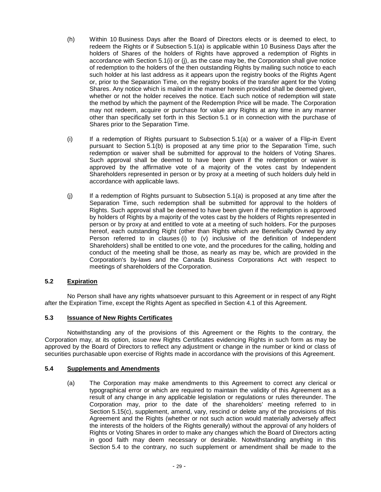- (h) Within 10 Business Days after the Board of Directors elects or is deemed to elect, to redeem the Rights or if Subsection 5.1(a) is applicable within 10 Business Days after the holders of Shares of the holders of Rights have approved a redemption of Rights in accordance with Section 5.1(i) or (j), as the case may be, the Corporation shall give notice of redemption to the holders of the then outstanding Rights by mailing such notice to each such holder at his last address as it appears upon the registry books of the Rights Agent or, prior to the Separation Time, on the registry books of the transfer agent for the Voting Shares. Any notice which is mailed in the manner herein provided shall be deemed given, whether or not the holder receives the notice. Each such notice of redemption will state the method by which the payment of the Redemption Price will be made. The Corporation may not redeem, acquire or purchase for value any Rights at any time in any manner other than specifically set forth in this Section 5.1 or in connection with the purchase of Shares prior to the Separation Time.
- (i) If a redemption of Rights pursuant to Subsection 5.1(a) or a waiver of a Flip-in Event pursuant to Section 5.1(b) is proposed at any time prior to the Separation Time, such redemption or waiver shall be submitted for approval to the holders of Voting Shares. Such approval shall be deemed to have been given if the redemption or waiver is approved by the affirmative vote of a majority of the votes cast by Independent Shareholders represented in person or by proxy at a meeting of such holders duly held in accordance with applicable laws.
- (j) If a redemption of Rights pursuant to Subsection 5.1(a) is proposed at any time after the Separation Time, such redemption shall be submitted for approval to the holders of Rights. Such approval shall be deemed to have been given if the redemption is approved by holders of Rights by a majority of the votes cast by the holders of Rights represented in person or by proxy at and entitled to vote at a meeting of such holders. For the purposes hereof, each outstanding Right (other than Rights which are Beneficially Owned by any Person referred to in clauses (i) to (v) inclusive of the definition of Independent Shareholders) shall be entitled to one vote, and the procedures for the calling, holding and conduct of the meeting shall be those, as nearly as may be, which are provided in the Corporation's by-laws and the Canada Business Corporations Act with respect to meetings of shareholders of the Corporation.

## **5.2 Expiration**

No Person shall have any rights whatsoever pursuant to this Agreement or in respect of any Right after the Expiration Time, except the Rights Agent as specified in Section 4.1 of this Agreement.

## **5.3 Issuance of New Rights Certificates**

Notwithstanding any of the provisions of this Agreement or the Rights to the contrary, the Corporation may, at its option, issue new Rights Certificates evidencing Rights in such form as may be approved by the Board of Directors to reflect any adjustment or change in the number or kind or class of securities purchasable upon exercise of Rights made in accordance with the provisions of this Agreement.

#### **5.4 Supplements and Amendments**

(a) The Corporation may make amendments to this Agreement to correct any clerical or typographical error or which are required to maintain the validity of this Agreement as a result of any change in any applicable legislation or regulations or rules thereunder. The Corporation may, prior to the date of the shareholders' meeting referred to in Section 5.15(c), supplement, amend, vary, rescind or delete any of the provisions of this Agreement and the Rights (whether or not such action would materially adversely affect the interests of the holders of the Rights generally) without the approval of any holders of Rights or Voting Shares in order to make any changes which the Board of Directors acting in good faith may deem necessary or desirable. Notwithstanding anything in this Section 5.4 to the contrary, no such supplement or amendment shall be made to the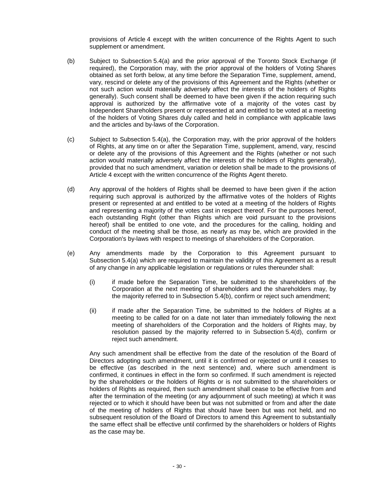provisions of Article 4 except with the written concurrence of the Rights Agent to such supplement or amendment.

- (b) Subject to Subsection 5.4(a) and the prior approval of the Toronto Stock Exchange (if required), the Corporation may, with the prior approval of the holders of Voting Shares obtained as set forth below, at any time before the Separation Time, supplement, amend, vary, rescind or delete any of the provisions of this Agreement and the Rights (whether or not such action would materially adversely affect the interests of the holders of Rights generally). Such consent shall be deemed to have been given if the action requiring such approval is authorized by the affirmative vote of a majority of the votes cast by Independent Shareholders present or represented at and entitled to be voted at a meeting of the holders of Voting Shares duly called and held in compliance with applicable laws and the articles and by-laws of the Corporation.
- (c) Subject to Subsection 5.4(a), the Corporation may, with the prior approval of the holders of Rights, at any time on or after the Separation Time, supplement, amend, vary, rescind or delete any of the provisions of this Agreement and the Rights (whether or not such action would materially adversely affect the interests of the holders of Rights generally), provided that no such amendment, variation or deletion shall be made to the provisions of Article 4 except with the written concurrence of the Rights Agent thereto.
- (d) Any approval of the holders of Rights shall be deemed to have been given if the action requiring such approval is authorized by the affirmative votes of the holders of Rights present or represented at and entitled to be voted at a meeting of the holders of Rights and representing a majority of the votes cast in respect thereof. For the purposes hereof, each outstanding Right (other than Rights which are void pursuant to the provisions hereof) shall be entitled to one vote, and the procedures for the calling, holding and conduct of the meeting shall be those, as nearly as may be, which are provided in the Corporation's by-laws with respect to meetings of shareholders of the Corporation.
- (e) Any amendments made by the Corporation to this Agreement pursuant to Subsection 5.4(a) which are required to maintain the validity of this Agreement as a result of any change in any applicable legislation or regulations or rules thereunder shall:
	- (i) if made before the Separation Time, be submitted to the shareholders of the Corporation at the next meeting of shareholders and the shareholders may, by the majority referred to in Subsection 5.4(b), confirm or reject such amendment;
	- (ii) if made after the Separation Time, be submitted to the holders of Rights at a meeting to be called for on a date not later than immediately following the next meeting of shareholders of the Corporation and the holders of Rights may, by resolution passed by the majority referred to in Subsection 5.4(d), confirm or reject such amendment.

Any such amendment shall be effective from the date of the resolution of the Board of Directors adopting such amendment, until it is confirmed or rejected or until it ceases to be effective (as described in the next sentence) and, where such amendment is confirmed, it continues in effect in the form so confirmed. If such amendment is rejected by the shareholders or the holders of Rights or is not submitted to the shareholders or holders of Rights as required, then such amendment shall cease to be effective from and after the termination of the meeting (or any adjournment of such meeting) at which it was rejected or to which it should have been but was not submitted or from and after the date of the meeting of holders of Rights that should have been but was not held, and no subsequent resolution of the Board of Directors to amend this Agreement to substantially the same effect shall be effective until confirmed by the shareholders or holders of Rights as the case may be.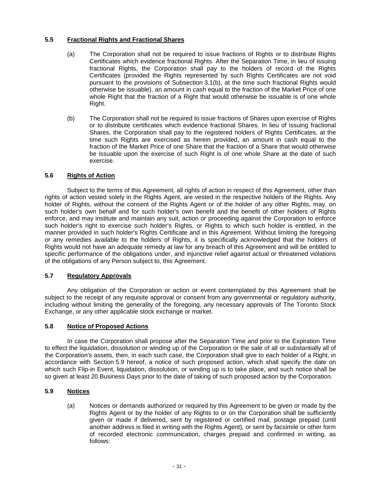## **5.5 Fractional Rights and Fractional Shares**

- (a) The Corporation shall not be required to issue fractions of Rights or to distribute Rights Certificates which evidence fractional Rights. After the Separation Time, in lieu of issuing fractional Rights, the Corporation shall pay to the holders of record of the Rights Certificates (provided the Rights represented by such Rights Certificates are not void pursuant to the provisions of Subsection 3.1(b), at the time such fractional Rights would otherwise be issuable), an amount in cash equal to the fraction of the Market Price of one whole Right that the fraction of a Right that would otherwise be issuable is of one whole Right.
- (b) The Corporation shall not be required to issue fractions of Shares upon exercise of Rights or to distribute certificates which evidence fractional Shares. In lieu of issuing fractional Shares, the Corporation shall pay to the registered holders of Rights Certificates, at the time such Rights are exercised as herein provided, an amount in cash equal to the fraction of the Market Price of one Share that the fraction of a Share that would otherwise be issuable upon the exercise of such Right is of one whole Share at the date of such exercise.

#### **5.6 Rights of Action**

Subject to the terms of this Agreement, all rights of action in respect of this Agreement, other than rights of action vested solely in the Rights Agent, are vested in the respective holders of the Rights. Any holder of Rights, without the consent of the Rights Agent or of the holder of any other Rights, may, on such holder's own behalf and for such holder's own benefit and the benefit of other holders of Rights enforce, and may institute and maintain any suit, action or proceeding against the Corporation to enforce such holder's right to exercise such holder's Rights, or Rights to which such holder is entitled, in the manner provided in such holder's Rights Certificate and in this Agreement. Without limiting the foregoing or any remedies available to the holders of Rights, it is specifically acknowledged that the holders of Rights would not have an adequate remedy at law for any breach of this Agreement and will be entitled to specific performance of the obligations under, and injunctive relief against actual or threatened violations of the obligations of any Person subject to, this Agreement.

## **5.7 Regulatory Approvals**

Any obligation of the Corporation or action or event contemplated by this Agreement shall be subject to the receipt of any requisite approval or consent from any governmental or regulatory authority, including without limiting the generality of the foregoing, any necessary approvals of The Toronto Stock Exchange, or any other applicable stock exchange or market.

#### **5.8 Notice of Proposed Actions**

In case the Corporation shall propose after the Separation Time and prior to the Expiration Time to effect the liquidation, dissolution or winding up of the Corporation or the sale of all or substantially all of the Corporation's assets, then, in each such case, the Corporation shall give to each holder of a Right, in accordance with Section 5.9 hereof, a notice of such proposed action, which shall specify the date on which such Flip-in Event, liquidation, dissolution, or winding up is to take place, and such notice shall be so given at least 20 Business Days prior to the date of taking of such proposed action by the Corporation.

#### **5.9 Notices**

(a) Notices or demands authorized or required by this Agreement to be given or made by the Rights Agent or by the holder of any Rights to or on the Corporation shall be sufficiently given or made if delivered, sent by registered or certified mail, postage prepaid (until another address is filed in writing with the Rights Agent), or sent by facsimile or other form of recorded electronic communication, charges prepaid and confirmed in writing, as follows: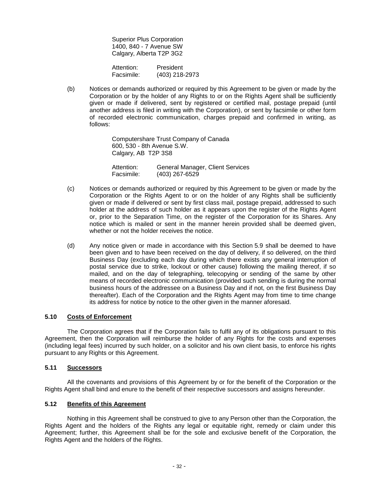Superior Plus Corporation 1400, 840 - 7 Avenue SW Calgary, Alberta T2P 3G2

Attention: President<br>Facsimile: (403) 218-(403) 218-2973

(b) Notices or demands authorized or required by this Agreement to be given or made by the Corporation or by the holder of any Rights to or on the Rights Agent shall be sufficiently given or made if delivered, sent by registered or certified mail, postage prepaid (until another address is filed in writing with the Corporation), or sent by facsimile or other form of recorded electronic communication, charges prepaid and confirmed in writing, as follows:

> Computershare Trust Company of Canada 600, 530 - 8th Avenue S.W. Calgary, AB T2P 3S8

 Attention: General Manager, Client Services Facsimile: (403) 267-6529

- (c) Notices or demands authorized or required by this Agreement to be given or made by the Corporation or the Rights Agent to or on the holder of any Rights shall be sufficiently given or made if delivered or sent by first class mail, postage prepaid, addressed to such holder at the address of such holder as it appears upon the register of the Rights Agent or, prior to the Separation Time, on the register of the Corporation for its Shares. Any notice which is mailed or sent in the manner herein provided shall be deemed given, whether or not the holder receives the notice.
- (d) Any notice given or made in accordance with this Section 5.9 shall be deemed to have been given and to have been received on the day of delivery, if so delivered, on the third Business Day (excluding each day during which there exists any general interruption of postal service due to strike, lockout or other cause) following the mailing thereof, if so mailed, and on the day of telegraphing, telecopying or sending of the same by other means of recorded electronic communication (provided such sending is during the normal business hours of the addressee on a Business Day and if not, on the first Business Day thereafter). Each of the Corporation and the Rights Agent may from time to time change its address for notice by notice to the other given in the manner aforesaid.

#### **5.10 Costs of Enforcement**

The Corporation agrees that if the Corporation fails to fulfil any of its obligations pursuant to this Agreement, then the Corporation will reimburse the holder of any Rights for the costs and expenses (including legal fees) incurred by such holder, on a solicitor and his own client basis, to enforce his rights pursuant to any Rights or this Agreement.

## **5.11 Successors**

All the covenants and provisions of this Agreement by or for the benefit of the Corporation or the Rights Agent shall bind and enure to the benefit of their respective successors and assigns hereunder.

#### **5.12 Benefits of this Agreement**

Nothing in this Agreement shall be construed to give to any Person other than the Corporation, the Rights Agent and the holders of the Rights any legal or equitable right, remedy or claim under this Agreement; further, this Agreement shall be for the sole and exclusive benefit of the Corporation, the Rights Agent and the holders of the Rights.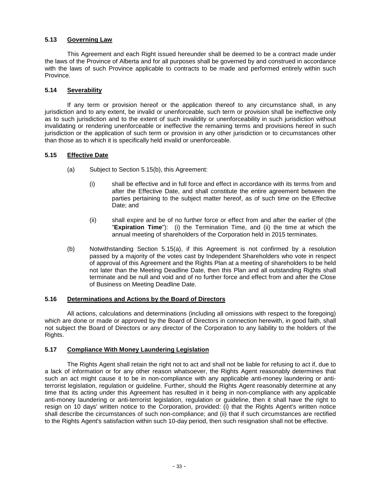## **5.13 Governing Law**

This Agreement and each Right issued hereunder shall be deemed to be a contract made under the laws of the Province of Alberta and for all purposes shall be governed by and construed in accordance with the laws of such Province applicable to contracts to be made and performed entirely within such Province.

#### **5.14 Severability**

If any term or provision hereof or the application thereof to any circumstance shall, in any jurisdiction and to any extent, be invalid or unenforceable, such term or provision shall be ineffective only as to such jurisdiction and to the extent of such invalidity or unenforceability in such jurisdiction without invalidating or rendering unenforceable or ineffective the remaining terms and provisions hereof in such jurisdiction or the application of such term or provision in any other jurisdiction or to circumstances other than those as to which it is specifically held invalid or unenforceable.

## **5.15 Effective Date**

- (a) Subject to Section 5.15(b), this Agreement:
	- (i) shall be effective and in full force and effect in accordance with its terms from and after the Effective Date, and shall constitute the entire agreement between the parties pertaining to the subject matter hereof, as of such time on the Effective Date; and
	- (ii) shall expire and be of no further force or effect from and after the earlier of (the "**Expiration Time**"): (i) the Termination Time, and (ii) the time at which the annual meeting of shareholders of the Corporation held in 2015 terminates.
- (b) Notwithstanding Section 5.15(a), if this Agreement is not confirmed by a resolution passed by a majority of the votes cast by Independent Shareholders who vote in respect of approval of this Agreement and the Rights Plan at a meeting of shareholders to be held not later than the Meeting Deadline Date, then this Plan and all outstanding Rights shall terminate and be null and void and of no further force and effect from and after the Close of Business on Meeting Deadline Date.

#### **5.16 Determinations and Actions by the Board of Directors**

All actions, calculations and determinations (including all omissions with respect to the foregoing) which are done or made or approved by the Board of Directors in connection herewith, in good faith, shall not subject the Board of Directors or any director of the Corporation to any liability to the holders of the Rights.

#### **5.17 Compliance With Money Laundering Legislation**

The Rights Agent shall retain the right not to act and shall not be liable for refusing to act if, due to a lack of information or for any other reason whatsoever, the Rights Agent reasonably determines that such an act might cause it to be in non-compliance with any applicable anti-money laundering or antiterrorist legislation, regulation or guideline. Further, should the Rights Agent reasonably determine at any time that its acting under this Agreement has resulted in it being in non-compliance with any applicable anti-money laundering or anti-terrorist legislation, regulation or guideline, then it shall have the right to resign on 10 days' written notice to the Corporation, provided: (i) that the Rights Agent's written notice shall describe the circumstances of such non-compliance; and (ii) that if such circumstances are rectified to the Rights Agent's satisfaction within such 10-day period, then such resignation shall not be effective.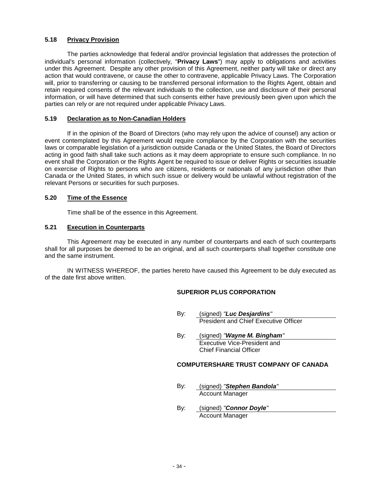## **5.18 Privacy Provision**

The parties acknowledge that federal and/or provincial legislation that addresses the protection of individual's personal information (collectively, "**Privacy Laws**") may apply to obligations and activities under this Agreement. Despite any other provision of this Agreement, neither party will take or direct any action that would contravene, or cause the other to contravene, applicable Privacy Laws. The Corporation will, prior to transferring or causing to be transferred personal information to the Rights Agent, obtain and retain required consents of the relevant individuals to the collection, use and disclosure of their personal information, or will have determined that such consents either have previously been given upon which the parties can rely or are not required under applicable Privacy Laws.

#### **5.19 Declaration as to Non-Canadian Holders**

If in the opinion of the Board of Directors (who may rely upon the advice of counsel) any action or event contemplated by this Agreement would require compliance by the Corporation with the securities laws or comparable legislation of a jurisdiction outside Canada or the United States, the Board of Directors acting in good faith shall take such actions as it may deem appropriate to ensure such compliance. In no event shall the Corporation or the Rights Agent be required to issue or deliver Rights or securities issuable on exercise of Rights to persons who are citizens, residents or nationals of any jurisdiction other than Canada or the United States, in which such issue or delivery would be unlawful without registration of the relevant Persons or securities for such purposes.

#### **5.20 Time of the Essence**

Time shall be of the essence in this Agreement.

#### **5.21 Execution in Counterparts**

This Agreement may be executed in any number of counterparts and each of such counterparts shall for all purposes be deemed to be an original, and all such counterparts shall together constitute one and the same instrument.

IN WITNESS WHEREOF, the parties hereto have caused this Agreement to be duly executed as of the date first above written.

#### **SUPERIOR PLUS CORPORATION**

- By: (signed) "**Luc Desjardins**" President and Chief Executive Officer
- By: (signed) "**Wayne M. Bingham**" Executive Vice-President and Chief Financial Officer

#### **COMPUTERSHARE TRUST COMPANY OF CANADA**

- By: (signed) "**Stephen Bandola**" Account Manager
- By: (signed) "**Connor Doyle**" Account Manager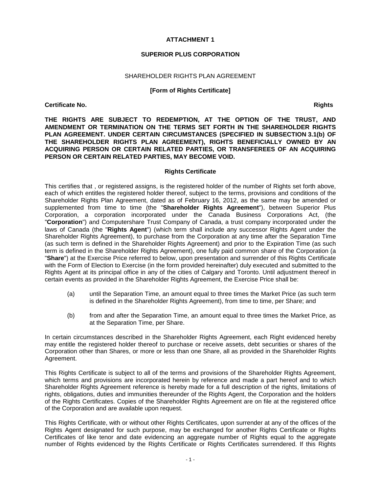#### **ATTACHMENT 1**

#### **SUPERIOR PLUS CORPORATION**

#### SHAREHOLDER RIGHTS PLAN AGREEMENT

#### **[Form of Rights Certificate]**

#### **Certificate No.** Rights **Certificate No. Rights Certificate No. Rights**

**THE RIGHTS ARE SUBJECT TO REDEMPTION, AT THE OPTION OF THE TRUST, AND AMENDMENT OR TERMINATION ON THE TERMS SET FORTH IN THE SHAREHOLDER RIGHTS PLAN AGREEMENT. UNDER CERTAIN CIRCUMSTANCES (SPECIFIED IN SUBSECTION 3.1(b) OF THE SHAREHOLDER RIGHTS PLAN AGREEMENT), RIGHTS BENEFICIALLY OWNED BY AN ACQUIRING PERSON OR CERTAIN RELATED PARTIES, OR TRANSFEREES OF AN ACQUIRING PERSON OR CERTAIN RELATED PARTIES, MAY BECOME VOID.**

#### **Rights Certificate**

This certifies that , or registered assigns, is the registered holder of the number of Rights set forth above, each of which entitles the registered holder thereof, subject to the terms, provisions and conditions of the Shareholder Rights Plan Agreement, dated as of February 16, 2012, as the same may be amended or supplemented from time to time (the "**Shareholder Rights Agreement**"), between Superior Plus Corporation, a corporation incorporated under the Canada Business Corporations Act, (the "**Corporation**") and Computershare Trust Company of Canada, a trust company incorporated under the laws of Canada (the "**Rights Agent**") (which term shall include any successor Rights Agent under the Shareholder Rights Agreement), to purchase from the Corporation at any time after the Separation Time (as such term is defined in the Shareholder Rights Agreement) and prior to the Expiration Time (as such term is defined in the Shareholder Rights Agreement), one fully paid common share of the Corporation (a "**Share**") at the Exercise Price referred to below, upon presentation and surrender of this Rights Certificate with the Form of Election to Exercise (in the form provided hereinafter) duly executed and submitted to the Rights Agent at its principal office in any of the cities of Calgary and Toronto. Until adjustment thereof in certain events as provided in the Shareholder Rights Agreement, the Exercise Price shall be:

- (a) until the Separation Time, an amount equal to three times the Market Price (as such term is defined in the Shareholder Rights Agreement), from time to time, per Share; and
- (b) from and after the Separation Time, an amount equal to three times the Market Price, as at the Separation Time, per Share.

In certain circumstances described in the Shareholder Rights Agreement, each Right evidenced hereby may entitle the registered holder thereof to purchase or receive assets, debt securities or shares of the Corporation other than Shares, or more or less than one Share, all as provided in the Shareholder Rights Agreement.

This Rights Certificate is subject to all of the terms and provisions of the Shareholder Rights Agreement, which terms and provisions are incorporated herein by reference and made a part hereof and to which Shareholder Rights Agreement reference is hereby made for a full description of the rights, limitations of rights, obligations, duties and immunities thereunder of the Rights Agent, the Corporation and the holders of the Rights Certificates. Copies of the Shareholder Rights Agreement are on file at the registered office of the Corporation and are available upon request.

This Rights Certificate, with or without other Rights Certificates, upon surrender at any of the offices of the Rights Agent designated for such purpose, may be exchanged for another Rights Certificate or Rights Certificates of like tenor and date evidencing an aggregate number of Rights equal to the aggregate number of Rights evidenced by the Rights Certificate or Rights Certificates surrendered. If this Rights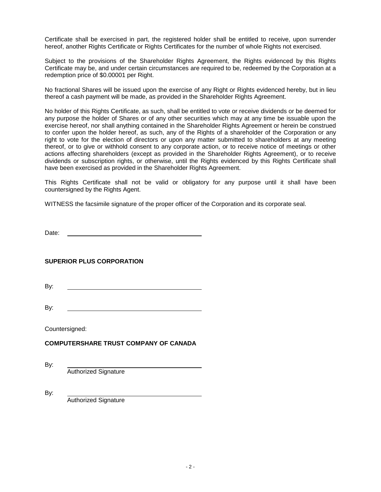Certificate shall be exercised in part, the registered holder shall be entitled to receive, upon surrender hereof, another Rights Certificate or Rights Certificates for the number of whole Rights not exercised.

Subject to the provisions of the Shareholder Rights Agreement, the Rights evidenced by this Rights Certificate may be, and under certain circumstances are required to be, redeemed by the Corporation at a redemption price of \$0.00001 per Right.

No fractional Shares will be issued upon the exercise of any Right or Rights evidenced hereby, but in lieu thereof a cash payment will be made, as provided in the Shareholder Rights Agreement.

No holder of this Rights Certificate, as such, shall be entitled to vote or receive dividends or be deemed for any purpose the holder of Shares or of any other securities which may at any time be issuable upon the exercise hereof, nor shall anything contained in the Shareholder Rights Agreement or herein be construed to confer upon the holder hereof, as such, any of the Rights of a shareholder of the Corporation or any right to vote for the election of directors or upon any matter submitted to shareholders at any meeting thereof, or to give or withhold consent to any corporate action, or to receive notice of meetings or other actions affecting shareholders (except as provided in the Shareholder Rights Agreement), or to receive dividends or subscription rights, or otherwise, until the Rights evidenced by this Rights Certificate shall have been exercised as provided in the Shareholder Rights Agreement.

This Rights Certificate shall not be valid or obligatory for any purpose until it shall have been countersigned by the Rights Agent.

WITNESS the facsimile signature of the proper officer of the Corporation and its corporate seal.

Date:

#### **SUPERIOR PLUS CORPORATION**

By:

By:

Countersigned:

## **COMPUTERSHARE TRUST COMPANY OF CANADA**

By: Authorized Signature

By: Authorized Signature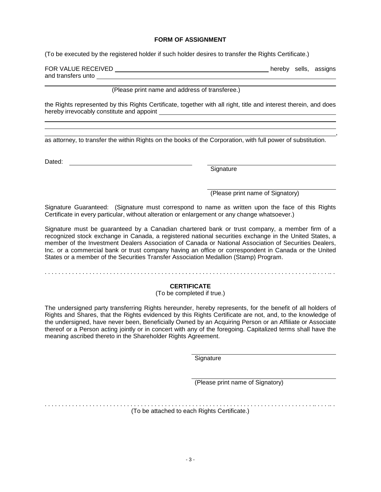#### **FORM OF ASSIGNMENT**

(To be executed by the registered holder if such holder desires to transfer the Rights Certificate.)

FOR VALUE RECEIVED **hereby** sells, assigns and transfers unto

,

(Please print name and address of transferee.)

the Rights represented by this Rights Certificate, together with all right, title and interest therein, and does hereby irrevocably constitute and appoint

as attorney, to transfer the within Rights on the books of the Corporation, with full power of substitution.

Dated:

 $\overline{a}$ 

**Signature** 

(Please print name of Signatory)

Signature Guaranteed: (Signature must correspond to name as written upon the face of this Rights Certificate in every particular, without alteration or enlargement or any change whatsoever.)

Signature must be guaranteed by a Canadian chartered bank or trust company, a member firm of a recognized stock exchange in Canada, a registered national securities exchange in the United States, a member of the Investment Dealers Association of Canada or National Association of Securities Dealers, Inc. or a commercial bank or trust company having an office or correspondent in Canada or the United States or a member of the Securities Transfer Association Medallion (Stamp) Program.

# . . . . . . . . . . . . . . . . . . . . . . . . . . . . . . . . . . . . . . . . . . . . . . . . . . . . . . . . . . . . . . . . . . . . . . . . . . . . . . .. . . . .. .

## **CERTIFICATE**

## (To be completed if true.)

The undersigned party transferring Rights hereunder, hereby represents, for the benefit of all holders of Rights and Shares, that the Rights evidenced by this Rights Certificate are not, and, to the knowledge of the undersigned, have never been, Beneficially Owned by an Acquiring Person or an Affiliate or Associate thereof or a Person acting jointly or in concert with any of the foregoing. Capitalized terms shall have the meaning ascribed thereto in the Shareholder Rights Agreement.

**Signature** 

(Please print name of Signatory)

. . . . . . . . . . . . . . . . . . . . . . . . . . . . . . . . . . . . . . . . . . . . . . . . . . . . . . . . . . . . . . . . . . . . . . . . . . . . . . .. . . . .. . (To be attached to each Rights Certificate.)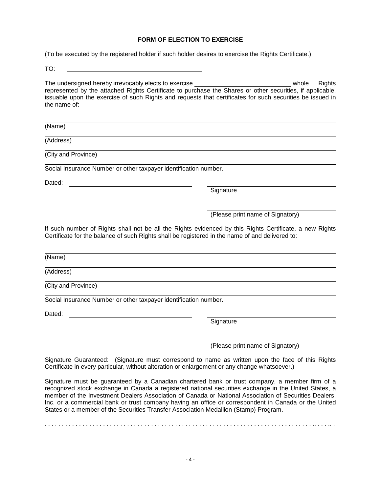## **FORM OF ELECTION TO EXERCISE**

(To be executed by the registered holder if such holder desires to exercise the Rights Certificate.)

TO:

The undersigned hereby irrevocably elects to exercise who whole Rights represented by the attached Rights Certificate to purchase the Shares or other securities, if applicable, issuable upon the exercise of such Rights and requests that certificates for such securities be issued in the name of:

(Name)

(Address)

(City and Province)

Social Insurance Number or other taxpayer identification number.

Dated:

Signature

(Please print name of Signatory)

If such number of Rights shall not be all the Rights evidenced by this Rights Certificate, a new Rights Certificate for the balance of such Rights shall be registered in the name of and delivered to:

(Name)

(Address)

(City and Province)

Social Insurance Number or other taxpayer identification number.

Dated: **Dated: Dated: Dated: Dated: Participally** 

Signature

(Please print name of Signatory)

Signature Guaranteed: (Signature must correspond to name as written upon the face of this Rights Certificate in every particular, without alteration or enlargement or any change whatsoever.)

Signature must be guaranteed by a Canadian chartered bank or trust company, a member firm of a recognized stock exchange in Canada a registered national securities exchange in the United States, a member of the Investment Dealers Association of Canada or National Association of Securities Dealers, Inc. or a commercial bank or trust company having an office or correspondent in Canada or the United States or a member of the Securities Transfer Association Medallion (Stamp) Program.

. . . . . . . . . . . . . . . . . . . . . . . . . . . . . . . . . . . . . . . . . . . . . . . . . . . . . . . . . . . . . . . . . . . . . . . . . . . . . . .. . . . .. .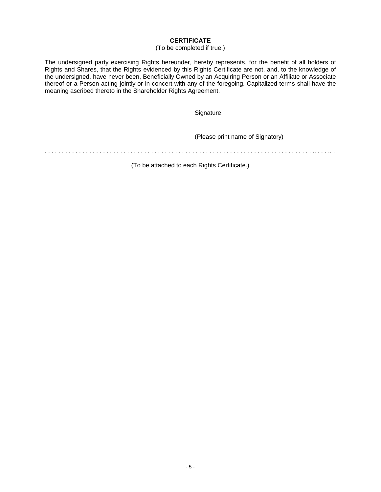# **CERTIFICATE**

## (To be completed if true.)

The undersigned party exercising Rights hereunder, hereby represents, for the benefit of all holders of Rights and Shares, that the Rights evidenced by this Rights Certificate are not, and, to the knowledge of the undersigned, have never been, Beneficially Owned by an Acquiring Person or an Affiliate or Associate thereof or a Person acting jointly or in concert with any of the foregoing. Capitalized terms shall have the meaning ascribed thereto in the Shareholder Rights Agreement.

**Signature** 

(Please print name of Signatory)

. . . . . . . . . . . . . . . . . . . . . . . . . . . . . . . . . . . . . . . . . . . . . . . . . . . . . . . . . . . . . . . . . . . . . . . . . . . . . . .. . . . .. .

(To be attached to each Rights Certificate.)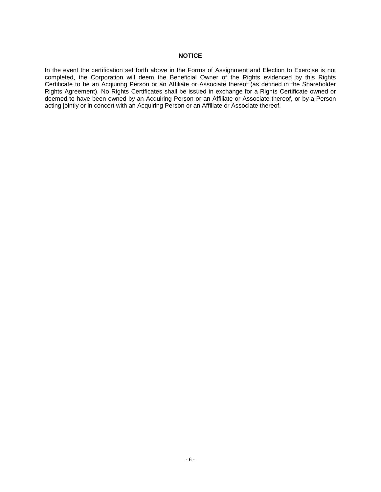## **NOTICE**

In the event the certification set forth above in the Forms of Assignment and Election to Exercise is not completed, the Corporation will deem the Beneficial Owner of the Rights evidenced by this Rights Certificate to be an Acquiring Person or an Affiliate or Associate thereof (as defined in the Shareholder Rights Agreement). No Rights Certificates shall be issued in exchange for a Rights Certificate owned or deemed to have been owned by an Acquiring Person or an Affiliate or Associate thereof, or by a Person acting jointly or in concert with an Acquiring Person or an Affiliate or Associate thereof.